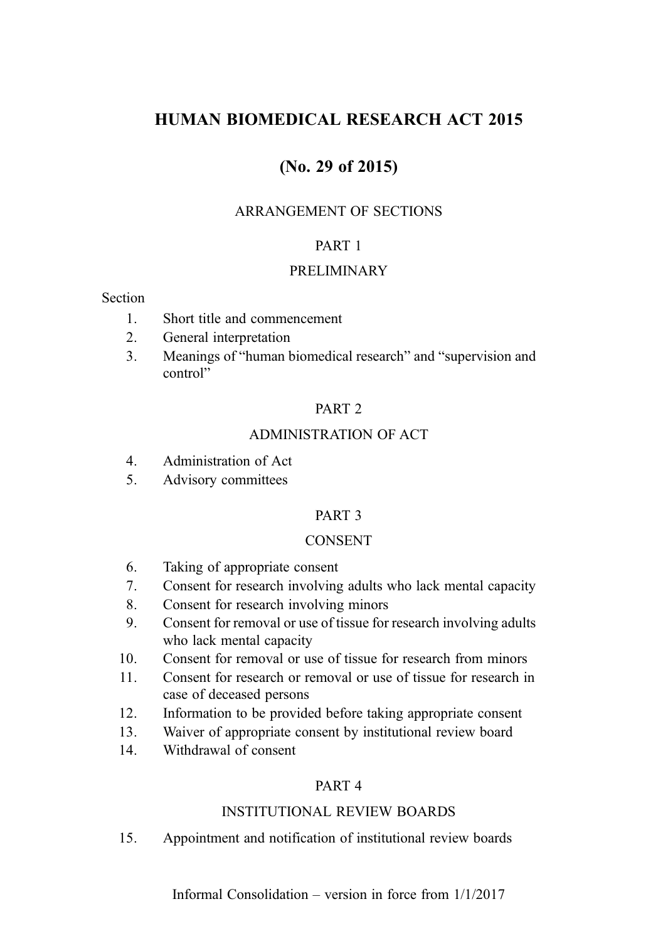# HUMAN BIOMEDICAL RESEARCH ACT 2015

# (No. 29 of 2015)

### ARRANGEMENT OF SECTIONS

### PART 1

#### PRELIMINARY

#### Section

- 1. Short title and commencement
- 2. General interpretation
- 3. Meanings of "human biomedical research" and "supervision and control"

#### PART 2

## ADMINISTRATION OF ACT

- 4. Administration of Act
- 5. Advisory committees

#### PART 3

#### CONSENT

- 6. Taking of appropriate consent
- 7. Consent for research involving adults who lack mental capacity
- 8. Consent for research involving minors
- 9. Consent for removal or use of tissue for research involving adults who lack mental capacity
- 10. Consent for removal or use of tissue for research from minors
- 11. Consent for research or removal or use of tissue for research in case of deceased persons
- 12. Information to be provided before taking appropriate consent
- 13. Waiver of appropriate consent by institutional review board
- 14. Withdrawal of consent

## PART 4

## INSTITUTIONAL REVIEW BOARDS

15. Appointment and notification of institutional review boards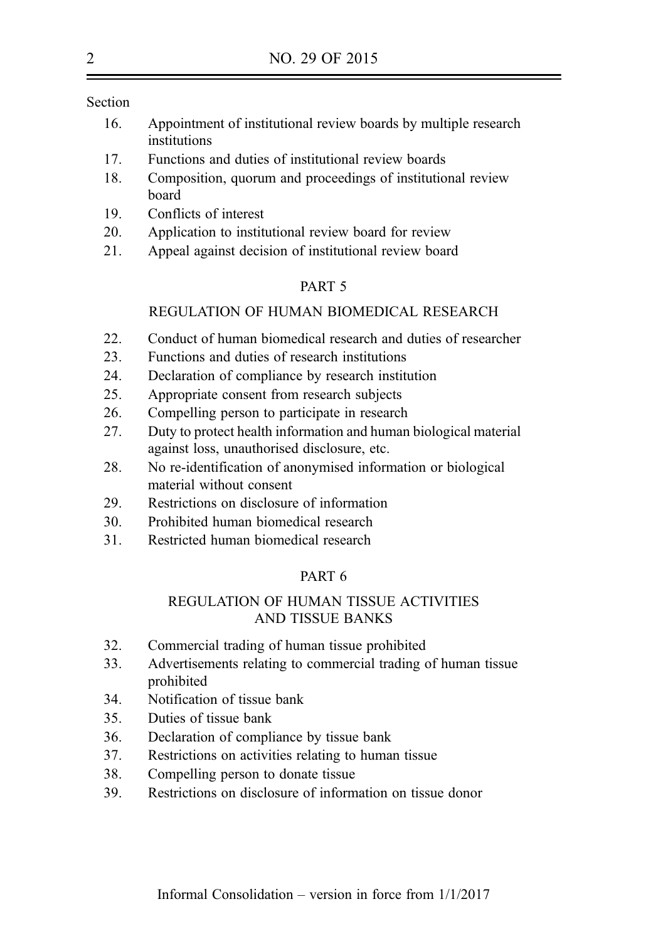Section

- 16. Appointment of institutional review boards by multiple research institutions
- 17. Functions and duties of institutional review boards
- 18. Composition, quorum and proceedings of institutional review board
- 19. Conflicts of interest
- 20. Application to institutional review board for review
- 21. Appeal against decision of institutional review board

#### PART 5

#### REGULATION OF HUMAN BIOMEDICAL RESEARCH

- 22. Conduct of human biomedical research and duties of researcher
- 23. Functions and duties of research institutions
- 24. Declaration of compliance by research institution
- 25. Appropriate consent from research subjects
- 26. Compelling person to participate in research
- 27. Duty to protect health information and human biological material against loss, unauthorised disclosure, etc.
- 28. No re-identification of anonymised information or biological material without consent
- 29. Restrictions on disclosure of information
- 30. Prohibited human biomedical research
- 31. Restricted human biomedical research

### PART 6

### REGULATION OF HUMAN TISSUE ACTIVITIES AND TISSUE BANKS

- 32. Commercial trading of human tissue prohibited
- 33. Advertisements relating to commercial trading of human tissue prohibited
- 34. Notification of tissue bank
- 35. Duties of tissue bank
- 36. Declaration of compliance by tissue bank
- 37. Restrictions on activities relating to human tissue
- 38. Compelling person to donate tissue
- 39. Restrictions on disclosure of information on tissue donor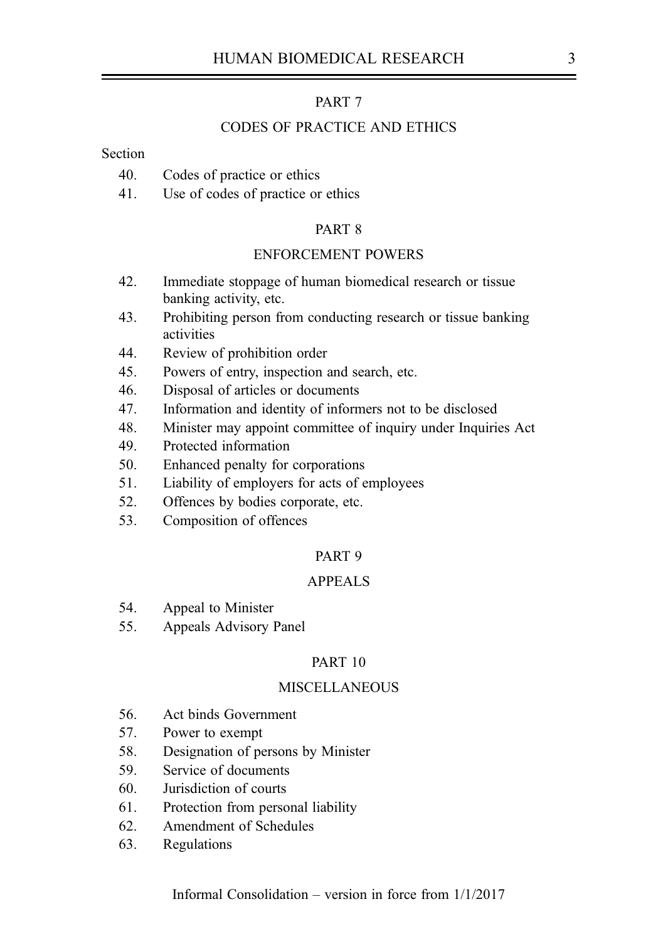### PART 7

#### CODES OF PRACTICE AND ETHICS

#### **Section**

- 40. Codes of practice or ethics
- 41. Use of codes of practice or ethics

#### PART 8

#### ENFORCEMENT POWERS

- 42. Immediate stoppage of human biomedical research or tissue banking activity, etc.
- 43. Prohibiting person from conducting research or tissue banking activities
- 44. Review of prohibition order
- 45. Powers of entry, inspection and search, etc.
- 46. Disposal of articles or documents
- 47. Information and identity of informers not to be disclosed
- 48. Minister may appoint committee of inquiry under Inquiries Act
- 49. Protected information
- 50. Enhanced penalty for corporations
- 51. Liability of employers for acts of employees
- 52. Offences by bodies corporate, etc.
- 53. Composition of offences

#### PART 9

#### APPEALS

- 54. Appeal to Minister
- 55. Appeals Advisory Panel

#### PART 10

#### **MISCELLANEOUS**

- 56. Act binds Government
- 57. Power to exempt
- 58. Designation of persons by Minister
- 59. Service of documents
- 60. Jurisdiction of courts
- 61. Protection from personal liability
- 62. Amendment of Schedules
- 63. Regulations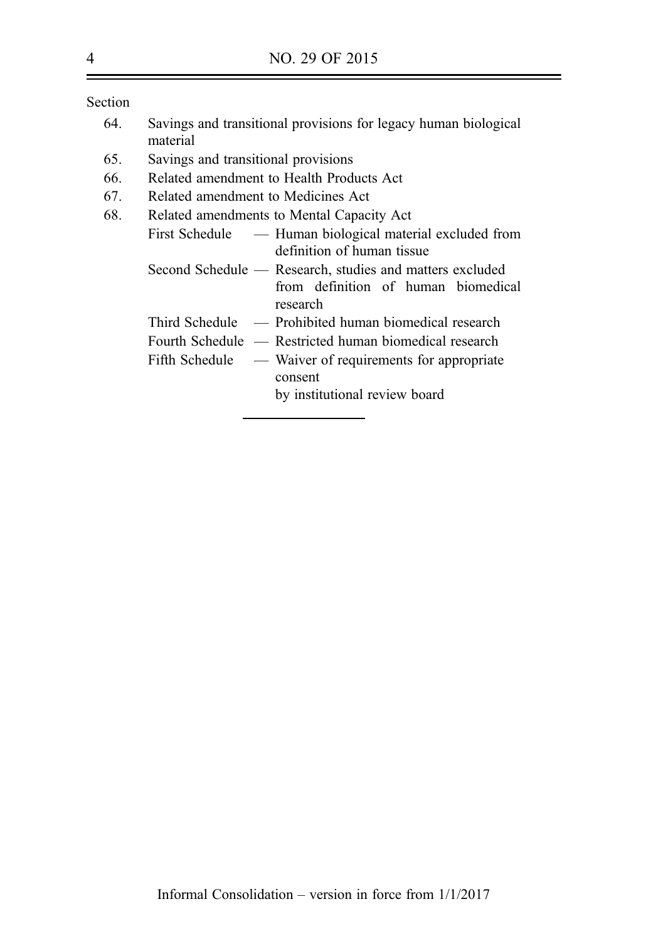Section

| 64. | Savings and transitional provisions for legacy human biological |  |  |  |
|-----|-----------------------------------------------------------------|--|--|--|
|     | material                                                        |  |  |  |

- 65. Savings and transitional provisions
- 66. Related amendment to Health Products Act
- 67. Related amendment to Medicines Act

| 68. | Related amendments to Mental Capacity Act                |  |  |  |  |  |
|-----|----------------------------------------------------------|--|--|--|--|--|
|     | First Schedule — Human biological material excluded from |  |  |  |  |  |
|     | definition of human tissue                               |  |  |  |  |  |
|     | Second Schedule — Research, studies and matters excluded |  |  |  |  |  |
|     | from definition of human biomedical                      |  |  |  |  |  |
|     | research                                                 |  |  |  |  |  |
|     | $Third Schedule$ — Prohibited human biomedical research  |  |  |  |  |  |
|     | Fourth Schedule — Restricted human biomedical research   |  |  |  |  |  |
|     | Fifth Schedule — Waiver of requirements for appropriate  |  |  |  |  |  |
|     | consent                                                  |  |  |  |  |  |
|     | by institutional review board                            |  |  |  |  |  |
|     |                                                          |  |  |  |  |  |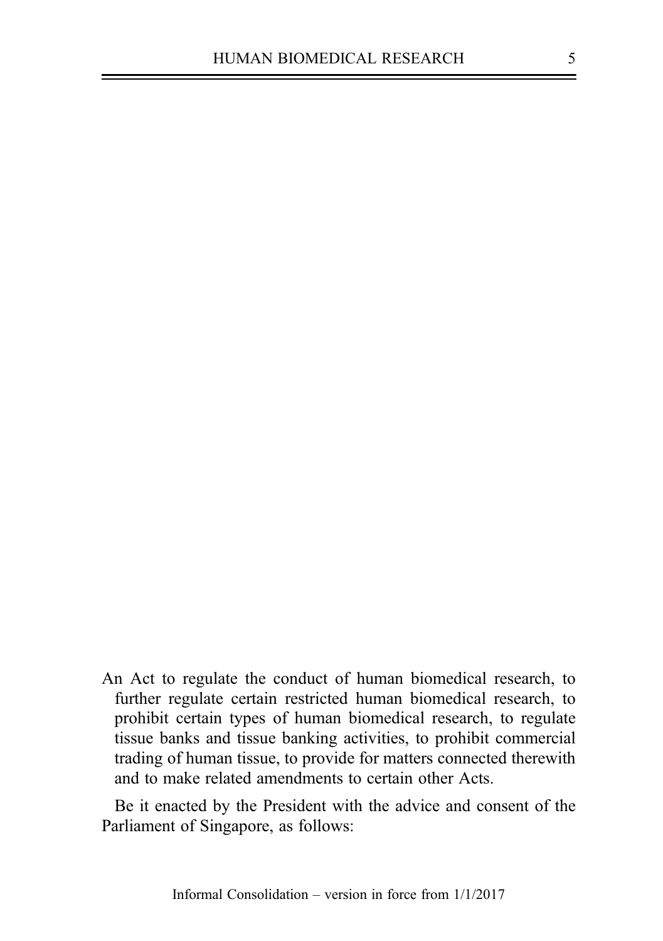An Act to regulate the conduct of human biomedical research, to further regulate certain restricted human biomedical research, to prohibit certain types of human biomedical research, to regulate tissue banks and tissue banking activities, to prohibit commercial trading of human tissue, to provide for matters connected therewith and to make related amendments to certain other Acts.

Be it enacted by the President with the advice and consent of the Parliament of Singapore, as follows: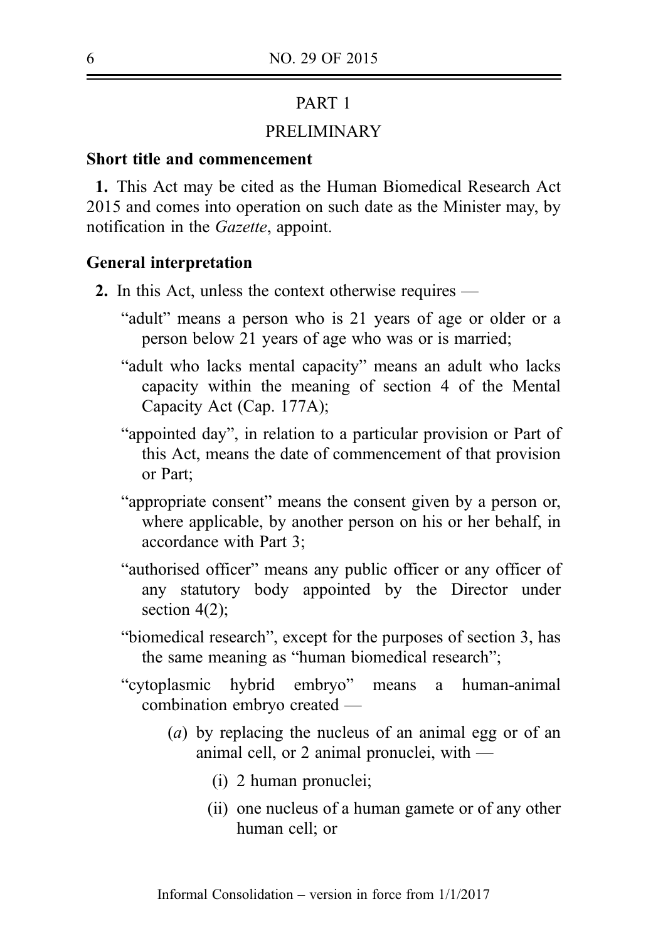# PART 1

# PRELIMINARY

# Short title and commencement

1. This Act may be cited as the Human Biomedical Research Act 2015 and comes into operation on such date as the Minister may, by notification in the Gazette, appoint.

### General interpretation

- 2. In this Act, unless the context otherwise requires
	- "adult" means a person who is 21 years of age or older or a person below 21 years of age who was or is married;
	- "adult who lacks mental capacity" means an adult who lacks capacity within the meaning of section 4 of the Mental Capacity Act (Cap. 177A);
	- "appointed day", in relation to a particular provision or Part of this Act, means the date of commencement of that provision or Part;
	- "appropriate consent" means the consent given by a person or, where applicable, by another person on his or her behalf, in accordance with Part 3;
	- "authorised officer" means any public officer or any officer of any statutory body appointed by the Director under section  $4(2)$ ;
	- "biomedical research", except for the purposes of section 3, has the same meaning as "human biomedical research";
	- "cytoplasmic hybrid embryo" means a human-animal combination embryo created —
		- (a) by replacing the nucleus of an animal egg or of an animal cell, or 2 animal pronuclei, with —
			- (i) 2 human pronuclei;
			- (ii) one nucleus of a human gamete or of any other human cell; or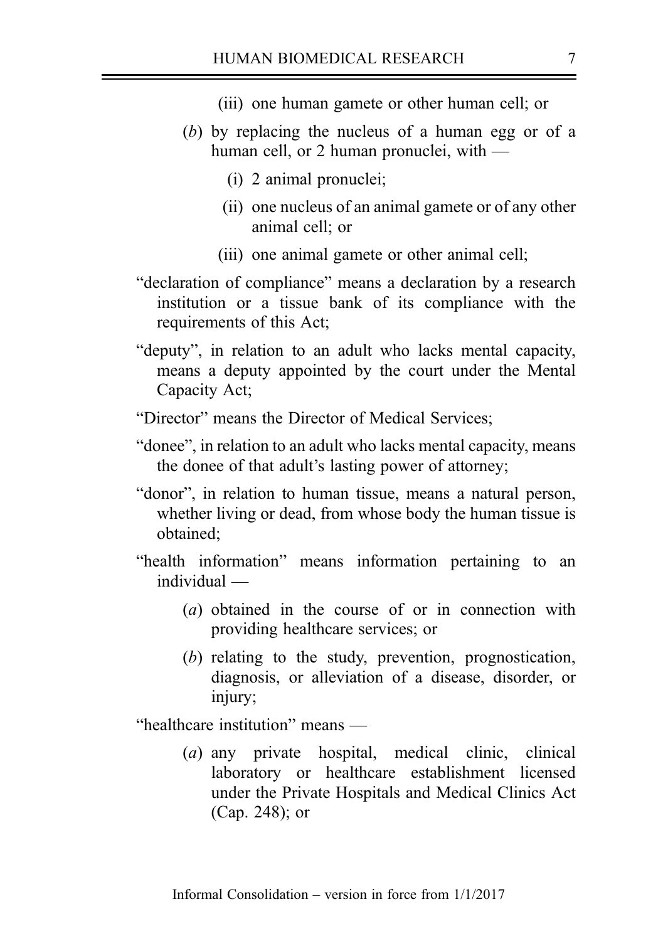- (iii) one human gamete or other human cell; or
- (b) by replacing the nucleus of a human egg or of a human cell, or 2 human pronuclei, with —
	- (i) 2 animal pronuclei;
	- (ii) one nucleus of an animal gamete or of any other animal cell; or
	- (iii) one animal gamete or other animal cell;
- "declaration of compliance" means a declaration by a research institution or a tissue bank of its compliance with the requirements of this Act;
- "deputy", in relation to an adult who lacks mental capacity, means a deputy appointed by the court under the Mental Capacity Act;
- "Director" means the Director of Medical Services;
- "donee", in relation to an adult who lacks mental capacity, means the donee of that adult's lasting power of attorney;
- "donor", in relation to human tissue, means a natural person, whether living or dead, from whose body the human tissue is obtained;
- "health information" means information pertaining to an individual —
	- (a) obtained in the course of or in connection with providing healthcare services; or
	- (b) relating to the study, prevention, prognostication, diagnosis, or alleviation of a disease, disorder, or injury;

"healthcare institution" means —

(a) any private hospital, medical clinic, clinical laboratory or healthcare establishment licensed under the Private Hospitals and Medical Clinics Act (Cap. 248); or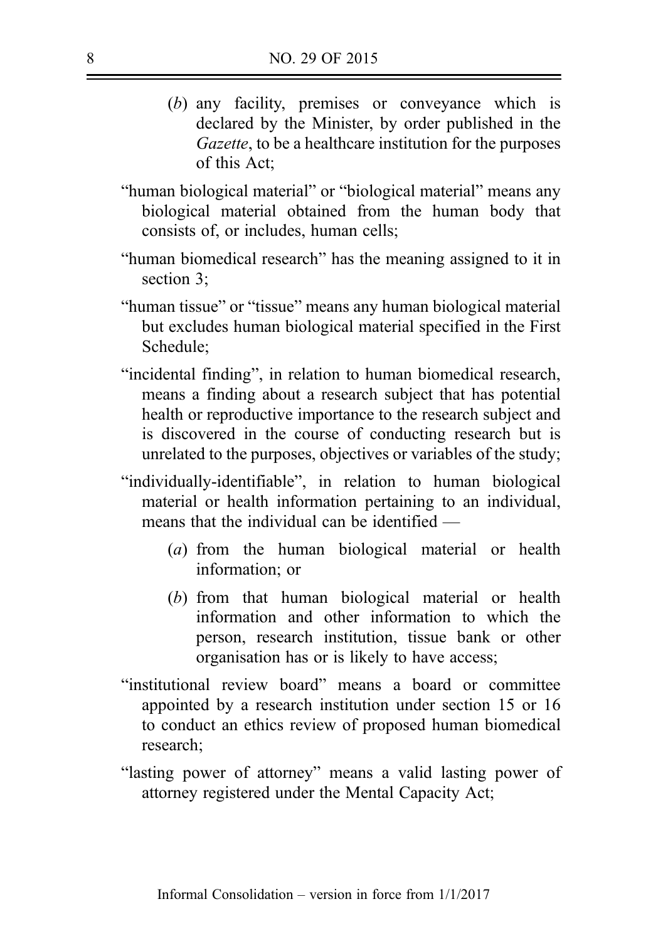- (b) any facility, premises or conveyance which is declared by the Minister, by order published in the Gazette, to be a healthcare institution for the purposes of this Act;
- "human biological material" or "biological material" means any biological material obtained from the human body that consists of, or includes, human cells;
- "human biomedical research" has the meaning assigned to it in section 3;
- "human tissue" or "tissue" means any human biological material but excludes human biological material specified in the First Schedule;
- "incidental finding", in relation to human biomedical research, means a finding about a research subject that has potential health or reproductive importance to the research subject and is discovered in the course of conducting research but is unrelated to the purposes, objectives or variables of the study;
- "individually-identifiable", in relation to human biological material or health information pertaining to an individual, means that the individual can be identified —
	- (a) from the human biological material or health information; or
	- (b) from that human biological material or health information and other information to which the person, research institution, tissue bank or other organisation has or is likely to have access;
- "institutional review board" means a board or committee appointed by a research institution under section 15 or 16 to conduct an ethics review of proposed human biomedical research;
- "lasting power of attorney" means a valid lasting power of attorney registered under the Mental Capacity Act;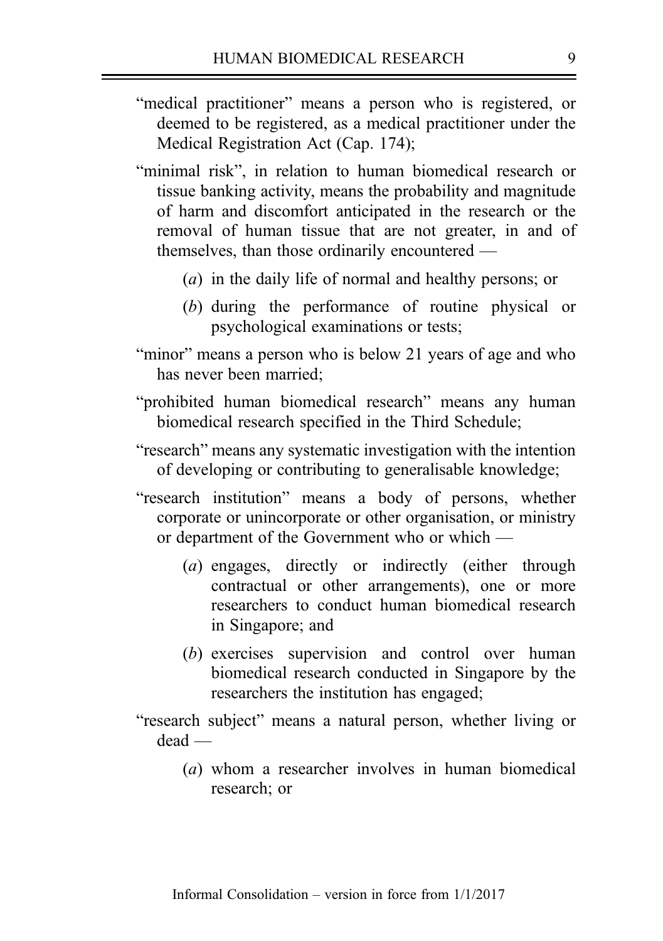- "medical practitioner" means a person who is registered, or deemed to be registered, as a medical practitioner under the Medical Registration Act (Cap. 174);
- "minimal risk", in relation to human biomedical research or tissue banking activity, means the probability and magnitude of harm and discomfort anticipated in the research or the removal of human tissue that are not greater, in and of themselves, than those ordinarily encountered —
	- (a) in the daily life of normal and healthy persons; or
	- (b) during the performance of routine physical or psychological examinations or tests;
- "minor" means a person who is below 21 years of age and who has never been married;
- "prohibited human biomedical research" means any human biomedical research specified in the Third Schedule;
- "research" means any systematic investigation with the intention of developing or contributing to generalisable knowledge;
- "research institution" means a body of persons, whether corporate or unincorporate or other organisation, or ministry or department of the Government who or which —
	- (a) engages, directly or indirectly (either through contractual or other arrangements), one or more researchers to conduct human biomedical research in Singapore; and
	- (b) exercises supervision and control over human biomedical research conducted in Singapore by the researchers the institution has engaged;
- "research subject" means a natural person, whether living or dead —
	- (a) whom a researcher involves in human biomedical research; or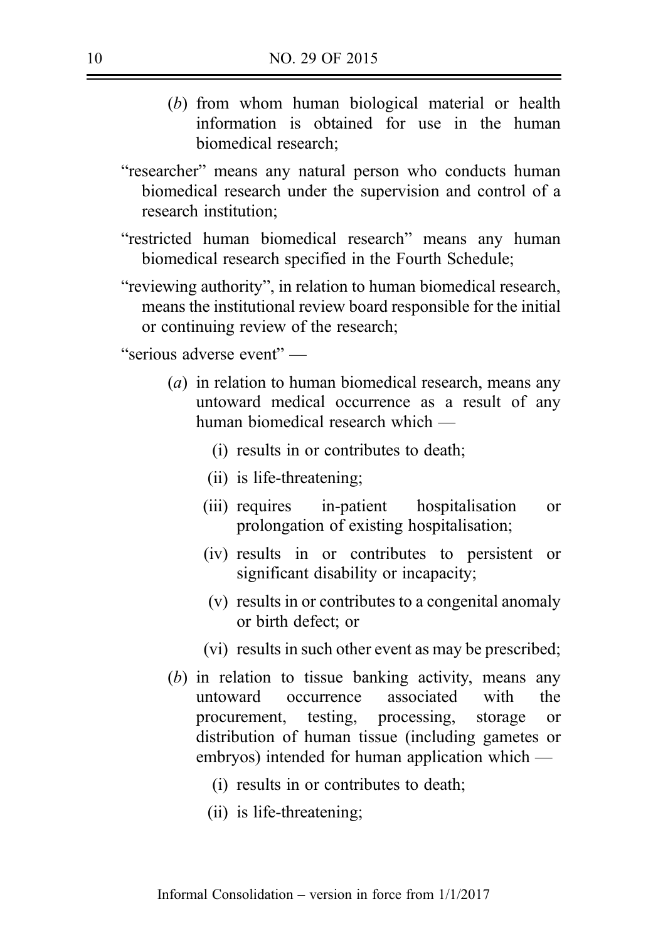- (b) from whom human biological material or health information is obtained for use in the human biomedical research;
- "researcher" means any natural person who conducts human biomedical research under the supervision and control of a research institution;
- "restricted human biomedical research" means any human biomedical research specified in the Fourth Schedule;
- "reviewing authority", in relation to human biomedical research, means the institutional review board responsible for the initial or continuing review of the research;

"serious adverse event" —

- (a) in relation to human biomedical research, means any untoward medical occurrence as a result of any human biomedical research which —
	- (i) results in or contributes to death;
	- (ii) is life-threatening;
	- (iii) requires in-patient hospitalisation or prolongation of existing hospitalisation;
	- (iv) results in or contributes to persistent or significant disability or incapacity;
	- (v) results in or contributes to a congenital anomaly or birth defect; or
	- (vi) results in such other event as may be prescribed;
- (b) in relation to tissue banking activity, means any untoward occurrence associated with the procurement, testing, processing, storage or distribution of human tissue (including gametes or embryos) intended for human application which —
	- (i) results in or contributes to death;
	- (ii) is life-threatening;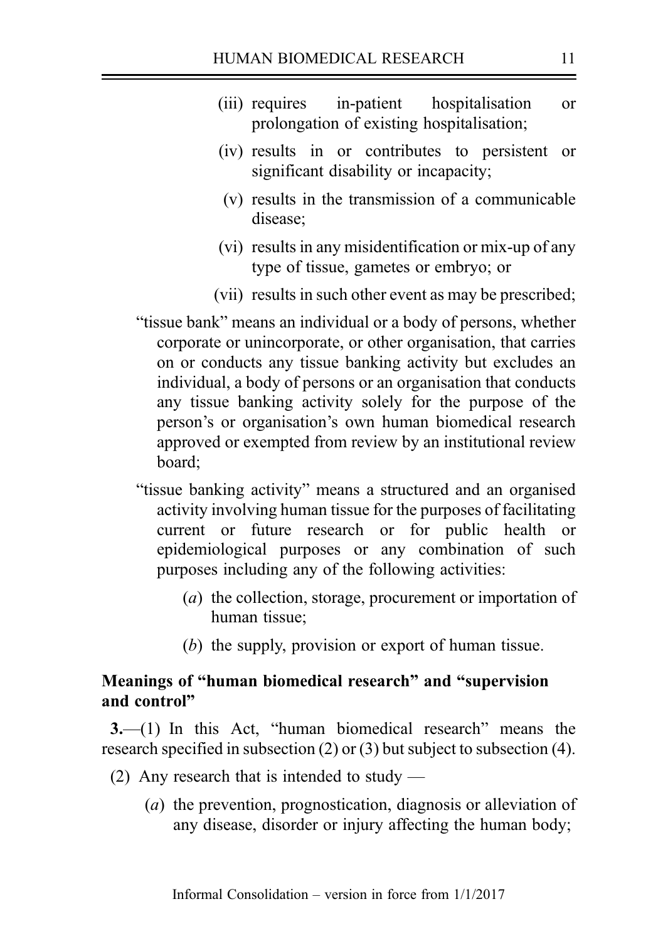- (iii) requires in-patient hospitalisation or prolongation of existing hospitalisation;
- (iv) results in or contributes to persistent or significant disability or incapacity;
- (v) results in the transmission of a communicable disease;
- (vi) results in any misidentification or mix-up of any type of tissue, gametes or embryo; or
- (vii) results in such other event as may be prescribed;
- "tissue bank" means an individual or a body of persons, whether corporate or unincorporate, or other organisation, that carries on or conducts any tissue banking activity but excludes an individual, a body of persons or an organisation that conducts any tissue banking activity solely for the purpose of the person's or organisation's own human biomedical research approved or exempted from review by an institutional review board;
- "tissue banking activity" means a structured and an organised activity involving human tissue for the purposes of facilitating current or future research or for public health or epidemiological purposes or any combination of such purposes including any of the following activities:
	- (a) the collection, storage, procurement or importation of human tissue;
	- (b) the supply, provision or export of human tissue.

# Meanings of "human biomedical research" and "supervision and control"

3.—(1) In this Act, "human biomedical research" means the research specified in subsection (2) or (3) but subject to subsection (4).

- (2) Any research that is intended to study
	- (a) the prevention, prognostication, diagnosis or alleviation of any disease, disorder or injury affecting the human body;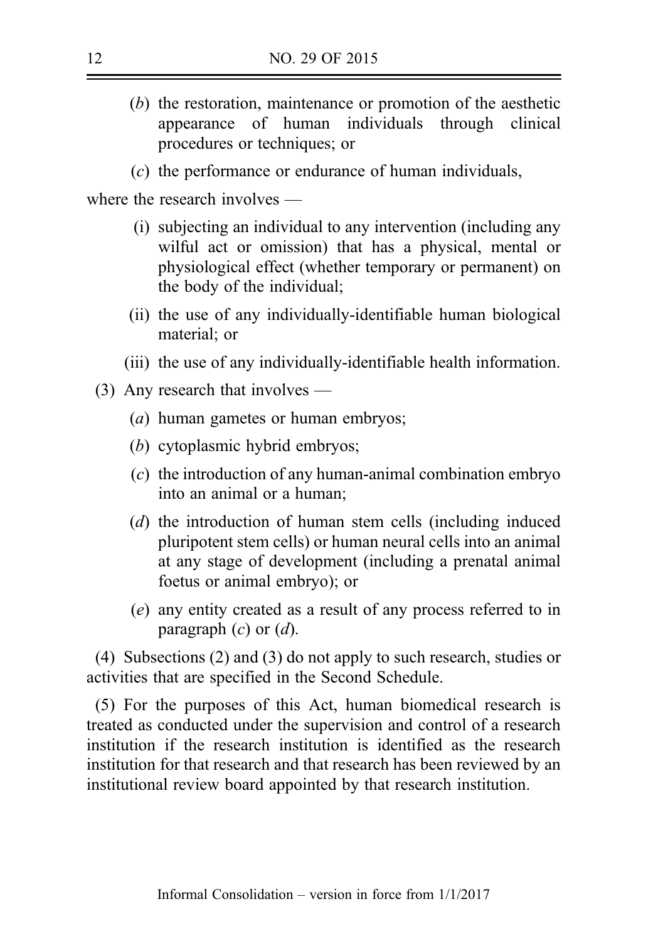- (b) the restoration, maintenance or promotion of the aesthetic appearance of human individuals through clinical procedures or techniques; or
- (c) the performance or endurance of human individuals,

where the research involves —

- (i) subjecting an individual to any intervention (including any wilful act or omission) that has a physical, mental or physiological effect (whether temporary or permanent) on the body of the individual;
- (ii) the use of any individually-identifiable human biological material; or
- (iii) the use of any individually-identifiable health information.
- (3) Any research that involves
	- (a) human gametes or human embryos;
	- (b) cytoplasmic hybrid embryos;
	- (c) the introduction of any human-animal combination embryo into an animal or a human;
	- (d) the introduction of human stem cells (including induced pluripotent stem cells) or human neural cells into an animal at any stage of development (including a prenatal animal foetus or animal embryo); or
	- (e) any entity created as a result of any process referred to in paragraph  $(c)$  or  $(d)$ .

(4) Subsections (2) and (3) do not apply to such research, studies or activities that are specified in the Second Schedule.

(5) For the purposes of this Act, human biomedical research is treated as conducted under the supervision and control of a research institution if the research institution is identified as the research institution for that research and that research has been reviewed by an institutional review board appointed by that research institution.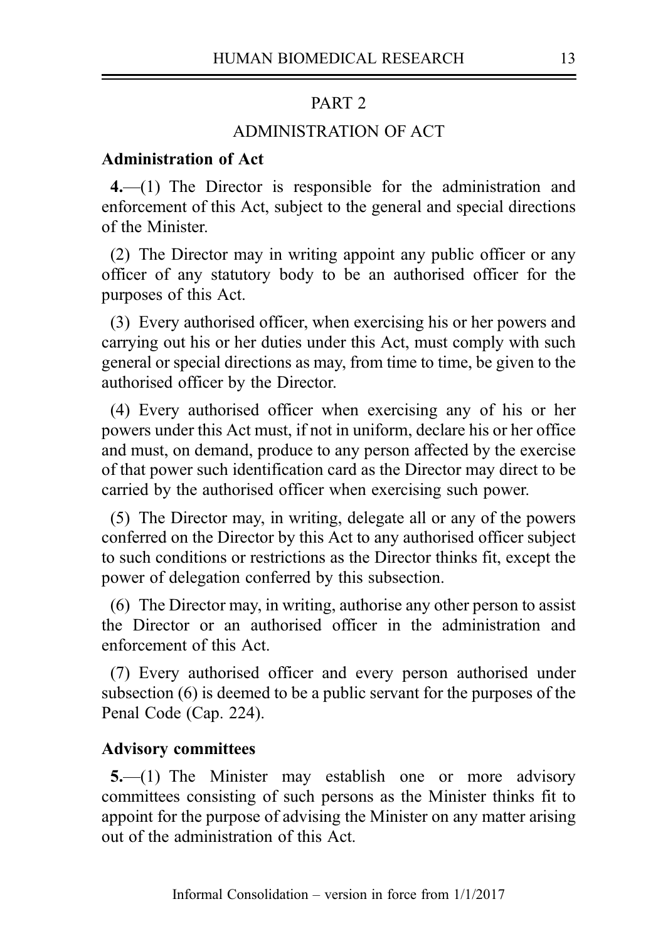### PART<sub>2</sub>

# ADMINISTRATION OF ACT

# Administration of Act

4.—(1) The Director is responsible for the administration and enforcement of this Act, subject to the general and special directions of the Minister.

(2) The Director may in writing appoint any public officer or any officer of any statutory body to be an authorised officer for the purposes of this Act.

(3) Every authorised officer, when exercising his or her powers and carrying out his or her duties under this Act, must comply with such general or special directions as may, from time to time, be given to the authorised officer by the Director.

(4) Every authorised officer when exercising any of his or her powers under this Act must, if not in uniform, declare his or her office and must, on demand, produce to any person affected by the exercise of that power such identification card as the Director may direct to be carried by the authorised officer when exercising such power.

(5) The Director may, in writing, delegate all or any of the powers conferred on the Director by this Act to any authorised officer subject to such conditions or restrictions as the Director thinks fit, except the power of delegation conferred by this subsection.

(6) The Director may, in writing, authorise any other person to assist the Director or an authorised officer in the administration and enforcement of this Act.

(7) Every authorised officer and every person authorised under subsection (6) is deemed to be a public servant for the purposes of the Penal Code (Cap. 224).

#### Advisory committees

5.—(1) The Minister may establish one or more advisory committees consisting of such persons as the Minister thinks fit to appoint for the purpose of advising the Minister on any matter arising out of the administration of this Act.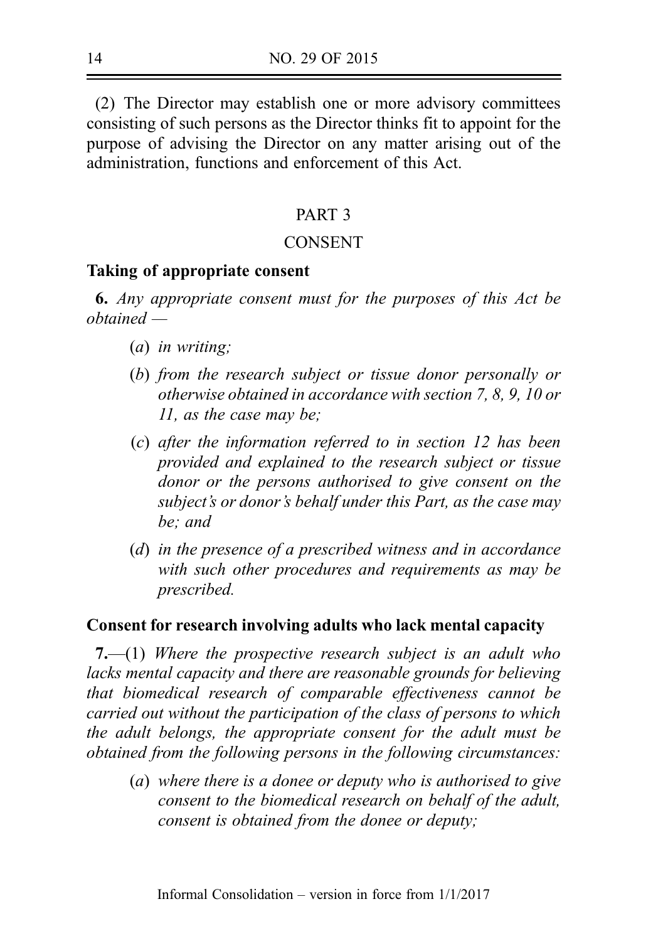(2) The Director may establish one or more advisory committees consisting of such persons as the Director thinks fit to appoint for the purpose of advising the Director on any matter arising out of the administration, functions and enforcement of this Act.

### PART 3

### CONSENT

### Taking of appropriate consent

6. Any appropriate consent must for the purposes of this Act be obtained —

- (a) in writing;
- (b) from the research subject or tissue donor personally or otherwise obtained in accordance with section 7, 8, 9, 10 or 11, as the case may be;
- (c) after the information referred to in section 12 has been provided and explained to the research subject or tissue donor or the persons authorised to give consent on the subject's or donor's behalf under this Part, as the case may be; and
- (d) in the presence of a prescribed witness and in accordance with such other procedures and requirements as may be prescribed.

### Consent for research involving adults who lack mental capacity

7.—(1) Where the prospective research subject is an adult who lacks mental capacity and there are reasonable grounds for believing that biomedical research of comparable effectiveness cannot be carried out without the participation of the class of persons to which the adult belongs, the appropriate consent for the adult must be obtained from the following persons in the following circumstances:

(a) where there is a donee or deputy who is authorised to give consent to the biomedical research on behalf of the adult, consent is obtained from the donee or deputy;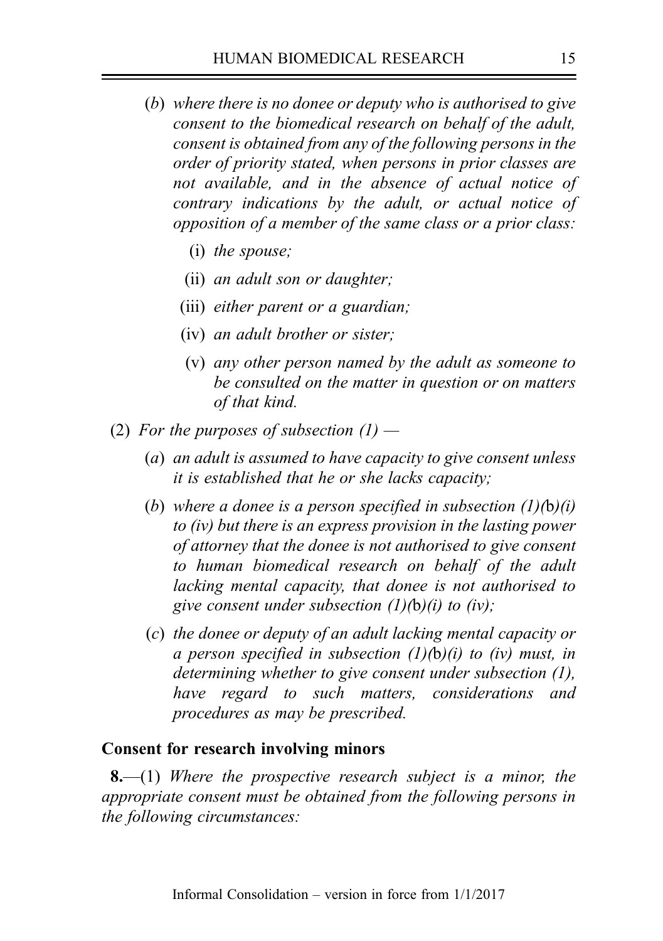- (b) where there is no donee or deputy who is authorised to give consent to the biomedical research on behalf of the adult, consent is obtained from any of the following persons in the order of priority stated, when persons in prior classes are not available, and in the absence of actual notice of contrary indications by the adult, or actual notice of opposition of a member of the same class or a prior class:
	- (i) the spouse;
	- (ii) an adult son or daughter;
	- (iii) either parent or a guardian;
	- (iv) an adult brother or sister;
	- (v) any other person named by the adult as someone to be consulted on the matter in question or on matters of that kind.
- (2) For the purposes of subsection  $(1)$ 
	- (a) an adult is assumed to have capacity to give consent unless it is established that he or she lacks capacity;
	- (b) where a donee is a person specified in subsection  $(1)(b)(i)$ to (iv) but there is an express provision in the lasting power of attorney that the donee is not authorised to give consent to human biomedical research on behalf of the adult lacking mental capacity, that donee is not authorised to give consent under subsection  $(1)(b)(i)$  to  $(iv)$ ;
	- (c) the donee or deputy of an adult lacking mental capacity or a person specified in subsection  $(1)(b)(i)$  to (iv) must, in determining whether to give consent under subsection (1), have regard to such matters, considerations and procedures as may be prescribed.

# Consent for research involving minors

**8.**—(1) Where the prospective research subject is a minor, the appropriate consent must be obtained from the following persons in the following circumstances: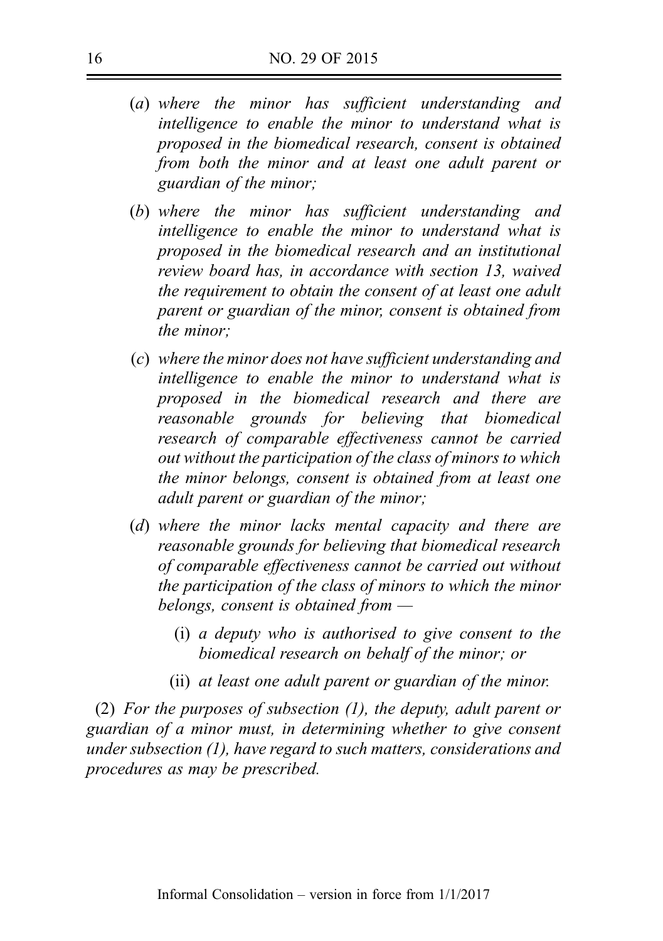- (a) where the minor has sufficient understanding and intelligence to enable the minor to understand what is proposed in the biomedical research, consent is obtained from both the minor and at least one adult parent or guardian of the minor;
- (b) where the minor has sufficient understanding and intelligence to enable the minor to understand what is proposed in the biomedical research and an institutional review board has, in accordance with section 13, waived the requirement to obtain the consent of at least one adult parent or guardian of the minor, consent is obtained from the minor;
- (c) where the minor does not have sufficient understanding and intelligence to enable the minor to understand what is proposed in the biomedical research and there are reasonable grounds for believing that biomedical research of comparable effectiveness cannot be carried out without the participation of the class of minors to which the minor belongs, consent is obtained from at least one adult parent or guardian of the minor;
- (d) where the minor lacks mental capacity and there are reasonable grounds for believing that biomedical research of comparable effectiveness cannot be carried out without the participation of the class of minors to which the minor belongs, consent is obtained from —
	- (i) a deputy who is authorised to give consent to the biomedical research on behalf of the minor; or
	- (ii) at least one adult parent or guardian of the minor.

(2) For the purposes of subsection (1), the deputy, adult parent or guardian of a minor must, in determining whether to give consent under subsection (1), have regard to such matters, considerations and procedures as may be prescribed.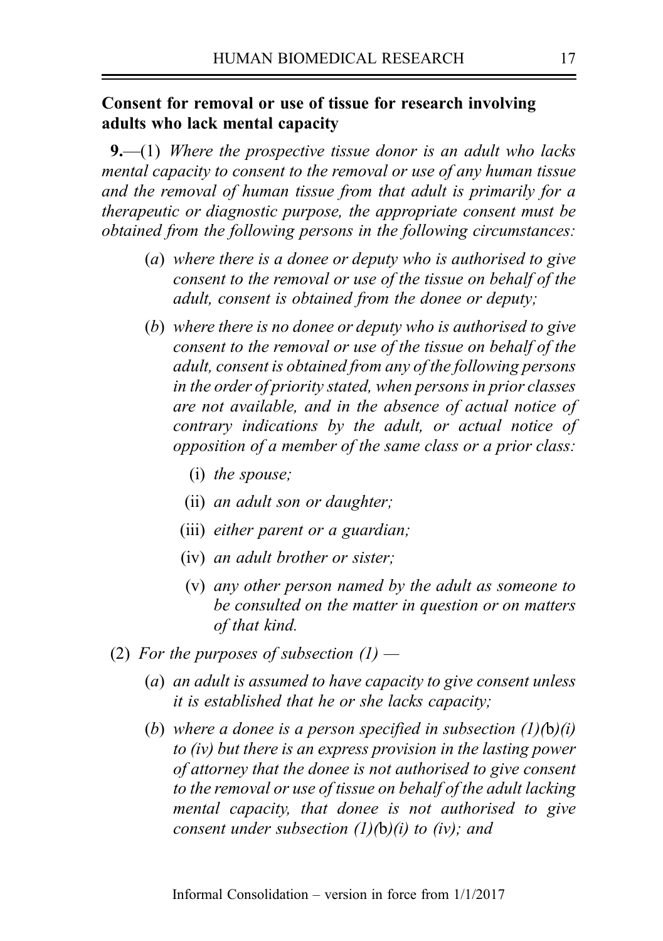# Consent for removal or use of tissue for research involving adults who lack mental capacity

**9.**—(1) Where the prospective tissue donor is an adult who lacks mental capacity to consent to the removal or use of any human tissue and the removal of human tissue from that adult is primarily for a therapeutic or diagnostic purpose, the appropriate consent must be obtained from the following persons in the following circumstances:

- (a) where there is a donee or deputy who is authorised to give consent to the removal or use of the tissue on behalf of the adult, consent is obtained from the donee or deputy;
- (b) where there is no donee or deputy who is authorised to give consent to the removal or use of the tissue on behalf of the adult, consent is obtained from any of the following persons in the order of priority stated, when persons in prior classes are not available, and in the absence of actual notice of contrary indications by the adult, or actual notice of opposition of a member of the same class or a prior class:
	- (i) the spouse;
	- (ii) an adult son or daughter;
	- (iii) either parent or a guardian;
	- (iv) an adult brother or sister;
	- (v) any other person named by the adult as someone to be consulted on the matter in question or on matters of that kind.
- (2) For the purposes of subsection  $(1)$ 
	- (a) an adult is assumed to have capacity to give consent unless it is established that he or she lacks capacity;
	- (b) where a donee is a person specified in subsection  $(1)(b)(i)$ to (iv) but there is an express provision in the lasting power of attorney that the donee is not authorised to give consent to the removal or use of tissue on behalf of the adult lacking mental capacity, that donee is not authorised to give consent under subsection  $(1)(b)(i)$  to (iv); and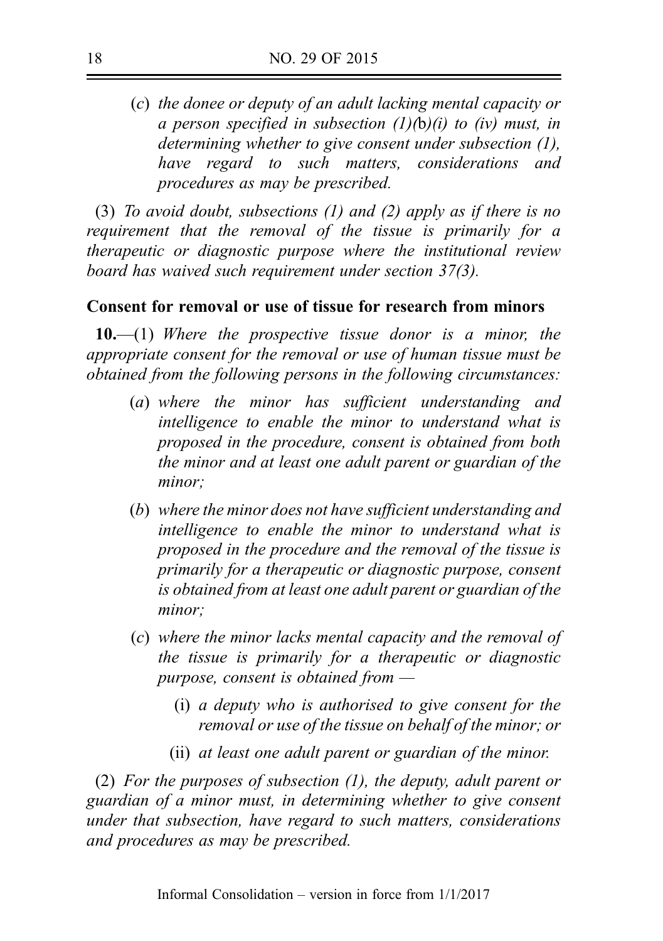(c) the donee or deputy of an adult lacking mental capacity or a person specified in subsection  $(1)(b)(i)$  to (iv) must, in determining whether to give consent under subsection (1), have regard to such matters, considerations and procedures as may be prescribed.

(3) To avoid doubt, subsections (1) and (2) apply as if there is no requirement that the removal of the tissue is primarily for a therapeutic or diagnostic purpose where the institutional review board has waived such requirement under section 37(3).

## Consent for removal or use of tissue for research from minors

10.—(1) Where the prospective tissue donor is a minor, the appropriate consent for the removal or use of human tissue must be obtained from the following persons in the following circumstances:

- (a) where the minor has sufficient understanding and intelligence to enable the minor to understand what is proposed in the procedure, consent is obtained from both the minor and at least one adult parent or guardian of the minor;
- (b) where the minor does not have sufficient understanding and intelligence to enable the minor to understand what is proposed in the procedure and the removal of the tissue is primarily for a therapeutic or diagnostic purpose, consent is obtained from at least one adult parent or guardian of the minor;
- (c) where the minor lacks mental capacity and the removal of the tissue is primarily for a therapeutic or diagnostic purpose, consent is obtained from —
	- (i) a deputy who is authorised to give consent for the removal or use of the tissue on behalf of the minor; or
	- (ii) at least one adult parent or guardian of the minor.

(2) For the purposes of subsection (1), the deputy, adult parent or guardian of a minor must, in determining whether to give consent under that subsection, have regard to such matters, considerations and procedures as may be prescribed.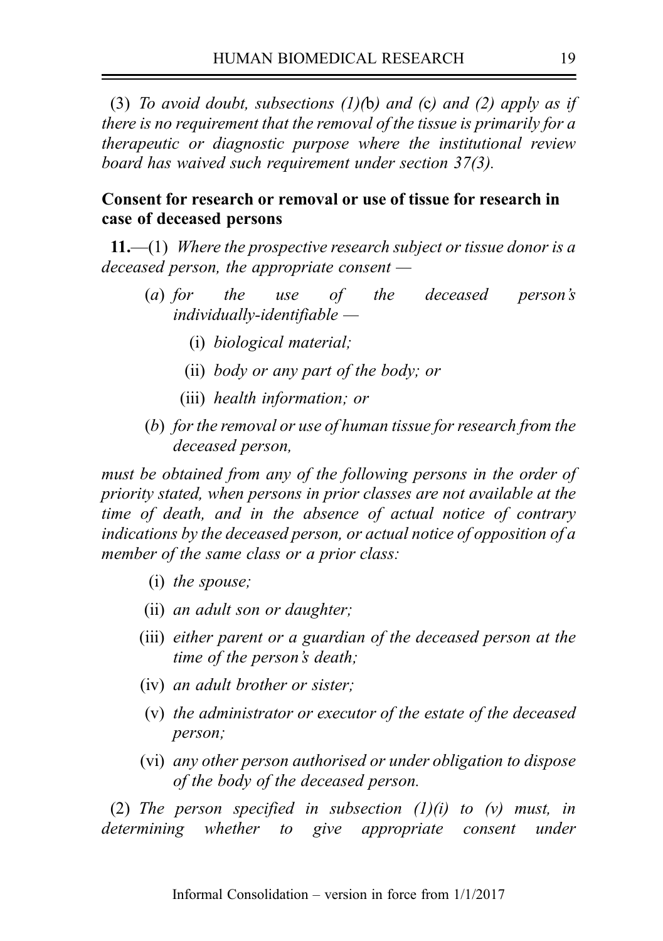(3) To avoid doubt, subsections  $(1)(b)$  and  $(c)$  and  $(2)$  apply as if there is no requirement that the removal of the tissue is primarily for a therapeutic or diagnostic purpose where the institutional review board has waived such requirement under section 37(3).

# Consent for research or removal or use of tissue for research in case of deceased persons

11.—(1) Where the prospective research subject or tissue donor is a deceased person, the appropriate consent  $-$ 

- (a) for the use of the deceased person's  $individually$ -identifiable  $-$ 
	- (i) biological material;
	- (ii) body or any part of the body; or
	- (iii) health information; or
- (b) for the removal or use of human tissue for research from the deceased person,

must be obtained from any of the following persons in the order of priority stated, when persons in prior classes are not available at the time of death, and in the absence of actual notice of contrary indications by the deceased person, or actual notice of opposition of a member of the same class or a prior class:

- (i) the spouse;
- (ii) an adult son or daughter;
- (iii) either parent or a guardian of the deceased person at the time of the person's death;
- (iv) an adult brother or sister;
- (v) the administrator or executor of the estate of the deceased person;
- (vi) any other person authorised or under obligation to dispose of the body of the deceased person.

(2) The person specified in subsection  $(1)(i)$  to  $(v)$  must, in determining whether to give appropriate consent under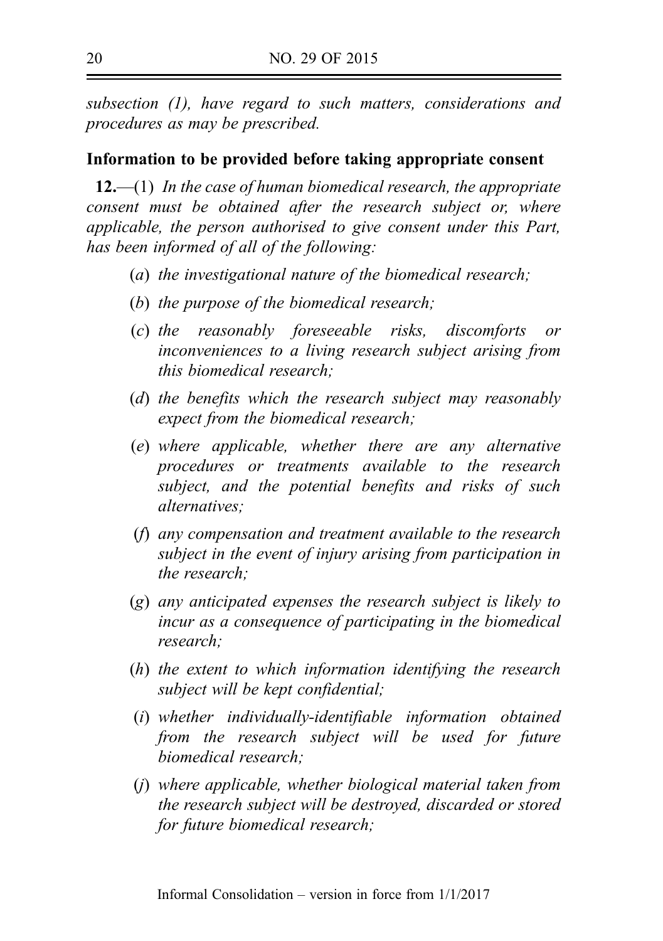subsection (1), have regard to such matters, considerations and procedures as may be prescribed.

### Information to be provided before taking appropriate consent

 $12,$ —(1) In the case of human biomedical research, the appropriate consent must be obtained after the research subject or, where applicable, the person authorised to give consent under this Part, has been informed of all of the following:

- (a) the investigational nature of the biomedical research;
- (b) the purpose of the biomedical research;
- (c) the reasonably foreseeable risks, discomforts or inconveniences to a living research subject arising from this biomedical research;
- (d) the benefits which the research subject may reasonably expect from the biomedical research;
- (e) where applicable, whether there are any alternative procedures or treatments available to the research subject, and the potential benefits and risks of such alternatives:
- (f) any compensation and treatment available to the research subject in the event of injury arising from participation in the research;
- (g) any anticipated expenses the research subject is likely to incur as a consequence of participating in the biomedical research;
- (h) the extent to which information identifying the research subject will be kept confidential;
- (i) whether individually-identifiable information obtained from the research subject will be used for future biomedical research;
- (j) where applicable, whether biological material taken from the research subject will be destroyed, discarded or stored for future biomedical research;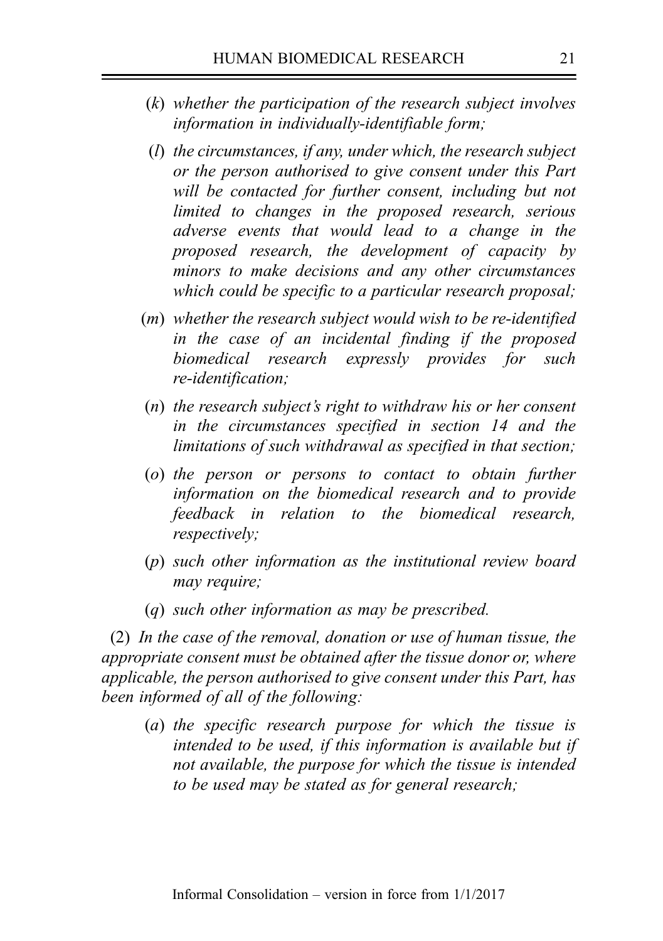- (k) whether the participation of the research subject involves information in individually-identifiable form;
- (l) the circumstances, if any, under which, the research subject or the person authorised to give consent under this Part will be contacted for further consent, including but not limited to changes in the proposed research, serious adverse events that would lead to a change in the proposed research, the development of capacity by minors to make decisions and any other circumstances which could be specific to a particular research proposal;
- $(m)$  whether the research subject would wish to be re-identified in the case of an incidental finding if the proposed biomedical research expressly provides for such re-identification:
- (n) the research subject's right to withdraw his or her consent in the circumstances specified in section 14 and the limitations of such withdrawal as specified in that section;
- (o) the person or persons to contact to obtain further information on the biomedical research and to provide feedback in relation to the biomedical research, respectively;
- (p) such other information as the institutional review board may require;
- (q) such other information as may be prescribed.

(2) In the case of the removal, donation or use of human tissue, the appropriate consent must be obtained after the tissue donor or, where applicable, the person authorised to give consent under this Part, has been informed of all of the following:

(a) the specific research purpose for which the tissue is intended to be used, if this information is available but if not available, the purpose for which the tissue is intended to be used may be stated as for general research;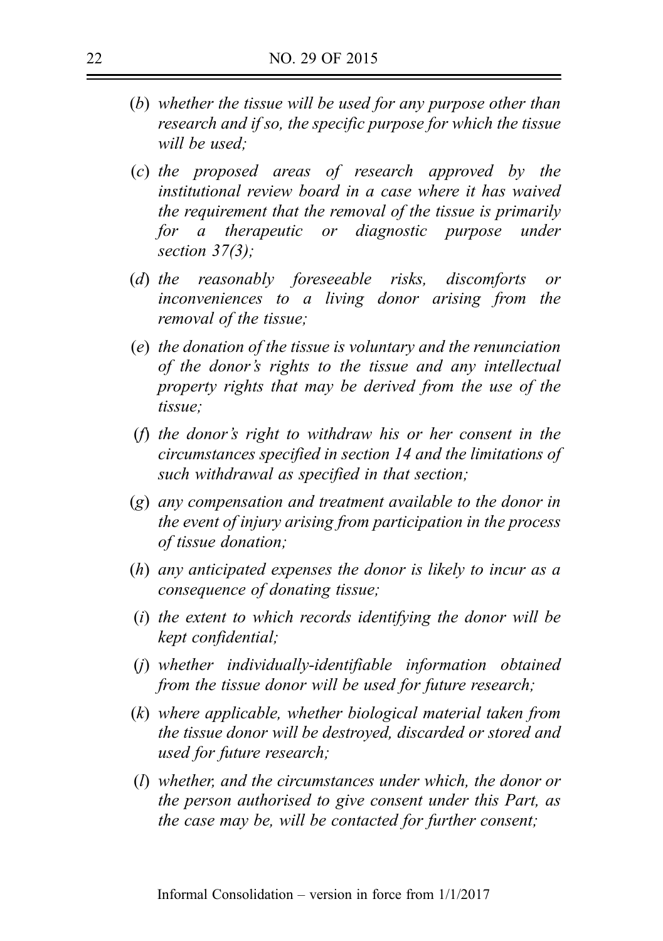- (b) whether the tissue will be used for any purpose other than research and if so, the specific purpose for which the tissue will be used:
- (c) the proposed areas of research approved by the institutional review board in a case where it has waived the requirement that the removal of the tissue is primarily for a therapeutic or diagnostic purpose under section 37(3);
- (d) the reasonably foreseeable risks, discomforts or inconveniences to a living donor arising from the removal of the tissue;
- (e) the donation of the tissue is voluntary and the renunciation of the donor's rights to the tissue and any intellectual property rights that may be derived from the use of the tissue;
- (f) the donor's right to withdraw his or her consent in the circumstances specified in section 14 and the limitations of such withdrawal as specified in that section;
- (g) any compensation and treatment available to the donor in the event of injury arising from participation in the process of tissue donation;
- (h) any anticipated expenses the donor is likely to incur as a consequence of donating tissue;
- (i) the extent to which records identifying the donor will be kept confidential;
- (j) whether individually-identifiable information obtained from the tissue donor will be used for future research;
- (k) where applicable, whether biological material taken from the tissue donor will be destroyed, discarded or stored and used for future research;
- (l) whether, and the circumstances under which, the donor or the person authorised to give consent under this Part, as the case may be, will be contacted for further consent;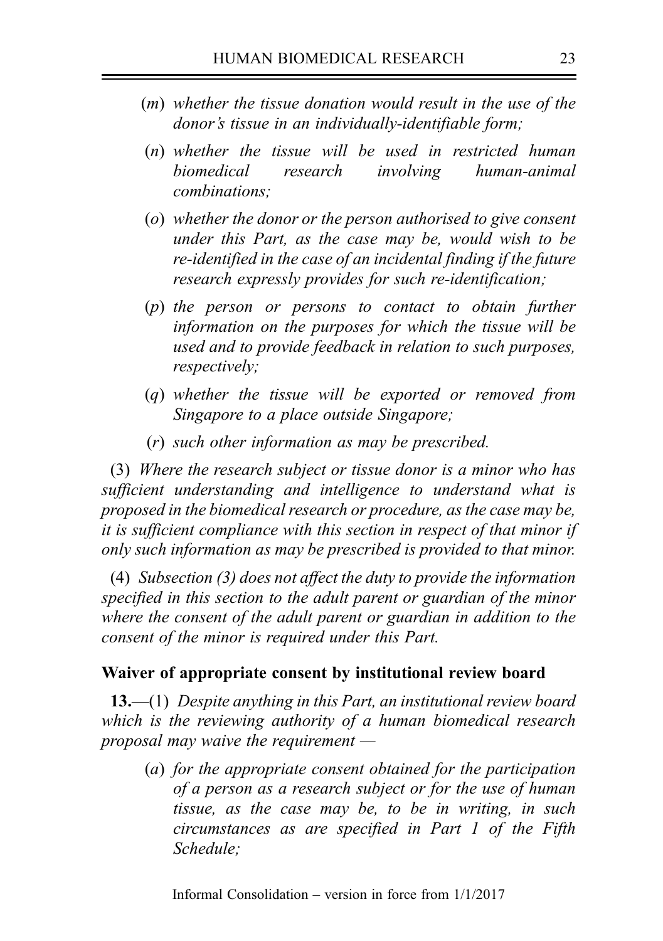- (m) whether the tissue donation would result in the use of the donor's tissue in an individually-identifiable form;
- (n) whether the tissue will be used in restricted human biomedical research involving human-animal combinations;
- (o) whether the donor or the person authorised to give consent under this Part, as the case may be, would wish to be re-identified in the case of an incidental finding if the future research expressly provides for such re-identification;
- (p) the person or persons to contact to obtain further information on the purposes for which the tissue will be used and to provide feedback in relation to such purposes, respectively;
- (q) whether the tissue will be exported or removed from Singapore to a place outside Singapore;
- (r) such other information as may be prescribed.

(3) Where the research subject or tissue donor is a minor who has sufficient understanding and intelligence to understand what is proposed in the biomedical research or procedure, as the case may be, it is sufficient compliance with this section in respect of that minor if only such information as may be prescribed is provided to that minor.

(4) Subsection (3) does not affect the duty to provide the information specified in this section to the adult parent or guardian of the minor where the consent of the adult parent or guardian in addition to the consent of the minor is required under this Part.

## Waiver of appropriate consent by institutional review board

**13.—(1)** Despite anything in this Part, an institutional review board which is the reviewing authority of a human biomedical research proposal may waive the requirement  $-$ 

(a) for the appropriate consent obtained for the participation of a person as a research subject or for the use of human tissue, as the case may be, to be in writing, in such circumstances as are specified in Part 1 of the Fifth Schedule;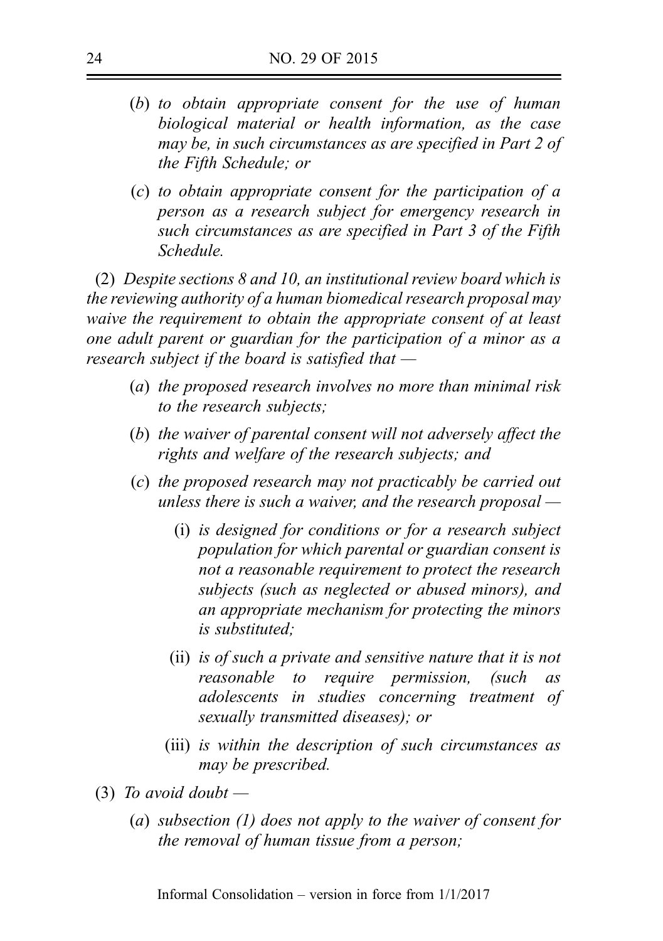- (b) to obtain appropriate consent for the use of human biological material or health information, as the case may be, in such circumstances as are specified in Part 2 of the Fifth Schedule; or
- (c) to obtain appropriate consent for the participation of a person as a research subject for emergency research in such circumstances as are specified in Part 3 of the Fifth Schedule.

(2) Despite sections 8 and 10, an institutional review board which is the reviewing authority of a human biomedical research proposal may waive the requirement to obtain the appropriate consent of at least one adult parent or guardian for the participation of a minor as a research subject if the board is satisfied that  $-$ 

- (a) the proposed research involves no more than minimal risk to the research subjects;
- (b) the waiver of parental consent will not adversely affect the rights and welfare of the research subjects; and
- (c) the proposed research may not practicably be carried out unless there is such a waiver, and the research proposal  $-$ 
	- (i) is designed for conditions or for a research subject population for which parental or guardian consent is not a reasonable requirement to protect the research subjects (such as neglected or abused minors), and an appropriate mechanism for protecting the minors is substituted;
	- (ii) is of such a private and sensitive nature that it is not reasonable to require permission, (such as adolescents in studies concerning treatment of sexually transmitted diseases); or
	- (iii) is within the description of such circumstances as may be prescribed.
- (3) To avoid doubt  $-$ 
	- (a) subsection (1) does not apply to the waiver of consent for the removal of human tissue from a person;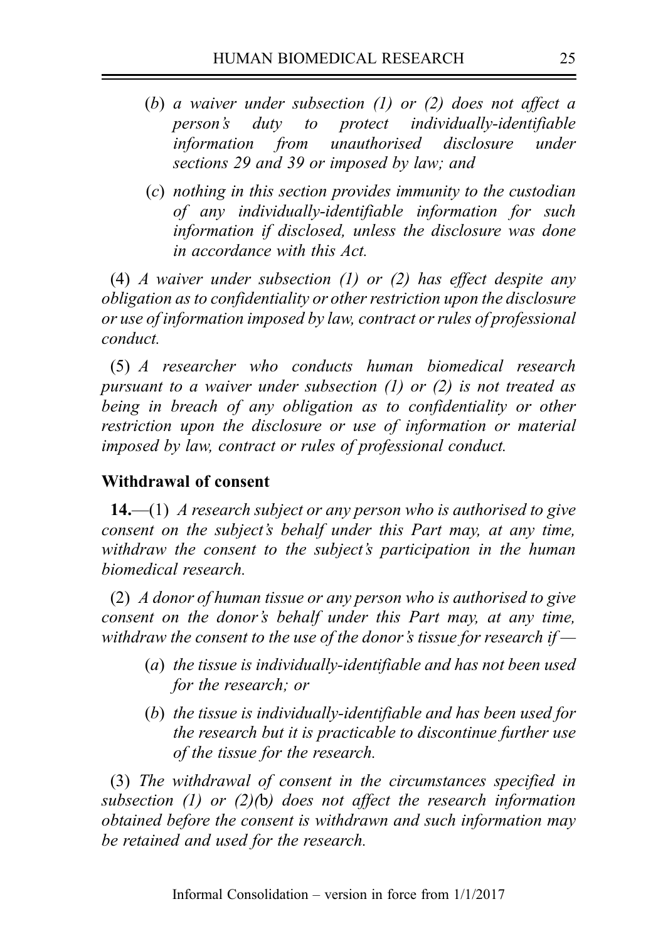- (b) a waiver under subsection (1) or (2) does not affect a person's duty to protect individually-identifiable information from unauthorised disclosure under sections 29 and 39 or imposed by law; and
- (c) nothing in this section provides immunity to the custodian of any individually-identifiable information for such information if disclosed, unless the disclosure was done in accordance with this Act.

(4) A waiver under subsection (1) or (2) has effect despite any obligation as to confidentiality or other restriction upon the disclosure or use of information imposed by law, contract or rules of professional conduct.

(5) A researcher who conducts human biomedical research pursuant to a waiver under subsection (1) or (2) is not treated as being in breach of any obligation as to confidentiality or other restriction upon the disclosure or use of information or material imposed by law, contract or rules of professional conduct.

# Withdrawal of consent

14.—(1) A research subject or any person who is authorised to give consent on the subject's behalf under this Part may, at any time, withdraw the consent to the subject's participation in the human biomedical research.

(2) A donor of human tissue or any person who is authorised to give consent on the donor's behalf under this Part may, at any time, withdraw the consent to the use of the donor's tissue for research if  $-$ 

- (a) the tissue is individually-identifiable and has not been used for the research; or
- (b) the tissue is individually-identifiable and has been used for the research but it is practicable to discontinue further use of the tissue for the research.

(3) The withdrawal of consent in the circumstances specified in subsection (1) or (2)(b) does not affect the research information obtained before the consent is withdrawn and such information may be retained and used for the research.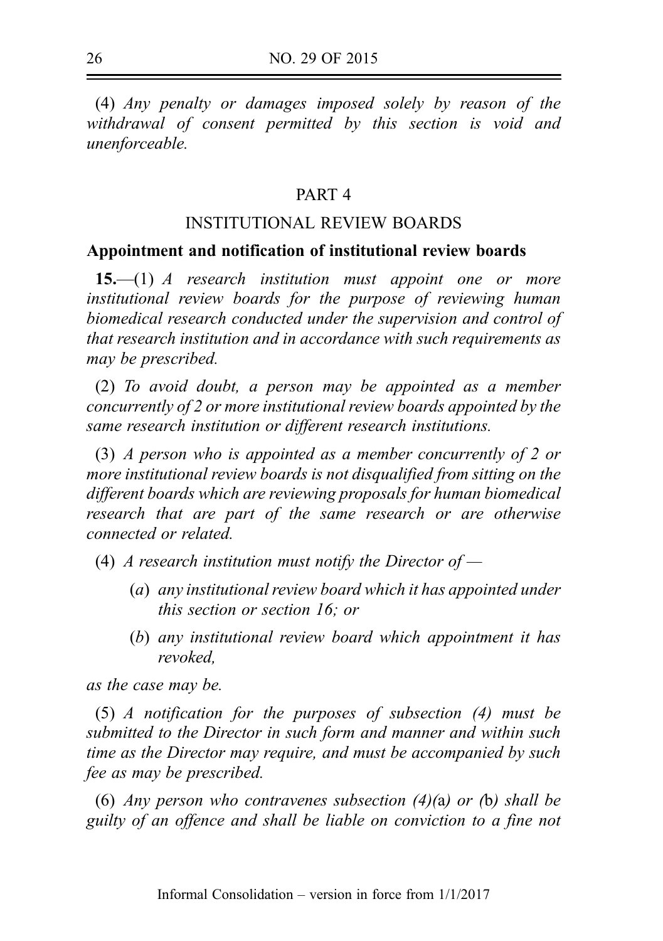(4) Any penalty or damages imposed solely by reason of the withdrawal of consent permitted by this section is void and unenforceable.

### PART 4

## INSTITUTIONAL REVIEW BOARDS

### Appointment and notification of institutional review boards

**15.—(1)** A research institution must appoint one or more institutional review boards for the purpose of reviewing human biomedical research conducted under the supervision and control of that research institution and in accordance with such requirements as may be prescribed.

(2) To avoid doubt, a person may be appointed as a member concurrently of 2 or more institutional review boards appointed by the same research institution or different research institutions.

(3) A person who is appointed as a member concurrently of 2 or more institutional review boards is not disqualified from sitting on the different boards which are reviewing proposals for human biomedical research that are part of the same research or are otherwise connected or related.

(4) A research institution must notify the Director of  $-$ 

- (a) any institutional review board which it has appointed under this section or section 16; or
- (b) any institutional review board which appointment it has revoked,

as the case may be.

(5) A notification for the purposes of subsection (4) must be submitted to the Director in such form and manner and within such time as the Director may require, and must be accompanied by such fee as may be prescribed.

(6) Any person who contravenes subsection  $(4)(a)$  or (b) shall be guilty of an offence and shall be liable on conviction to a fine not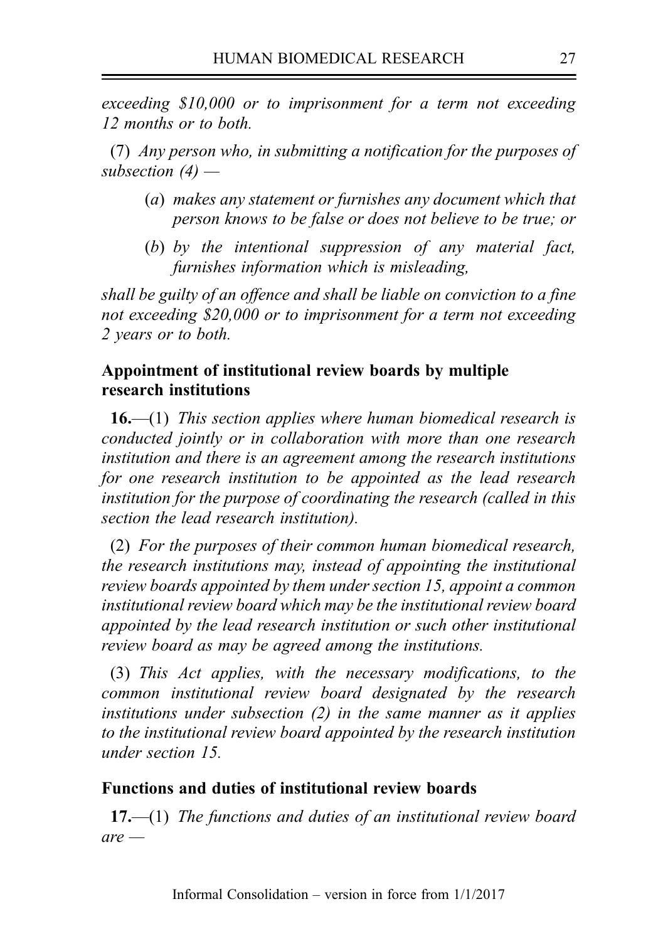exceeding \$10,000 or to imprisonment for a term not exceeding 12 months or to both.

(7) Any person who, in submitting a notification for the purposes of subsection  $(4)$  —

- (a) makes any statement or furnishes any document which that person knows to be false or does not believe to be true; or
- (b) by the intentional suppression of any material fact, furnishes information which is misleading,

shall be guilty of an offence and shall be liable on conviction to a fine not exceeding \$20,000 or to imprisonment for a term not exceeding 2 years or to both.

# Appointment of institutional review boards by multiple research institutions

**16.—(1)** This section applies where human biomedical research is conducted jointly or in collaboration with more than one research institution and there is an agreement among the research institutions for one research institution to be appointed as the lead research institution for the purpose of coordinating the research (called in this section the lead research institution).

(2) For the purposes of their common human biomedical research, the research institutions may, instead of appointing the institutional review boards appointed by them under section 15, appoint a common institutional review board which may be the institutional review board appointed by the lead research institution or such other institutional review board as may be agreed among the institutions.

(3) This Act applies, with the necessary modifications, to the common institutional review board designated by the research institutions under subsection (2) in the same manner as it applies to the institutional review board appointed by the research institution under section 15.

# Functions and duties of institutional review boards

 $17,$ —(1) The functions and duties of an institutional review board  $are$  —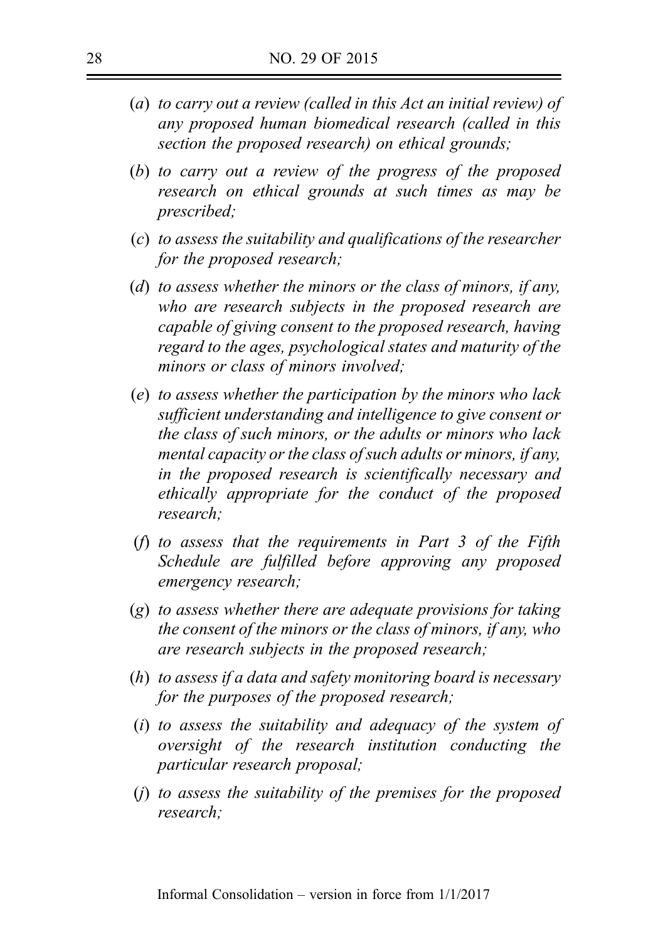- (a) to carry out a review (called in this Act an initial review) of any proposed human biomedical research (called in this section the proposed research) on ethical grounds;
- (b) to carry out a review of the progress of the proposed research on ethical grounds at such times as may be prescribed;
- (c) to assess the suitability and qualifications of the researcher for the proposed research;
- (d) to assess whether the minors or the class of minors, if any, who are research subjects in the proposed research are capable of giving consent to the proposed research, having regard to the ages, psychological states and maturity of the minors or class of minors involved;
- (e) to assess whether the participation by the minors who lack sufficient understanding and intelligence to give consent or the class of such minors, or the adults or minors who lack mental capacity or the class of such adults or minors, if any, in the proposed research is scientifically necessary and ethically appropriate for the conduct of the proposed research;
- (f) to assess that the requirements in Part 3 of the Fifth Schedule are fulfilled before approving any proposed emergency research;
- (g) to assess whether there are adequate provisions for taking the consent of the minors or the class of minors, if any, who are research subjects in the proposed research;
- (h) to assess if a data and safety monitoring board is necessary for the purposes of the proposed research;
- (i) to assess the suitability and adequacy of the system of oversight of the research institution conducting the particular research proposal;
- (j) to assess the suitability of the premises for the proposed research;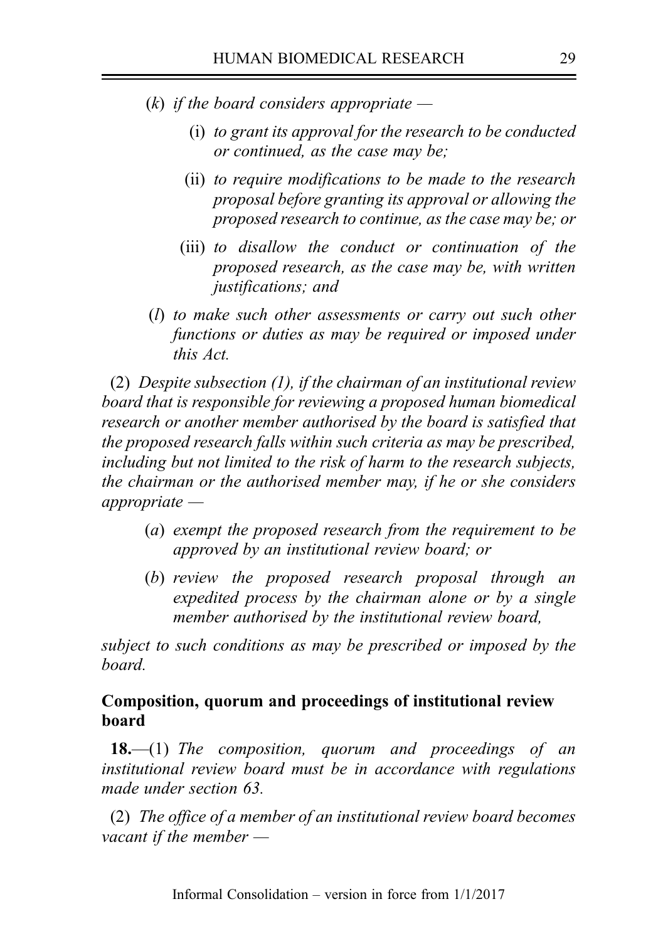- (k) if the board considers appropriate  $-$ 
	- (i) to grant its approval for the research to be conducted or continued, as the case may be;
	- (ii) to require modifications to be made to the research proposal before granting its approval or allowing the proposed research to continue, as the case may be; or
	- (iii) to disallow the conduct or continuation of the proposed research, as the case may be, with written justifications; and
- (l) to make such other assessments or carry out such other functions or duties as may be required or imposed under this Act.

(2) Despite subsection  $(1)$ , if the chairman of an institutional review board that is responsible for reviewing a proposed human biomedical research or another member authorised by the board is satisfied that the proposed research falls within such criteria as may be prescribed, including but not limited to the risk of harm to the research subjects, the chairman or the authorised member may, if he or she considers appropriate —

- (a) exempt the proposed research from the requirement to be approved by an institutional review board; or
- (b) review the proposed research proposal through an expedited process by the chairman alone or by a single member authorised by the institutional review board,

subject to such conditions as may be prescribed or imposed by the board.

# Composition, quorum and proceedings of institutional review board

**18.**—(1) The composition, quorum and proceedings of an institutional review board must be in accordance with regulations made under section 63.

(2) The office of a member of an institutional review board becomes vacant if the member —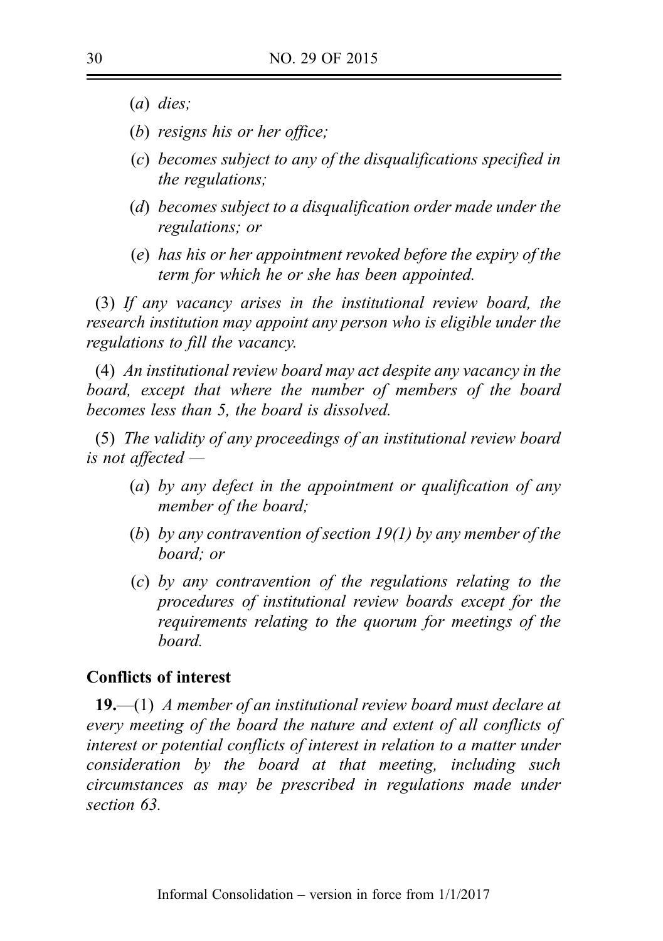- (a) dies;
- (b) resigns his or her office;
- (c) becomes subject to any of the disqualifications specified in the regulations;
- (d) becomes subject to a disqualification order made under the regulations; or
- (e) has his or her appointment revoked before the expiry of the term for which he or she has been appointed.

(3) If any vacancy arises in the institutional review board, the research institution may appoint any person who is eligible under the regulations to fill the vacancy.

(4) An institutional review board may act despite any vacancy in the board, except that where the number of members of the board becomes less than 5, the board is dissolved.

(5) The validity of any proceedings of an institutional review board is not affected —

- (a) by any defect in the appointment or qualification of any member of the board;
- (b) by any contravention of section  $19(1)$  by any member of the board; or
- (c) by any contravention of the regulations relating to the procedures of institutional review boards except for the requirements relating to the quorum for meetings of the board.

# Conflicts of interest

**19.**—(1) A member of an institutional review board must declare at every meeting of the board the nature and extent of all conflicts of interest or potential conflicts of interest in relation to a matter under consideration by the board at that meeting, including such circumstances as may be prescribed in regulations made under section 63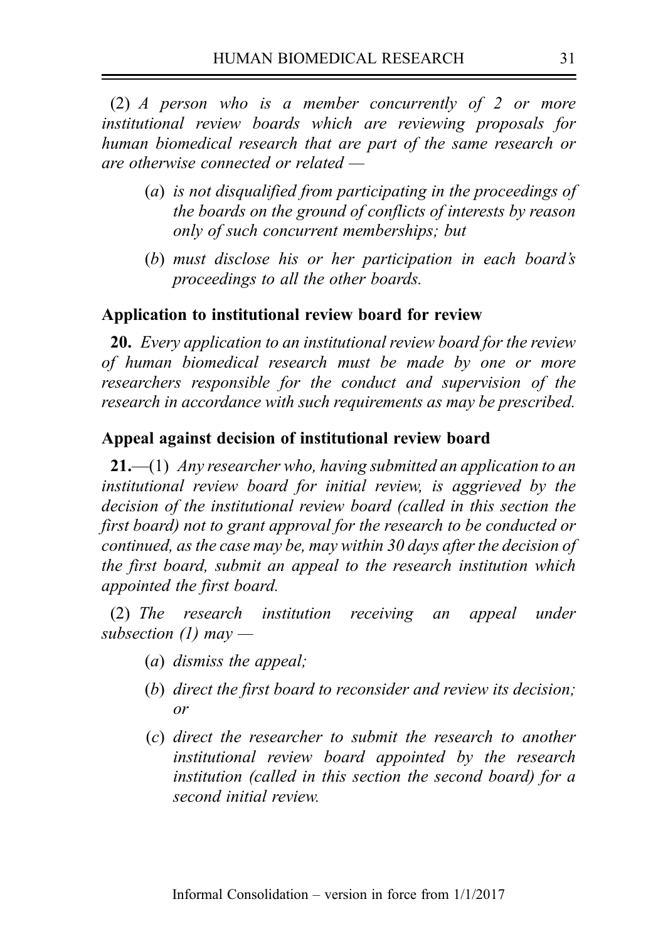(2) A person who is a member concurrently of 2 or more institutional review boards which are reviewing proposals for human biomedical research that are part of the same research or are otherwise connected or related —

- (a) is not disqualified from participating in the proceedings of the boards on the ground of conflicts of interests by reason only of such concurrent memberships; but
- (b) must disclose his or her participation in each board's proceedings to all the other boards.

### Application to institutional review board for review

20. Every application to an institutional review board for the review of human biomedical research must be made by one or more researchers responsible for the conduct and supervision of the research in accordance with such requirements as may be prescribed.

### Appeal against decision of institutional review board

 $21,$ —(1) Any researcher who, having submitted an application to an institutional review board for initial review, is aggrieved by the decision of the institutional review board (called in this section the first board) not to grant approval for the research to be conducted or continued, as the case may be, may within 30 days after the decision of the first board, submit an appeal to the research institution which appointed the first board.

(2) The research institution receiving an appeal under subsection (1) may —

- (a) dismiss the appeal;
- (b) direct the first board to reconsider and review its decision; or
- (c) direct the researcher to submit the research to another institutional review board appointed by the research institution (called in this section the second board) for a second initial review.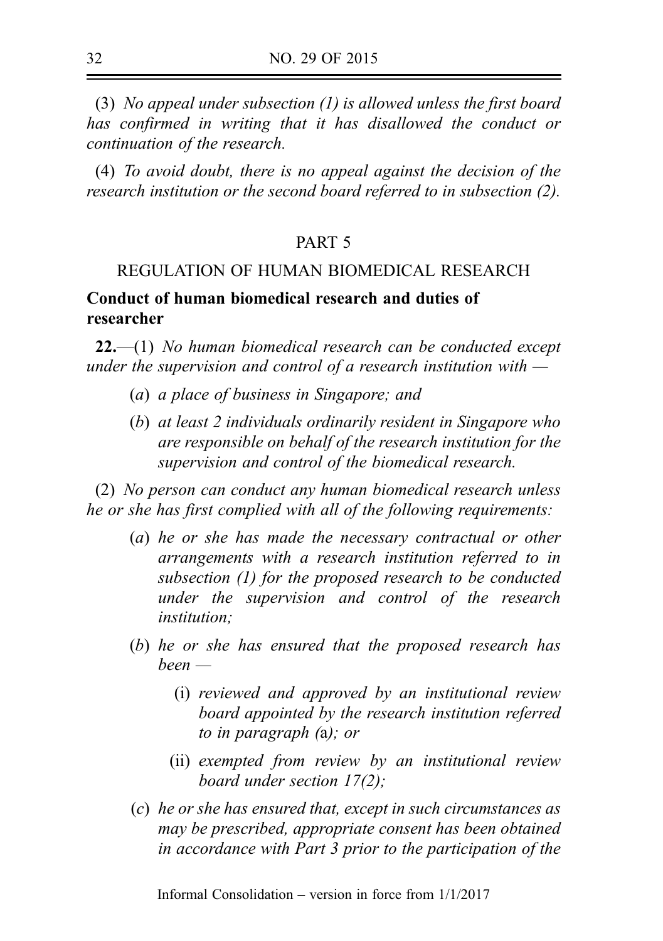(3) No appeal under subsection (1) is allowed unless the first board has confirmed in writing that it has disallowed the conduct or continuation of the research.

(4) To avoid doubt, there is no appeal against the decision of the research institution or the second board referred to in subsection (2).

# PART 5

# REGULATION OF HUMAN BIOMEDICAL RESEARCH

# Conduct of human biomedical research and duties of researcher

 $22$ ,  $-$ (1) No human biomedical research can be conducted except under the supervision and control of a research institution with  $-$ 

- (a) a place of business in Singapore; and
- (b) at least 2 individuals ordinarily resident in Singapore who are responsible on behalf of the research institution for the supervision and control of the biomedical research.

(2) No person can conduct any human biomedical research unless he or she has first complied with all of the following requirements:

- (a) he or she has made the necessary contractual or other arrangements with a research institution referred to in subsection (1) for the proposed research to be conducted under the supervision and control of the research institution;
- (b) he or she has ensured that the proposed research has been —
	- (i) reviewed and approved by an institutional review board appointed by the research institution referred to in paragraph (a); or
	- (ii) exempted from review by an institutional review board under section 17(2);
- (c) he or she has ensured that, except in such circumstances as may be prescribed, appropriate consent has been obtained in accordance with Part 3 prior to the participation of the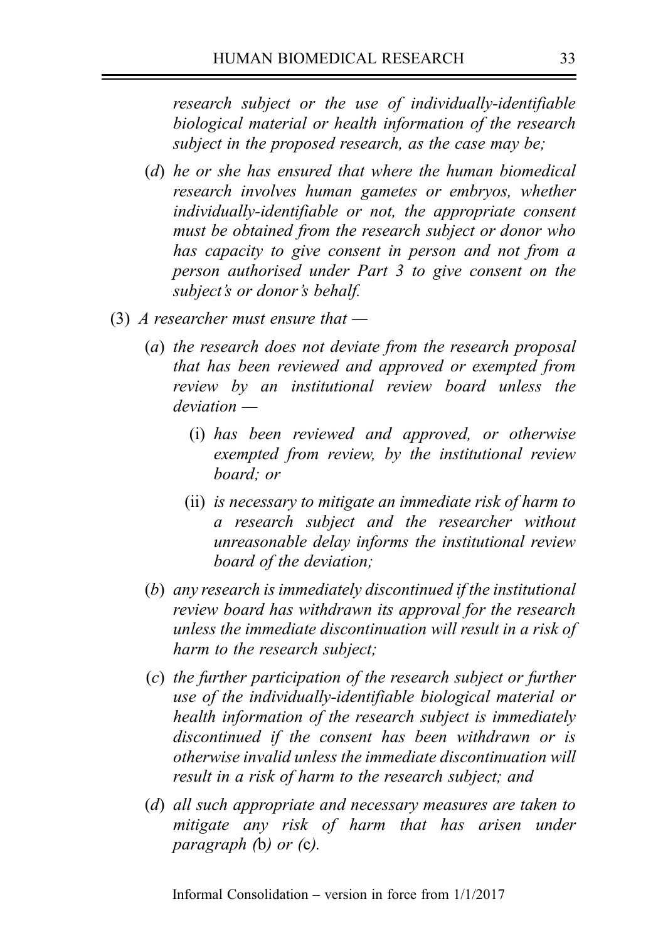research subject or the use of individually-identifiable biological material or health information of the research subject in the proposed research, as the case may be;

- (d) he or she has ensured that where the human biomedical research involves human gametes or embryos, whether individually‑identifiable or not, the appropriate consent must be obtained from the research subject or donor who has capacity to give consent in person and not from a person authorised under Part 3 to give consent on the subject's or donor's behalf.
- (3) A researcher must ensure that  $-$ 
	- (a) the research does not deviate from the research proposal that has been reviewed and approved or exempted from review by an institutional review board unless the deviation —
		- (i) has been reviewed and approved, or otherwise exempted from review, by the institutional review board; or
		- (ii) is necessary to mitigate an immediate risk of harm to a research subject and the researcher without unreasonable delay informs the institutional review board of the deviation;
	- (b) any research is immediately discontinued if the institutional review board has withdrawn its approval for the research unless the immediate discontinuation will result in a risk of harm to the research subject;
	- (c) the further participation of the research subject or further use of the individually-identifiable biological material or health information of the research subject is immediately discontinued if the consent has been withdrawn or is otherwise invalid unless the immediate discontinuation will result in a risk of harm to the research subject; and
	- (d) all such appropriate and necessary measures are taken to mitigate any risk of harm that has arisen under paragraph (b) or (c).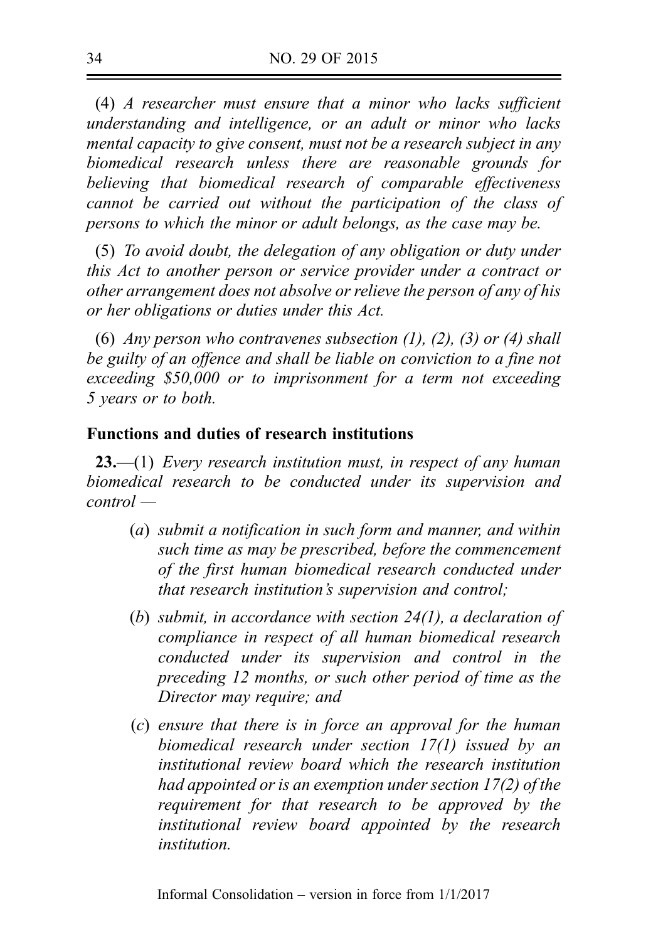(4) A researcher must ensure that a minor who lacks sufficient understanding and intelligence, or an adult or minor who lacks mental capacity to give consent, must not be a research subject in any biomedical research unless there are reasonable grounds for believing that biomedical research of comparable effectiveness cannot be carried out without the participation of the class of persons to which the minor or adult belongs, as the case may be.

(5) To avoid doubt, the delegation of any obligation or duty under this Act to another person or service provider under a contract or other arrangement does not absolve or relieve the person of any of his or her obligations or duties under this Act.

(6) Any person who contravenes subsection  $(1)$ ,  $(2)$ ,  $(3)$  or  $(4)$  shall be guilty of an offence and shall be liable on conviction to a fine not exceeding \$50,000 or to imprisonment for a term not exceeding 5 years or to both.

# Functions and duties of research institutions

 $23$ —(1) Every research institution must, in respect of any human biomedical research to be conducted under its supervision and control —

- (a) submit a notification in such form and manner, and within such time as may be prescribed, before the commencement of the first human biomedical research conducted under that research institution's supervision and control;
- (b) submit, in accordance with section 24(1), a declaration of compliance in respect of all human biomedical research conducted under its supervision and control in the preceding 12 months, or such other period of time as the Director may require; and
- (c) ensure that there is in force an approval for the human biomedical research under section 17(1) issued by an institutional review board which the research institution had appointed or is an exemption under section 17(2) of the requirement for that research to be approved by the institutional review board appointed by the research institution.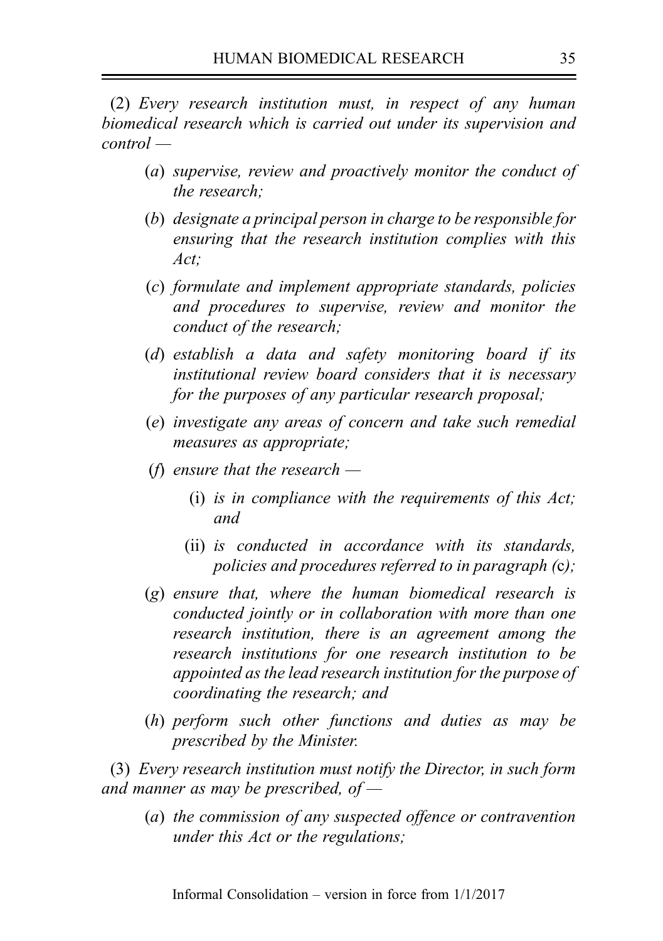(2) Every research institution must, in respect of any human biomedical research which is carried out under its supervision and control —

- (a) supervise, review and proactively monitor the conduct of the research;
- (b) designate a principal person in charge to be responsible for ensuring that the research institution complies with this Act;
- (c) formulate and implement appropriate standards, policies and procedures to supervise, review and monitor the conduct of the research;
- (d) establish a data and safety monitoring board if its institutional review board considers that it is necessary for the purposes of any particular research proposal;
- (e) investigate any areas of concern and take such remedial measures as appropriate;
- (f) ensure that the research  $-$ 
	- (i) is in compliance with the requirements of this Act; and
	- (ii) is conducted in accordance with its standards, policies and procedures referred to in paragraph (c);
- (g) ensure that, where the human biomedical research is conducted jointly or in collaboration with more than one research institution, there is an agreement among the research institutions for one research institution to be appointed as the lead research institution for the purpose of coordinating the research; and
- (h) perform such other functions and duties as may be prescribed by the Minister.

(3) Every research institution must notify the Director, in such form and manner as may be prescribed, of  $-$ 

(a) the commission of any suspected offence or contravention under this Act or the regulations;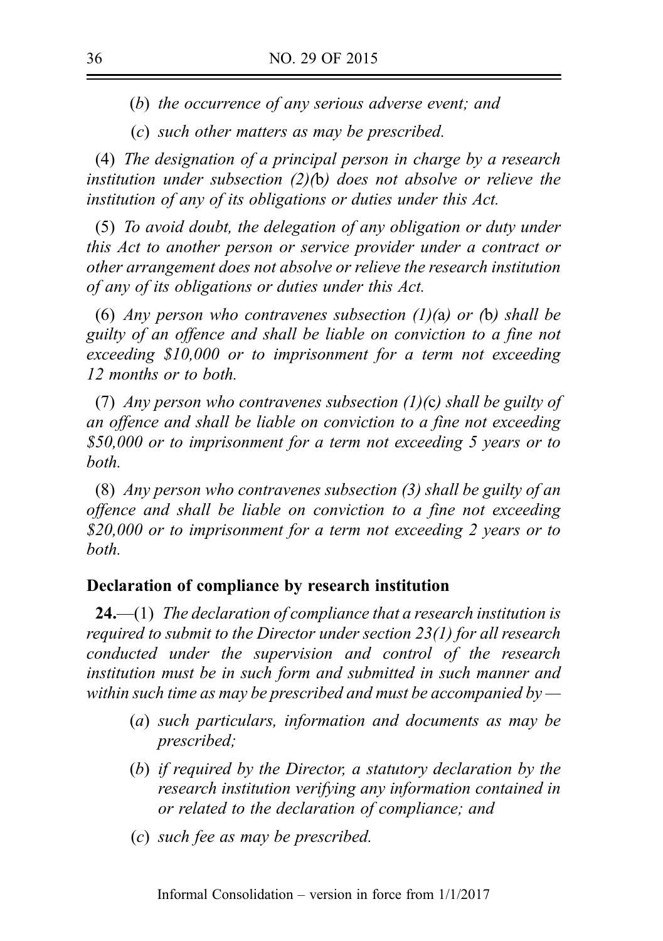(b) the occurrence of any serious adverse event; and

(c) such other matters as may be prescribed.

(4) The designation of a principal person in charge by a research institution under subsection (2)(b) does not absolve or relieve the institution of any of its obligations or duties under this Act.

(5) To avoid doubt, the delegation of any obligation or duty under this Act to another person or service provider under a contract or other arrangement does not absolve or relieve the research institution of any of its obligations or duties under this Act.

(6) Any person who contravenes subsection (1)(a) or (b) shall be guilty of an offence and shall be liable on conviction to a fine not exceeding \$10,000 or to imprisonment for a term not exceeding 12 months or to both.

(7) Any person who contravenes subsection (1)(c) shall be guilty of an offence and shall be liable on conviction to a fine not exceeding \$50,000 or to imprisonment for a term not exceeding 5 years or to both.

(8) Any person who contravenes subsection (3) shall be guilty of an offence and shall be liable on conviction to a fine not exceeding \$20,000 or to imprisonment for a term not exceeding 2 years or to both.

### Declaration of compliance by research institution

**24.**—(1) The declaration of compliance that a research institution is required to submit to the Director under section 23(1) for all research conducted under the supervision and control of the research institution must be in such form and submitted in such manner and within such time as may be prescribed and must be accompanied by  $-$ 

- (a) such particulars, information and documents as may be prescribed;
- (b) if required by the Director, a statutory declaration by the research institution verifying any information contained in or related to the declaration of compliance; and
- (c) such fee as may be prescribed.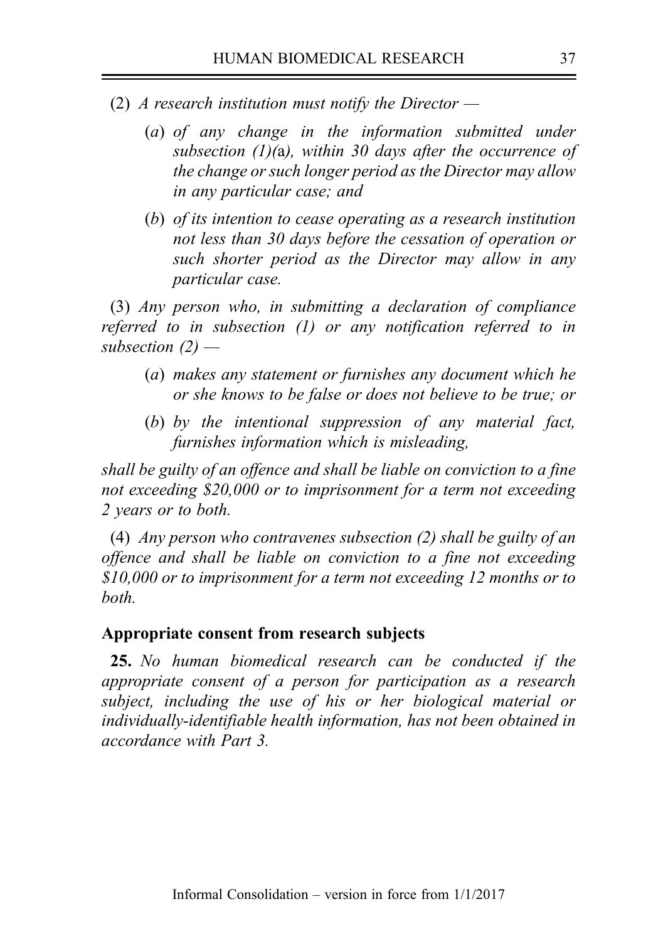- (2) A research institution must notify the Director  $-$ 
	- (a) of any change in the information submitted under subsection  $(1)(a)$ , within 30 days after the occurrence of the change or such longer period as the Director may allow in any particular case; and
	- (b) of its intention to cease operating as a research institution not less than 30 days before the cessation of operation or such shorter period as the Director may allow in any particular case.

(3) Any person who, in submitting a declaration of compliance referred to in subsection (1) or any notification referred to in subsection  $(2)$  —

- (a) makes any statement or furnishes any document which he or she knows to be false or does not believe to be true; or
- (b) by the intentional suppression of any material fact, furnishes information which is misleading,

shall be guilty of an offence and shall be liable on conviction to a fine not exceeding \$20,000 or to imprisonment for a term not exceeding 2 years or to both.

(4) Any person who contravenes subsection (2) shall be guilty of an offence and shall be liable on conviction to a fine not exceeding \$10,000 or to imprisonment for a term not exceeding 12 months or to both.

#### Appropriate consent from research subjects

25. No human biomedical research can be conducted if the appropriate consent of a person for participation as a research subject, including the use of his or her biological material or individually-identifiable health information, has not been obtained in accordance with Part 3.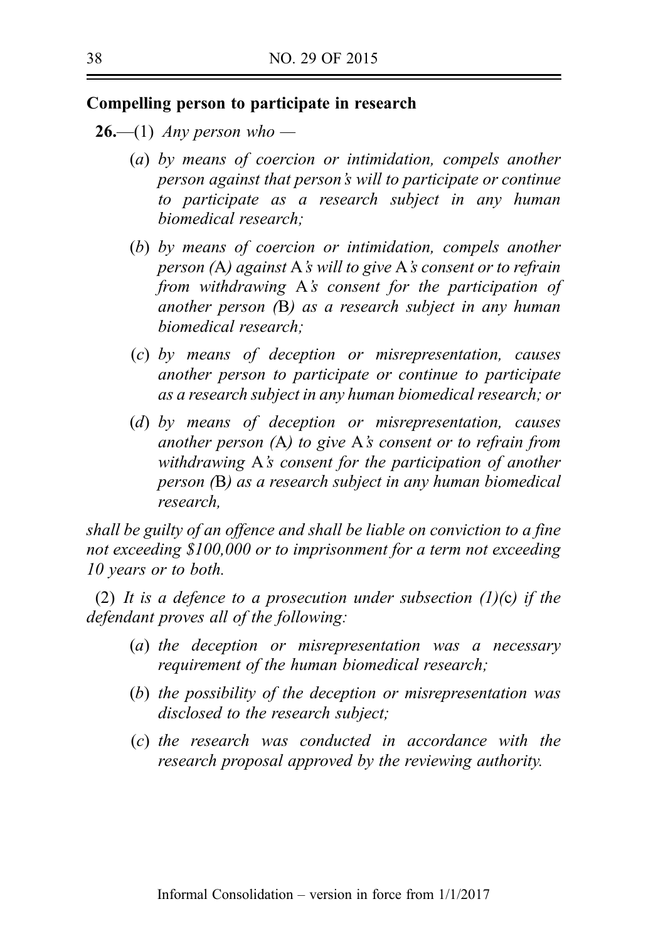### Compelling person to participate in research

- **26.—(1)** Any person who
	- (a) by means of coercion or intimidation, compels another person against that person's will to participate or continue to participate as a research subject in any human biomedical research;
	- (b) by means of coercion or intimidation, compels another person (A) against A's will to give A's consent or to refrain from withdrawing A's consent for the participation of another person (B) as a research subject in any human biomedical research;
	- (c) by means of deception or misrepresentation, causes another person to participate or continue to participate as a research subject in any human biomedical research; or
	- (d) by means of deception or misrepresentation, causes another person (A) to give A's consent or to refrain from withdrawing A's consent for the participation of another person (B) as a research subject in any human biomedical research,

shall be guilty of an offence and shall be liable on conviction to a fine not exceeding \$100,000 or to imprisonment for a term not exceeding 10 years or to both.

(2) It is a defence to a prosecution under subsection  $(1)(c)$  if the defendant proves all of the following:

- (a) the deception or misrepresentation was a necessary requirement of the human biomedical research;
- (b) the possibility of the deception or misrepresentation was disclosed to the research subject;
- (c) the research was conducted in accordance with the research proposal approved by the reviewing authority.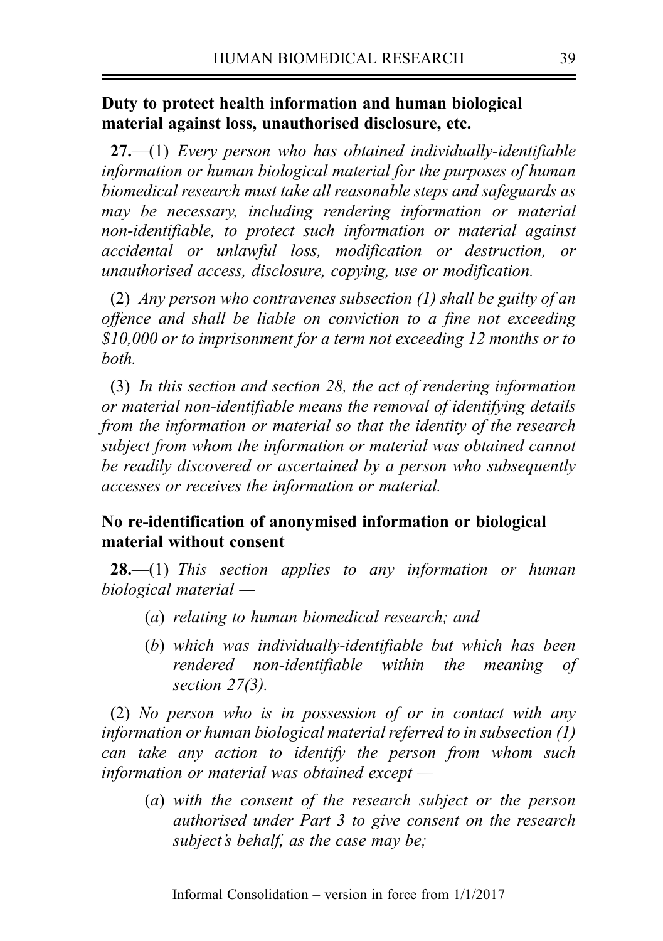## Duty to protect health information and human biological material against loss, unauthorised disclosure, etc.

 $27.$ —(1) Every person who has obtained individually-identifiable information or human biological material for the purposes of human biomedical research must take all reasonable steps and safeguards as may be necessary, including rendering information or material non-identifiable, to protect such information or material against accidental or unlawful loss, modification or destruction, or unauthorised access, disclosure, copying, use or modification.

(2) Any person who contravenes subsection (1) shall be guilty of an offence and shall be liable on conviction to a fine not exceeding \$10,000 or to imprisonment for a term not exceeding 12 months or to both.

(3) In this section and section 28, the act of rendering information or material non-identifiable means the removal of identifying details from the information or material so that the identity of the research subject from whom the information or material was obtained cannot be readily discovered or ascertained by a person who subsequently accesses or receives the information or material.

## No re-identification of anonymised information or biological material without consent

**28.**—(1) This section applies to any information or human biological material —

- (a) relating to human biomedical research; and
- (b) which was individually-identifiable but which has been rendered non-identifiable within the meaning of section 27(3).

(2) No person who is in possession of or in contact with any information or human biological material referred to in subsection (1) can take any action to identify the person from whom such information or material was obtained except —

(a) with the consent of the research subject or the person authorised under Part 3 to give consent on the research subject's behalf, as the case may be;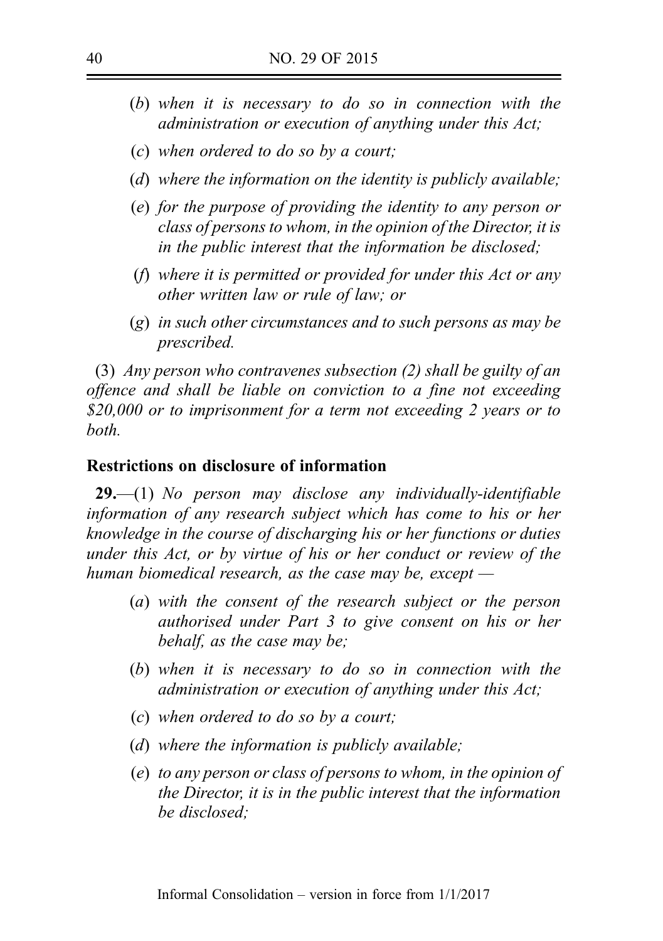- (b) when it is necessary to do so in connection with the administration or execution of anything under this Act;
- (c) when ordered to do so by a court;
- (d) where the information on the identity is publicly available;
- (e) for the purpose of providing the identity to any person or class of persons to whom, in the opinion of the Director, it is in the public interest that the information be disclosed;
- (f) where it is permitted or provided for under this Act or any other written law or rule of law; or
- (g) in such other circumstances and to such persons as may be prescribed.

(3) Any person who contravenes subsection (2) shall be guilty of an offence and shall be liable on conviction to a fine not exceeding \$20,000 or to imprisonment for a term not exceeding 2 years or to both.

### Restrictions on disclosure of information

 $29$ —(1) No person may disclose any individually-identifiable information of any research subject which has come to his or her knowledge in the course of discharging his or her functions or duties under this Act, or by virtue of his or her conduct or review of the human biomedical research, as the case may be, except —

- (a) with the consent of the research subject or the person authorised under Part 3 to give consent on his or her behalf, as the case may be;
- (b) when it is necessary to do so in connection with the administration or execution of anything under this Act;
- (c) when ordered to do so by a court;
- (d) where the information is publicly available;
- (e) to any person or class of persons to whom, in the opinion of the Director, it is in the public interest that the information be disclosed;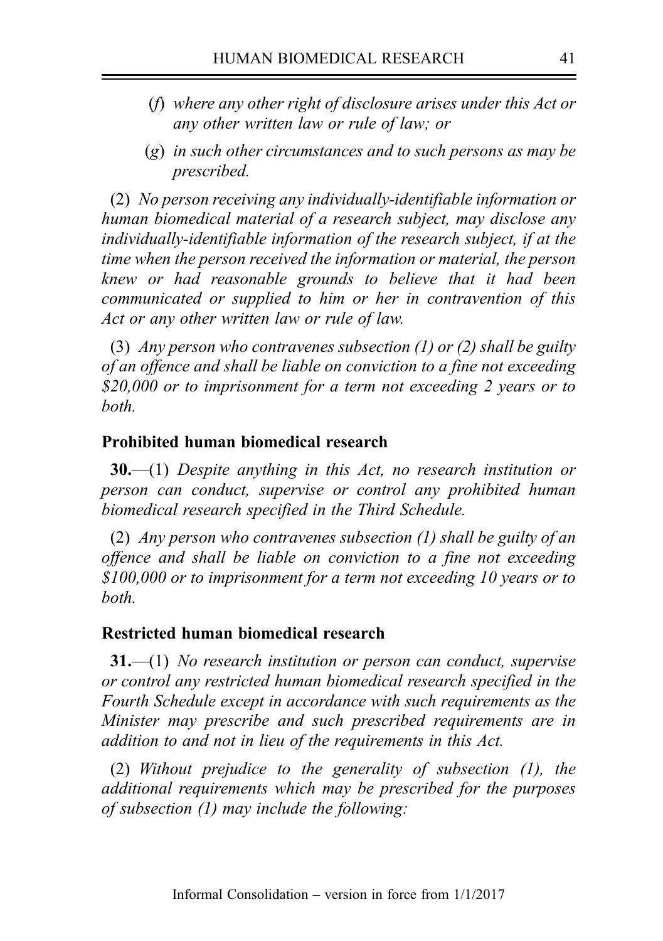- (f) where any other right of disclosure arises under this Act or any other written law or rule of law; or
- (g) in such other circumstances and to such persons as may be prescribed.

(2) No person receiving any individually-identifiable information or human biomedical material of a research subject, may disclose any individually-identifiable information of the research subject, if at the time when the person received the information or material, the person knew or had reasonable grounds to believe that it had been communicated or supplied to him or her in contravention of this Act or any other written law or rule of law.

(3) Any person who contravenes subsection  $(1)$  or  $(2)$  shall be guilty of an offence and shall be liable on conviction to a fine not exceeding \$20,000 or to imprisonment for a term not exceeding 2 years or to both.

### Prohibited human biomedical research

 $30$ —(1) Despite anything in this Act, no research institution or person can conduct, supervise or control any prohibited human biomedical research specified in the Third Schedule.

(2) Any person who contravenes subsection (1) shall be guilty of an offence and shall be liable on conviction to a fine not exceeding \$100,000 or to imprisonment for a term not exceeding 10 years or to both.

### Restricted human biomedical research

 $31,$ —(1) No research institution or person can conduct, supervise or control any restricted human biomedical research specified in the Fourth Schedule except in accordance with such requirements as the Minister may prescribe and such prescribed requirements are in addition to and not in lieu of the requirements in this Act.

(2) Without prejudice to the generality of subsection (1), the additional requirements which may be prescribed for the purposes of subsection (1) may include the following: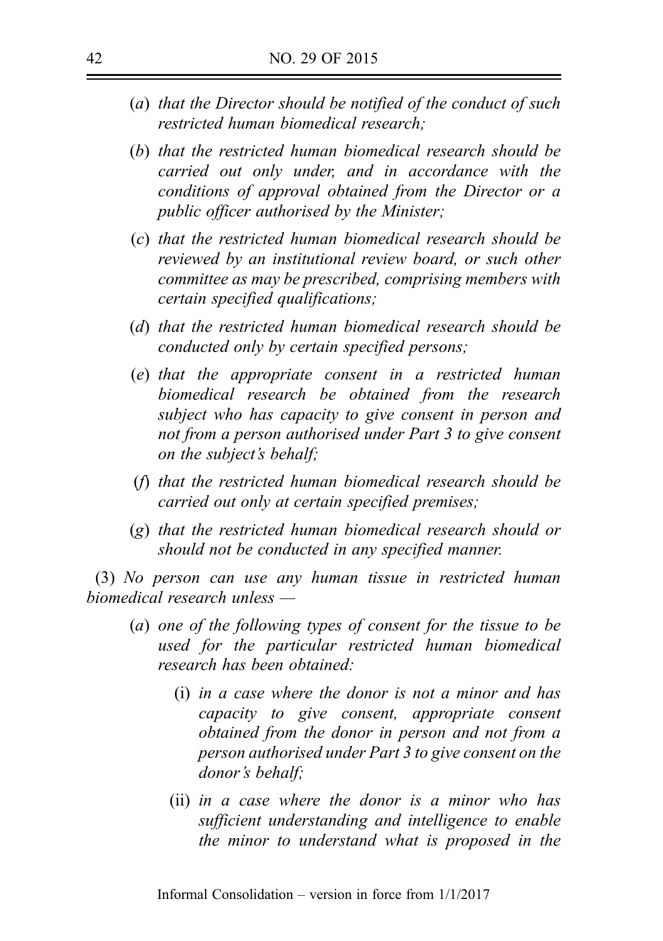- (a) that the Director should be notified of the conduct of such restricted human biomedical research;
- (b) that the restricted human biomedical research should be carried out only under, and in accordance with the conditions of approval obtained from the Director or a public officer authorised by the Minister;
- (c) that the restricted human biomedical research should be reviewed by an institutional review board, or such other committee as may be prescribed, comprising members with certain specified qualifications;
- (d) that the restricted human biomedical research should be conducted only by certain specified persons;
- (e) that the appropriate consent in a restricted human biomedical research be obtained from the research subject who has capacity to give consent in person and not from a person authorised under Part 3 to give consent on the subject's behalf;
- (f) that the restricted human biomedical research should be carried out only at certain specified premises;
- (g) that the restricted human biomedical research should or should not be conducted in any specified manner.

(3) No person can use any human tissue in restricted human biomedical research unless —

- (a) one of the following types of consent for the tissue to be used for the particular restricted human biomedical research has been obtained:
	- (i) in a case where the donor is not a minor and has capacity to give consent, appropriate consent obtained from the donor in person and not from a person authorised under Part 3 to give consent on the donor's behalf;
	- (ii) in a case where the donor is a minor who has sufficient understanding and intelligence to enable the minor to understand what is proposed in the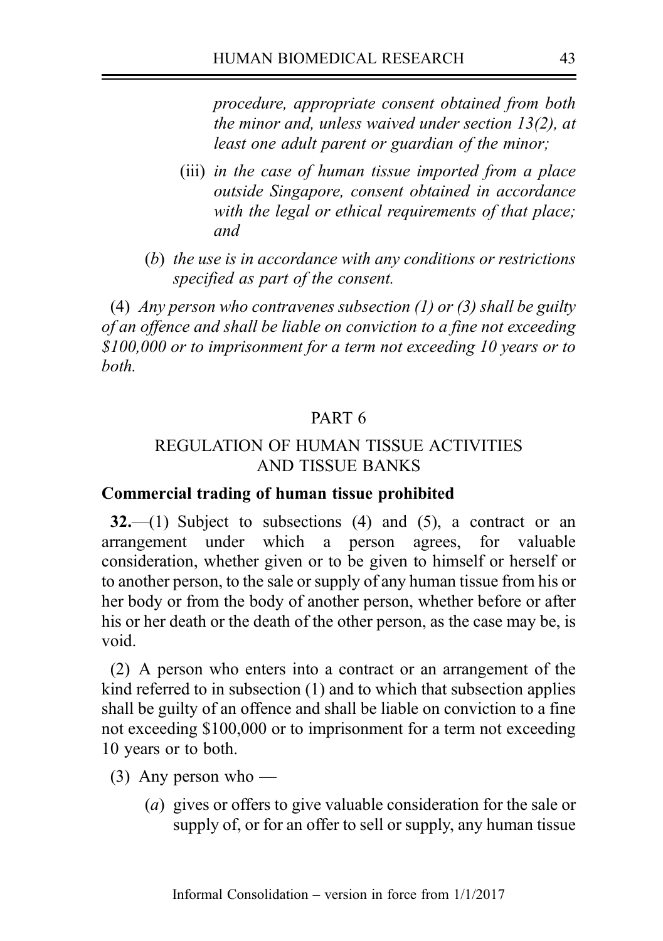procedure, appropriate consent obtained from both the minor and, unless waived under section 13(2), at least one adult parent or guardian of the minor;

- (iii) in the case of human tissue imported from a place outside Singapore, consent obtained in accordance with the legal or ethical requirements of that place; and
- (b) the use is in accordance with any conditions or restrictions specified as part of the consent.

(4) Any person who contravenes subsection  $(1)$  or  $(3)$  shall be guilty of an offence and shall be liable on conviction to a fine not exceeding \$100,000 or to imprisonment for a term not exceeding 10 years or to both.

## PART 6

## REGULATION OF HUMAN TISSUE ACTIVITIES AND TISSUE BANKS

#### Commercial trading of human tissue prohibited

 $32$ ,  $\left(1\right)$  Subject to subsections (4) and (5), a contract or an arrangement under which a person agrees, for valuable consideration, whether given or to be given to himself or herself or to another person, to the sale or supply of any human tissue from his or her body or from the body of another person, whether before or after his or her death or the death of the other person, as the case may be, is void.

(2) A person who enters into a contract or an arrangement of the kind referred to in subsection (1) and to which that subsection applies shall be guilty of an offence and shall be liable on conviction to a fine not exceeding \$100,000 or to imprisonment for a term not exceeding 10 years or to both.

- (3) Any person who
	- (a) gives or offers to give valuable consideration for the sale or supply of, or for an offer to sell or supply, any human tissue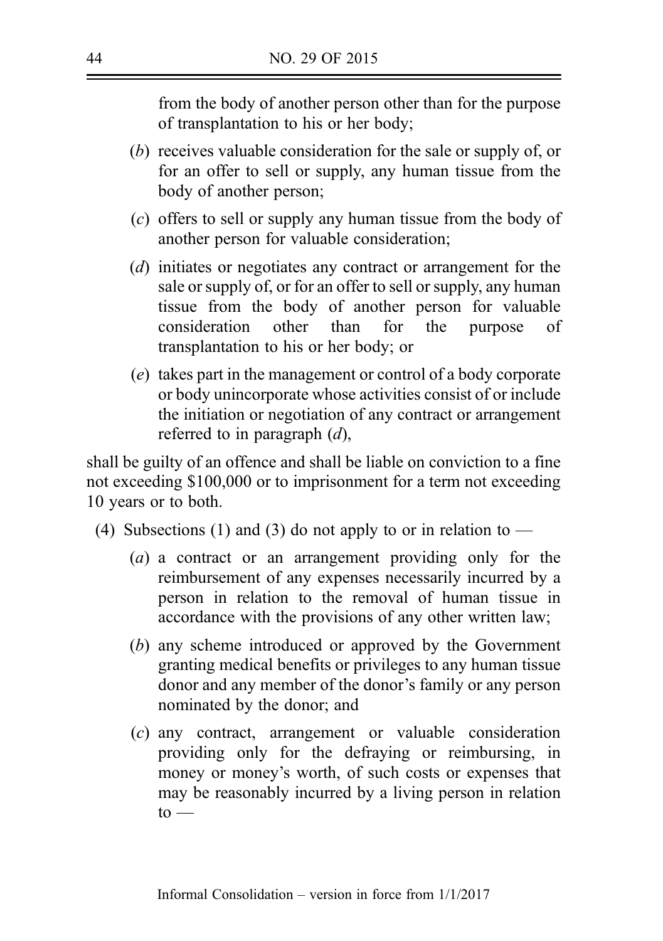from the body of another person other than for the purpose of transplantation to his or her body;

- (b) receives valuable consideration for the sale or supply of, or for an offer to sell or supply, any human tissue from the body of another person;
- (c) offers to sell or supply any human tissue from the body of another person for valuable consideration;
- (d) initiates or negotiates any contract or arrangement for the sale or supply of, or for an offer to sell or supply, any human tissue from the body of another person for valuable consideration other than for the purpose of transplantation to his or her body; or
- (e) takes part in the management or control of a body corporate or body unincorporate whose activities consist of or include the initiation or negotiation of any contract or arrangement referred to in paragraph  $(d)$ ,

shall be guilty of an offence and shall be liable on conviction to a fine not exceeding \$100,000 or to imprisonment for a term not exceeding 10 years or to both.

- (4) Subsections (1) and (3) do not apply to or in relation to
	- (a) a contract or an arrangement providing only for the reimbursement of any expenses necessarily incurred by a person in relation to the removal of human tissue in accordance with the provisions of any other written law;
	- (b) any scheme introduced or approved by the Government granting medical benefits or privileges to any human tissue donor and any member of the donor's family or any person nominated by the donor; and
	- (c) any contract, arrangement or valuable consideration providing only for the defraying or reimbursing, in money or money's worth, of such costs or expenses that may be reasonably incurred by a living person in relation  $to -$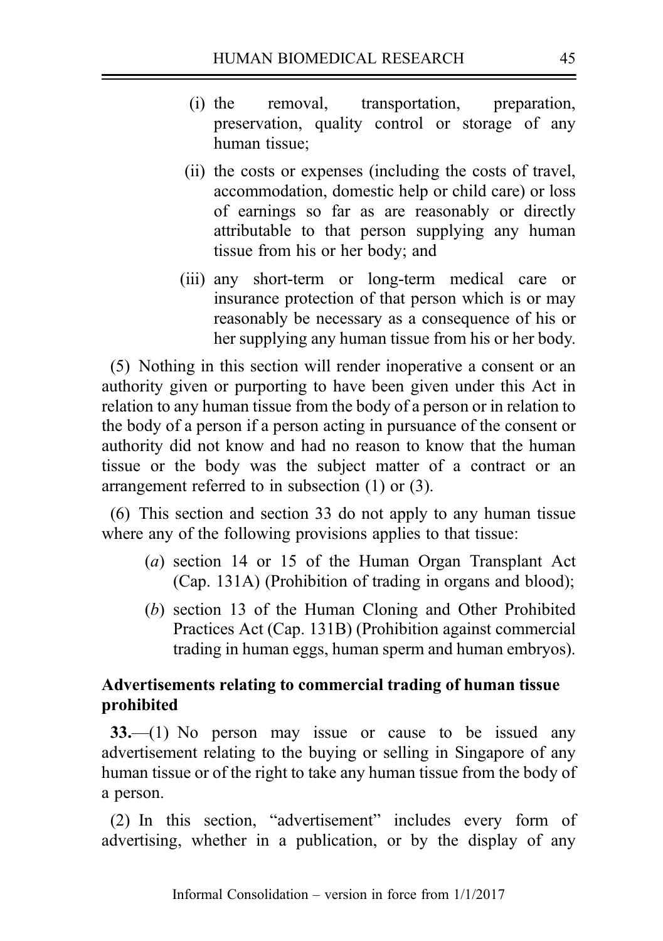- (i) the removal, transportation, preparation, preservation, quality control or storage of any human tissue;
- (ii) the costs or expenses (including the costs of travel, accommodation, domestic help or child care) or loss of earnings so far as are reasonably or directly attributable to that person supplying any human tissue from his or her body; and
- (iii) any short-term or long-term medical care or insurance protection of that person which is or may reasonably be necessary as a consequence of his or her supplying any human tissue from his or her body.

(5) Nothing in this section will render inoperative a consent or an authority given or purporting to have been given under this Act in relation to any human tissue from the body of a person or in relation to the body of a person if a person acting in pursuance of the consent or authority did not know and had no reason to know that the human tissue or the body was the subject matter of a contract or an arrangement referred to in subsection (1) or (3).

(6) This section and section 33 do not apply to any human tissue where any of the following provisions applies to that tissue:

- (a) section 14 or 15 of the Human Organ Transplant Act (Cap. 131A) (Prohibition of trading in organs and blood);
- (b) section 13 of the Human Cloning and Other Prohibited Practices Act (Cap. 131B) (Prohibition against commercial trading in human eggs, human sperm and human embryos).

## Advertisements relating to commercial trading of human tissue prohibited

33.—(1) No person may issue or cause to be issued any advertisement relating to the buying or selling in Singapore of any human tissue or of the right to take any human tissue from the body of a person.

(2) In this section, "advertisement" includes every form of advertising, whether in a publication, or by the display of any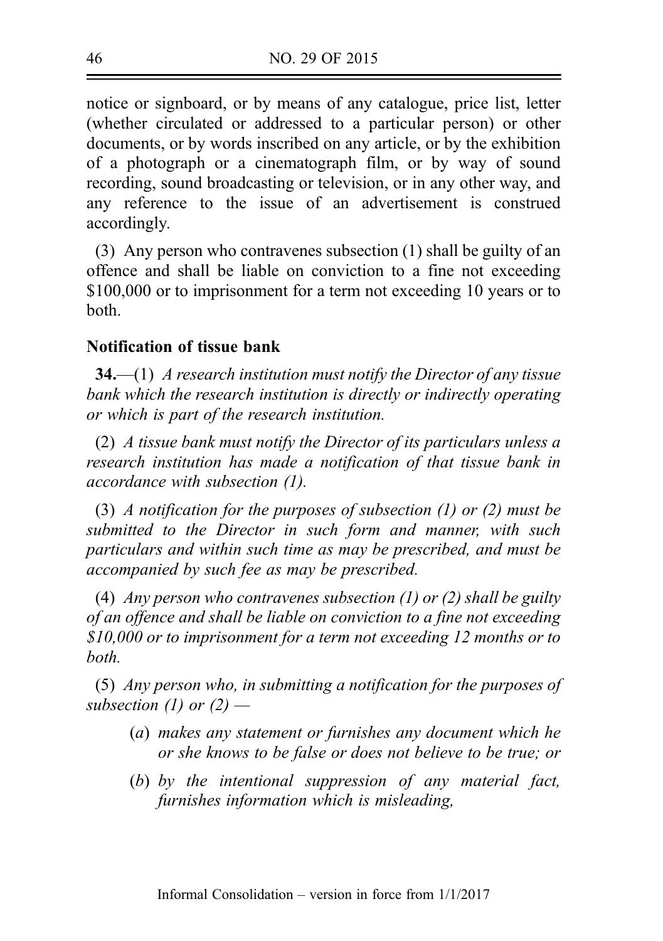notice or signboard, or by means of any catalogue, price list, letter (whether circulated or addressed to a particular person) or other documents, or by words inscribed on any article, or by the exhibition of a photograph or a cinematograph film, or by way of sound recording, sound broadcasting or television, or in any other way, and any reference to the issue of an advertisement is construed accordingly.

(3) Any person who contravenes subsection (1) shall be guilty of an offence and shall be liable on conviction to a fine not exceeding \$100,000 or to imprisonment for a term not exceeding 10 years or to both.

## Notification of tissue bank

**34.**—(1) A research institution must notify the Director of any tissue bank which the research institution is directly or indirectly operating or which is part of the research institution.

(2) A tissue bank must notify the Director of its particulars unless a research institution has made a notification of that tissue bank in accordance with subsection (1).

(3) A notification for the purposes of subsection  $(1)$  or  $(2)$  must be submitted to the Director in such form and manner, with such particulars and within such time as may be prescribed, and must be accompanied by such fee as may be prescribed.

(4) Any person who contravenes subsection  $(1)$  or  $(2)$  shall be guilty of an offence and shall be liable on conviction to a fine not exceeding \$10,000 or to imprisonment for a term not exceeding 12 months or to both.

(5) Any person who, in submitting a notification for the purposes of subsection (1) or  $(2)$  —

- (a) makes any statement or furnishes any document which he or she knows to be false or does not believe to be true; or
- (b) by the intentional suppression of any material fact, furnishes information which is misleading,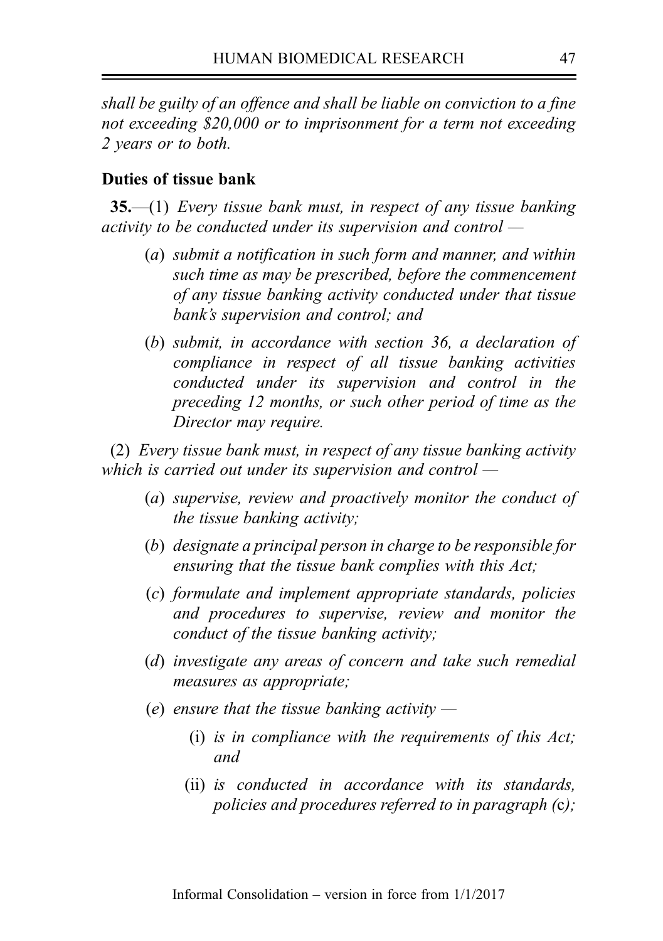shall be guilty of an offence and shall be liable on conviction to a fine not exceeding \$20,000 or to imprisonment for a term not exceeding 2 years or to both.

#### Duties of tissue bank

 $35-$ (1) Every tissue bank must, in respect of any tissue banking activity to be conducted under its supervision and control —

- (a) submit a notification in such form and manner, and within such time as may be prescribed, before the commencement of any tissue banking activity conducted under that tissue bank's supervision and control; and
- (b) submit, in accordance with section 36, a declaration of compliance in respect of all tissue banking activities conducted under its supervision and control in the preceding 12 months, or such other period of time as the Director may require.

(2) Every tissue bank must, in respect of any tissue banking activity which is carried out under its supervision and control  $-$ 

- (a) supervise, review and proactively monitor the conduct of the tissue banking activity;
- (b) designate a principal person in charge to be responsible for ensuring that the tissue bank complies with this Act;
- (c) formulate and implement appropriate standards, policies and procedures to supervise, review and monitor the conduct of the tissue banking activity;
- (d) investigate any areas of concern and take such remedial measures as appropriate;
- (e) ensure that the tissue banking activity  $-$ 
	- (i) is in compliance with the requirements of this Act; and
	- (ii) is conducted in accordance with its standards, policies and procedures referred to in paragraph (c);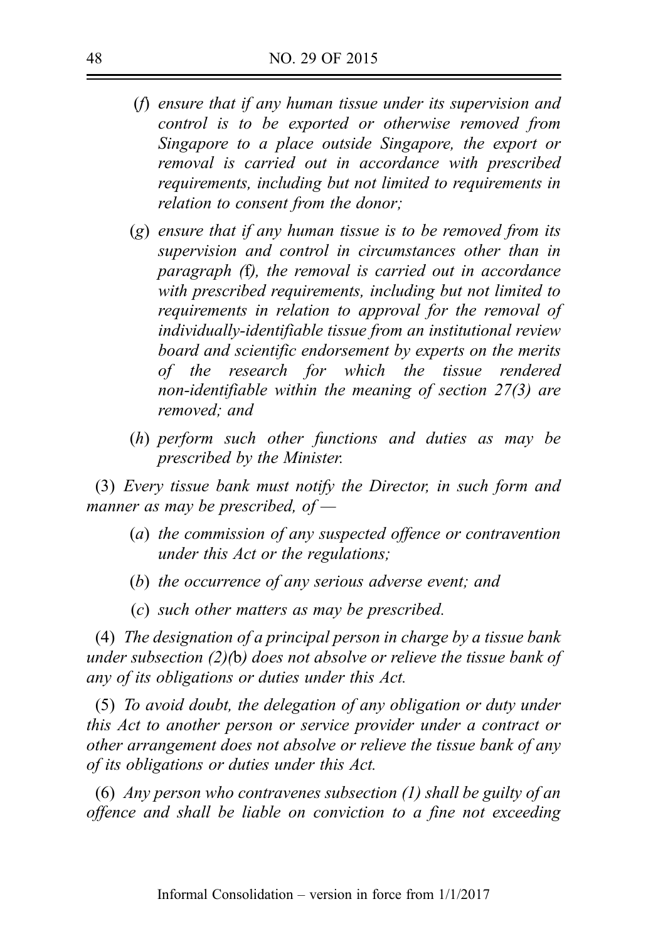- (f) ensure that if any human tissue under its supervision and control is to be exported or otherwise removed from Singapore to a place outside Singapore, the export or removal is carried out in accordance with prescribed requirements, including but not limited to requirements in relation to consent from the donor;
- $(g)$  ensure that if any human tissue is to be removed from its supervision and control in circumstances other than in paragraph (f), the removal is carried out in accordance with prescribed requirements, including but not limited to requirements in relation to approval for the removal of individually‑identifiable tissue from an institutional review board and scientific endorsement by experts on the merits of the research for which the tissue rendered non-identifiable within the meaning of section  $27(3)$  are removed; and
- (h) perform such other functions and duties as may be prescribed by the Minister.

(3) Every tissue bank must notify the Director, in such form and manner as may be prescribed, of  $-$ 

- (a) the commission of any suspected offence or contravention under this Act or the regulations;
- (b) the occurrence of any serious adverse event; and
- (c) such other matters as may be prescribed.

(4) The designation of a principal person in charge by a tissue bank under subsection (2)(b) does not absolve or relieve the tissue bank of any of its obligations or duties under this Act.

(5) To avoid doubt, the delegation of any obligation or duty under this Act to another person or service provider under a contract or other arrangement does not absolve or relieve the tissue bank of any of its obligations or duties under this Act.

(6) Any person who contravenes subsection (1) shall be guilty of an offence and shall be liable on conviction to a fine not exceeding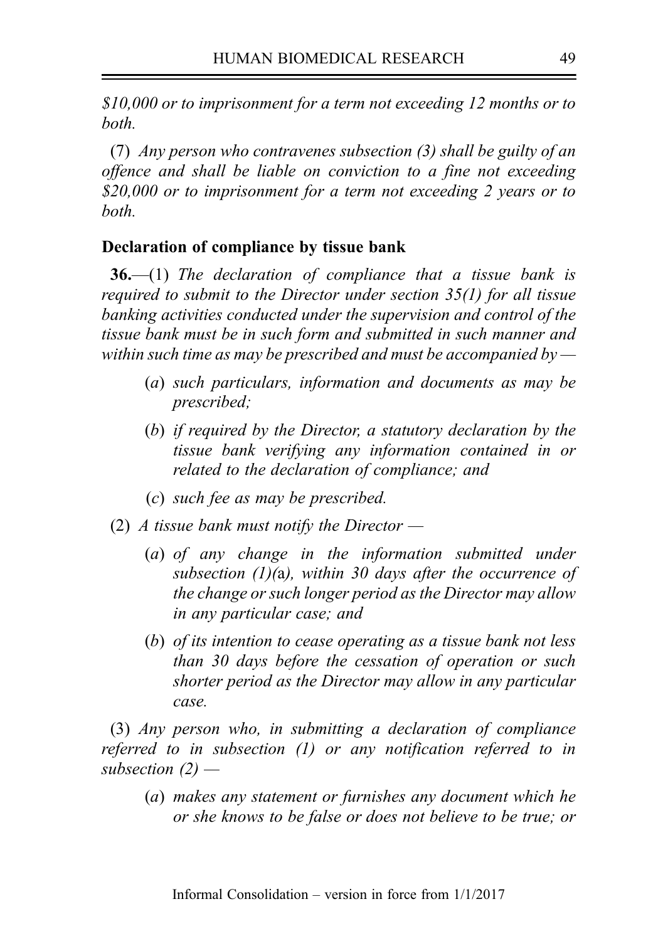\$10,000 or to imprisonment for a term not exceeding 12 months or to both.

(7) Any person who contravenes subsection (3) shall be guilty of an offence and shall be liable on conviction to a fine not exceeding \$20,000 or to imprisonment for a term not exceeding 2 years or to both.

### Declaration of compliance by tissue bank

**36.**—(1) The declaration of compliance that a tissue bank is required to submit to the Director under section 35(1) for all tissue banking activities conducted under the supervision and control of the tissue bank must be in such form and submitted in such manner and within such time as may be prescribed and must be accompanied by  $-$ 

- (a) such particulars, information and documents as may be prescribed;
- (b) if required by the Director, a statutory declaration by the tissue bank verifying any information contained in or related to the declaration of compliance; and
- (c) such fee as may be prescribed.
- (2) A tissue bank must notify the Director  $-$ 
	- (a) of any change in the information submitted under subsection  $(1)(a)$ , within 30 days after the occurrence of the change or such longer period as the Director may allow in any particular case; and
	- (b) of its intention to cease operating as a tissue bank not less than 30 days before the cessation of operation or such shorter period as the Director may allow in any particular case.

(3) Any person who, in submitting a declaration of compliance referred to in subsection (1) or any notification referred to in subsection  $(2)$  —

(a) makes any statement or furnishes any document which he or she knows to be false or does not believe to be true; or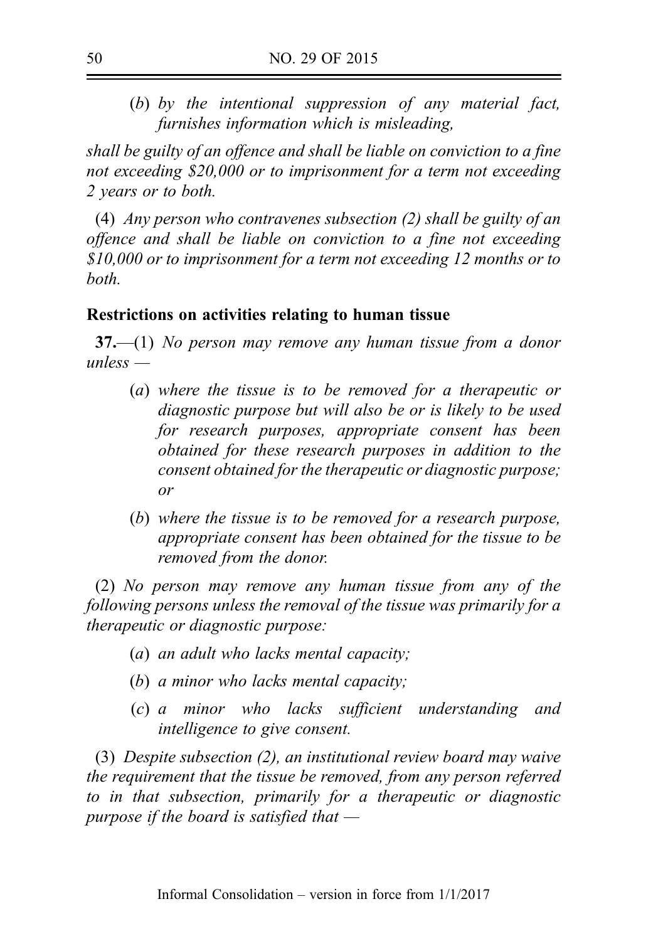(b) by the intentional suppression of any material fact, furnishes information which is misleading,

shall be guilty of an offence and shall be liable on conviction to a fine not exceeding \$20,000 or to imprisonment for a term not exceeding 2 years or to both.

(4) Any person who contravenes subsection (2) shall be guilty of an offence and shall be liable on conviction to a fine not exceeding \$10,000 or to imprisonment for a term not exceeding 12 months or to both.

## Restrictions on activities relating to human tissue

 $37$ —(1) No person may remove any human tissue from a donor  $unless -$ 

- (a) where the tissue is to be removed for a therapeutic or diagnostic purpose but will also be or is likely to be used for research purposes, appropriate consent has been obtained for these research purposes in addition to the consent obtained for the therapeutic or diagnostic purpose; or
- (b) where the tissue is to be removed for a research purpose, appropriate consent has been obtained for the tissue to be removed from the donor.

(2) No person may remove any human tissue from any of the following persons unless the removal of the tissue was primarily for a therapeutic or diagnostic purpose:

- (a) an adult who lacks mental capacity;
- (b) a minor who lacks mental capacity;
- (c) a minor who lacks sufficient understanding and intelligence to give consent.

(3) Despite subsection (2), an institutional review board may waive the requirement that the tissue be removed, from any person referred to in that subsection, primarily for a therapeutic or diagnostic purpose if the board is satisfied that  $-$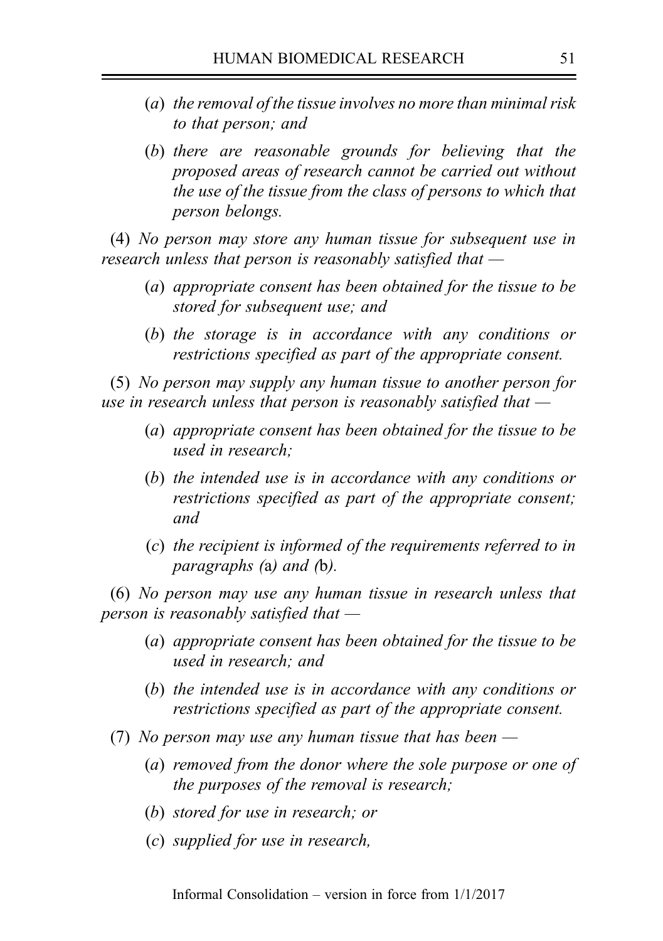- (a) the removal of the tissue involves no more than minimal risk to that person; and
- (b) there are reasonable grounds for believing that the proposed areas of research cannot be carried out without the use of the tissue from the class of persons to which that person belongs.

(4) No person may store any human tissue for subsequent use in research unless that person is reasonably satisfied that —

- (a) appropriate consent has been obtained for the tissue to be stored for subsequent use; and
- (b) the storage is in accordance with any conditions or restrictions specified as part of the appropriate consent.

(5) No person may supply any human tissue to another person for use in research unless that person is reasonably satisfied that  $-$ 

- (a) appropriate consent has been obtained for the tissue to be used in research;
- (b) the intended use is in accordance with any conditions or restrictions specified as part of the appropriate consent; and
- (c) the recipient is informed of the requirements referred to in paragraphs (a) and (b).

(6) No person may use any human tissue in research unless that person is reasonably satisfied that  $-$ 

- (a) appropriate consent has been obtained for the tissue to be used in research; and
- (b) the intended use is in accordance with any conditions or restrictions specified as part of the appropriate consent.
- (7) No person may use any human tissue that has been  $-$ 
	- (a) removed from the donor where the sole purpose or one of the purposes of the removal is research;
	- (b) stored for use in research; or
	- (c) supplied for use in research,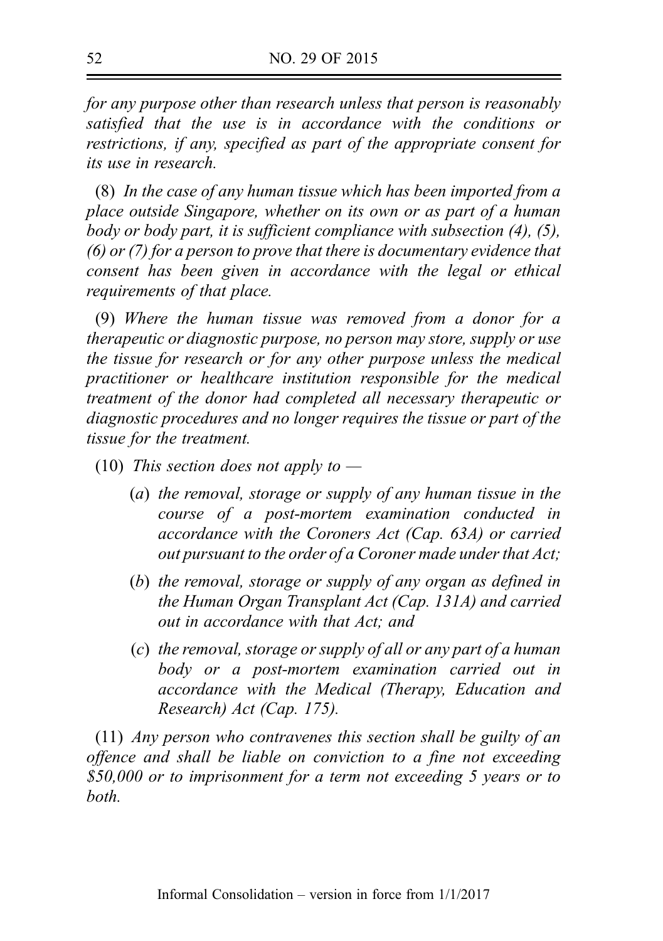for any purpose other than research unless that person is reasonably satisfied that the use is in accordance with the conditions or restrictions, if any, specified as part of the appropriate consent for its use in research.

(8) In the case of any human tissue which has been imported from a place outside Singapore, whether on its own or as part of a human body or body part, it is sufficient compliance with subsection (4), (5), (6) or (7) for a person to prove that there is documentary evidence that consent has been given in accordance with the legal or ethical requirements of that place.

(9) Where the human tissue was removed from a donor for a therapeutic or diagnostic purpose, no person may store, supply or use the tissue for research or for any other purpose unless the medical practitioner or healthcare institution responsible for the medical treatment of the donor had completed all necessary therapeutic or diagnostic procedures and no longer requires the tissue or part of the tissue for the treatment.

- (10) This section does not apply to  $-$ 
	- (a) the removal, storage or supply of any human tissue in the course of a post-mortem examination conducted in accordance with the Coroners Act (Cap. 63A) or carried out pursuant to the order of a Coroner made under that Act;
	- (b) the removal, storage or supply of any organ as defined in the Human Organ Transplant Act (Cap. 131A) and carried out in accordance with that Act; and
	- (c) the removal, storage or supply of all or any part of a human body or a post-mortem examination carried out in accordance with the Medical (Therapy, Education and Research) Act (Cap. 175).

(11) Any person who contravenes this section shall be guilty of an offence and shall be liable on conviction to a fine not exceeding \$50,000 or to imprisonment for a term not exceeding 5 years or to both.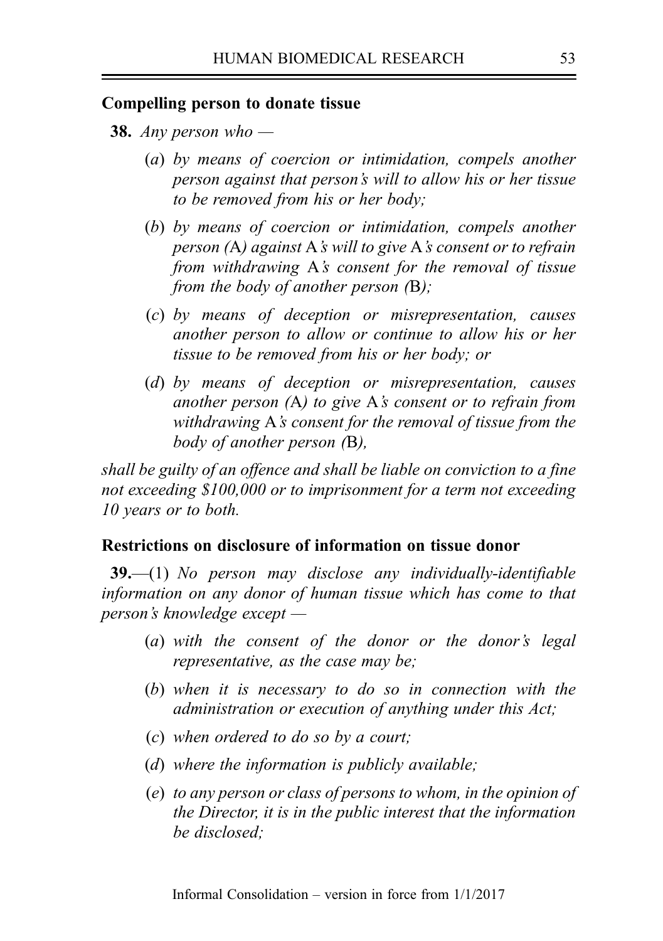#### Compelling person to donate tissue

- **38.** Any person who  $-$ 
	- (a) by means of coercion or intimidation, compels another person against that person's will to allow his or her tissue to be removed from his or her body;
	- (b) by means of coercion or intimidation, compels another person (A) against A's will to give A's consent or to refrain from withdrawing A's consent for the removal of tissue from the body of another person (B);
	- (c) by means of deception or misrepresentation, causes another person to allow or continue to allow his or her tissue to be removed from his or her body; or
	- (d) by means of deception or misrepresentation, causes another person (A) to give A's consent or to refrain from withdrawing A's consent for the removal of tissue from the body of another person (B),

shall be guilty of an offence and shall be liable on conviction to a fine not exceeding \$100,000 or to imprisonment for a term not exceeding 10 years or to both.

#### Restrictions on disclosure of information on tissue donor

39.—(1) No person may disclose any individually-identifiable information on any donor of human tissue which has come to that person's knowledge except —

- (a) with the consent of the donor or the donor's legal representative, as the case may be;
- (b) when it is necessary to do so in connection with the administration or execution of anything under this Act;
- (c) when ordered to do so by a court;
- (d) where the information is publicly available;
- (e) to any person or class of persons to whom, in the opinion of the Director, it is in the public interest that the information be disclosed;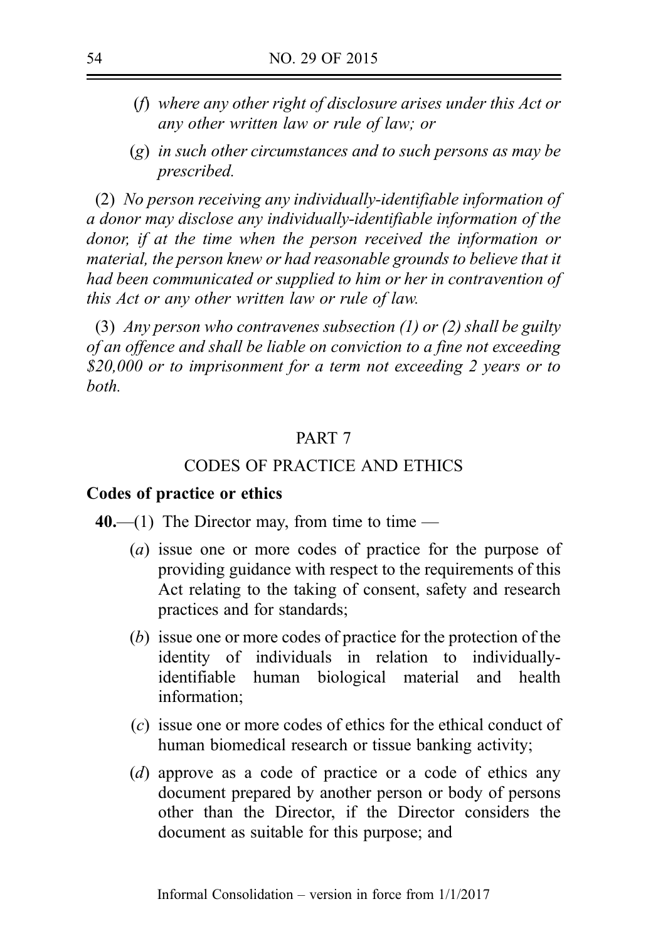- (f) where any other right of disclosure arises under this Act or any other written law or rule of law; or
- (g) in such other circumstances and to such persons as may be prescribed.

(2) No person receiving any individually-identifiable information of a donor may disclose any individually-identifiable information of the donor, if at the time when the person received the information or material, the person knew or had reasonable grounds to believe that it had been communicated or supplied to him or her in contravention of this Act or any other written law or rule of law.

(3) Any person who contravenes subsection  $(1)$  or  $(2)$  shall be guilty of an offence and shall be liable on conviction to a fine not exceeding \$20,000 or to imprisonment for a term not exceeding 2 years or to both.

### PART 7

## CODES OF PRACTICE AND ETHICS

#### Codes of practice or ethics

40.—(1) The Director may, from time to time —

- (a) issue one or more codes of practice for the purpose of providing guidance with respect to the requirements of this Act relating to the taking of consent, safety and research practices and for standards;
- (b) issue one or more codes of practice for the protection of the identity of individuals in relation to individuallyidentifiable human biological material and health information;
- (c) issue one or more codes of ethics for the ethical conduct of human biomedical research or tissue banking activity;
- (d) approve as a code of practice or a code of ethics any document prepared by another person or body of persons other than the Director, if the Director considers the document as suitable for this purpose; and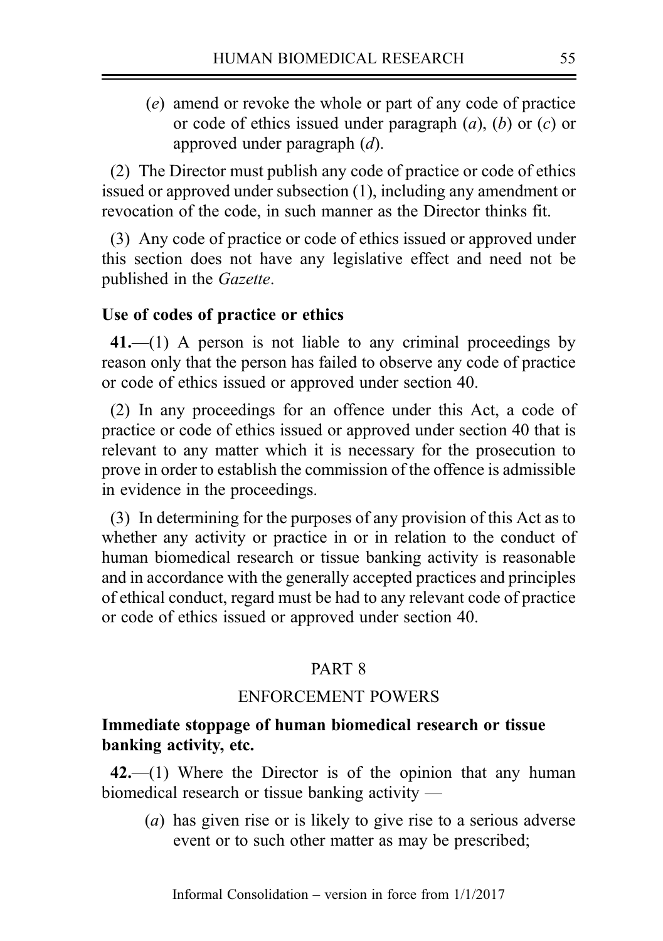(e) amend or revoke the whole or part of any code of practice or code of ethics issued under paragraph  $(a)$ ,  $(b)$  or  $(c)$  or approved under paragraph (d).

(2) The Director must publish any code of practice or code of ethics issued or approved under subsection (1), including any amendment or revocation of the code, in such manner as the Director thinks fit.

(3) Any code of practice or code of ethics issued or approved under this section does not have any legislative effect and need not be published in the Gazette.

## Use of codes of practice or ethics

 $41$ .—(1) A person is not liable to any criminal proceedings by reason only that the person has failed to observe any code of practice or code of ethics issued or approved under section 40.

(2) In any proceedings for an offence under this Act, a code of practice or code of ethics issued or approved under section 40 that is relevant to any matter which it is necessary for the prosecution to prove in order to establish the commission of the offence is admissible in evidence in the proceedings.

(3) In determining for the purposes of any provision of this Act as to whether any activity or practice in or in relation to the conduct of human biomedical research or tissue banking activity is reasonable and in accordance with the generally accepted practices and principles of ethical conduct, regard must be had to any relevant code of practice or code of ethics issued or approved under section 40.

## PART 8

## ENFORCEMENT POWERS

## Immediate stoppage of human biomedical research or tissue banking activity, etc.

 $42$ ,  $-$ (1) Where the Director is of the opinion that any human biomedical research or tissue banking activity —

(a) has given rise or is likely to give rise to a serious adverse event or to such other matter as may be prescribed;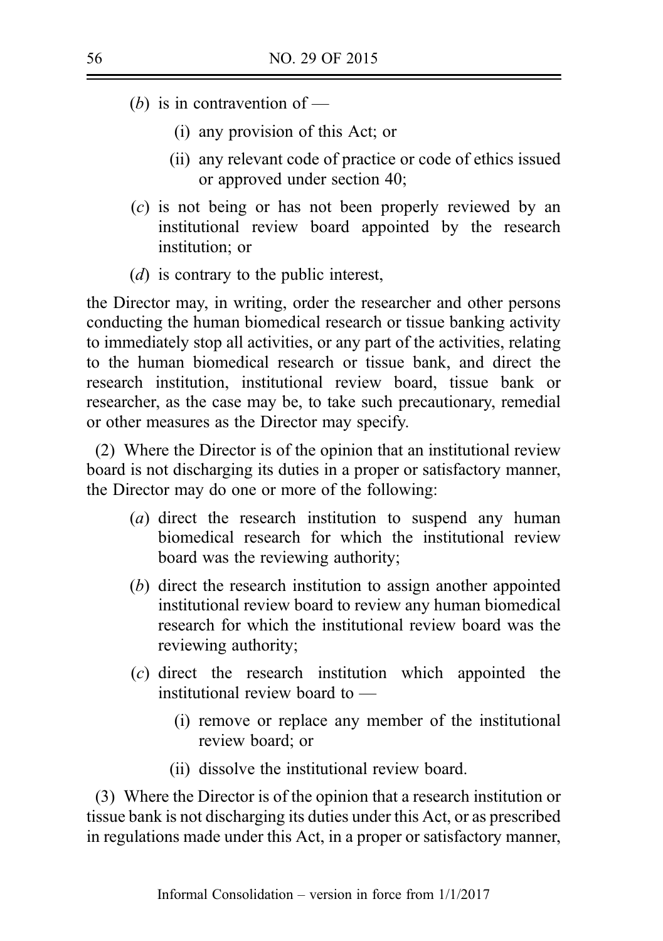- (b) is in contravention of
	- (i) any provision of this Act; or
	- (ii) any relevant code of practice or code of ethics issued or approved under section 40;
- (c) is not being or has not been properly reviewed by an institutional review board appointed by the research institution; or
- (d) is contrary to the public interest,

the Director may, in writing, order the researcher and other persons conducting the human biomedical research or tissue banking activity to immediately stop all activities, or any part of the activities, relating to the human biomedical research or tissue bank, and direct the research institution, institutional review board, tissue bank or researcher, as the case may be, to take such precautionary, remedial or other measures as the Director may specify.

(2) Where the Director is of the opinion that an institutional review board is not discharging its duties in a proper or satisfactory manner, the Director may do one or more of the following:

- (a) direct the research institution to suspend any human biomedical research for which the institutional review board was the reviewing authority;
- (b) direct the research institution to assign another appointed institutional review board to review any human biomedical research for which the institutional review board was the reviewing authority;
- (c) direct the research institution which appointed the institutional review board to —
	- (i) remove or replace any member of the institutional review board; or
	- (ii) dissolve the institutional review board.

(3) Where the Director is of the opinion that a research institution or tissue bank is not discharging its duties under this Act, or as prescribed in regulations made under this Act, in a proper or satisfactory manner,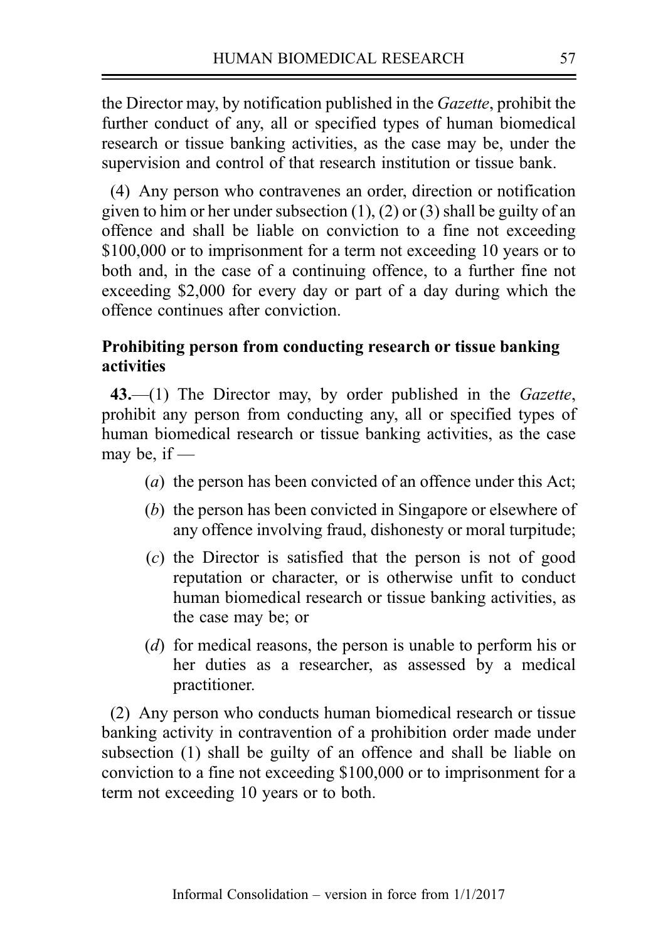the Director may, by notification published in the Gazette, prohibit the further conduct of any, all or specified types of human biomedical research or tissue banking activities, as the case may be, under the supervision and control of that research institution or tissue bank.

(4) Any person who contravenes an order, direction or notification given to him or her under subsection (1), (2) or (3) shall be guilty of an offence and shall be liable on conviction to a fine not exceeding \$100,000 or to imprisonment for a term not exceeding 10 years or to both and, in the case of a continuing offence, to a further fine not exceeding \$2,000 for every day or part of a day during which the offence continues after conviction.

## Prohibiting person from conducting research or tissue banking activities

43.—(1) The Director may, by order published in the Gazette, prohibit any person from conducting any, all or specified types of human biomedical research or tissue banking activities, as the case may be, if  $-$ 

- (a) the person has been convicted of an offence under this Act:
- (b) the person has been convicted in Singapore or elsewhere of any offence involving fraud, dishonesty or moral turpitude;
- (c) the Director is satisfied that the person is not of good reputation or character, or is otherwise unfit to conduct human biomedical research or tissue banking activities, as the case may be; or
- (d) for medical reasons, the person is unable to perform his or her duties as a researcher, as assessed by a medical practitioner.

(2) Any person who conducts human biomedical research or tissue banking activity in contravention of a prohibition order made under subsection (1) shall be guilty of an offence and shall be liable on conviction to a fine not exceeding \$100,000 or to imprisonment for a term not exceeding 10 years or to both.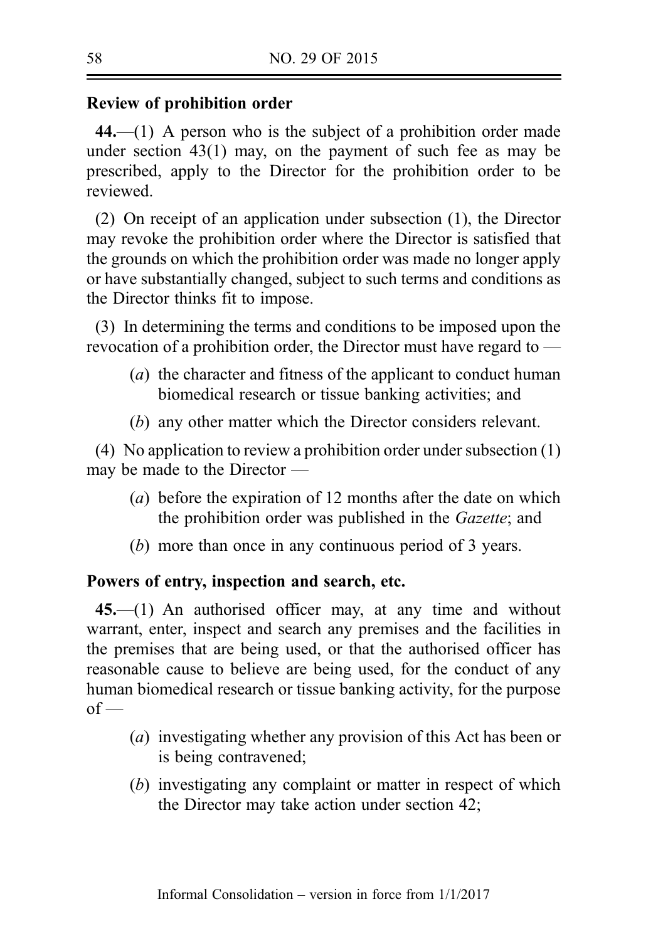## Review of prohibition order

44.—(1) A person who is the subject of a prohibition order made under section 43(1) may, on the payment of such fee as may be prescribed, apply to the Director for the prohibition order to be reviewed.

(2) On receipt of an application under subsection (1), the Director may revoke the prohibition order where the Director is satisfied that the grounds on which the prohibition order was made no longer apply or have substantially changed, subject to such terms and conditions as the Director thinks fit to impose.

(3) In determining the terms and conditions to be imposed upon the revocation of a prohibition order, the Director must have regard to —

- (a) the character and fitness of the applicant to conduct human biomedical research or tissue banking activities; and
- (b) any other matter which the Director considers relevant.

(4) No application to review a prohibition order under subsection (1) may be made to the Director —

- (a) before the expiration of 12 months after the date on which the prohibition order was published in the Gazette; and
- (b) more than once in any continuous period of 3 years.

#### Powers of entry, inspection and search, etc.

45.—(1) An authorised officer may, at any time and without warrant, enter, inspect and search any premises and the facilities in the premises that are being used, or that the authorised officer has reasonable cause to believe are being used, for the conduct of any human biomedical research or tissue banking activity, for the purpose  $of$  —

- (a) investigating whether any provision of this Act has been or is being contravened;
- (b) investigating any complaint or matter in respect of which the Director may take action under section 42;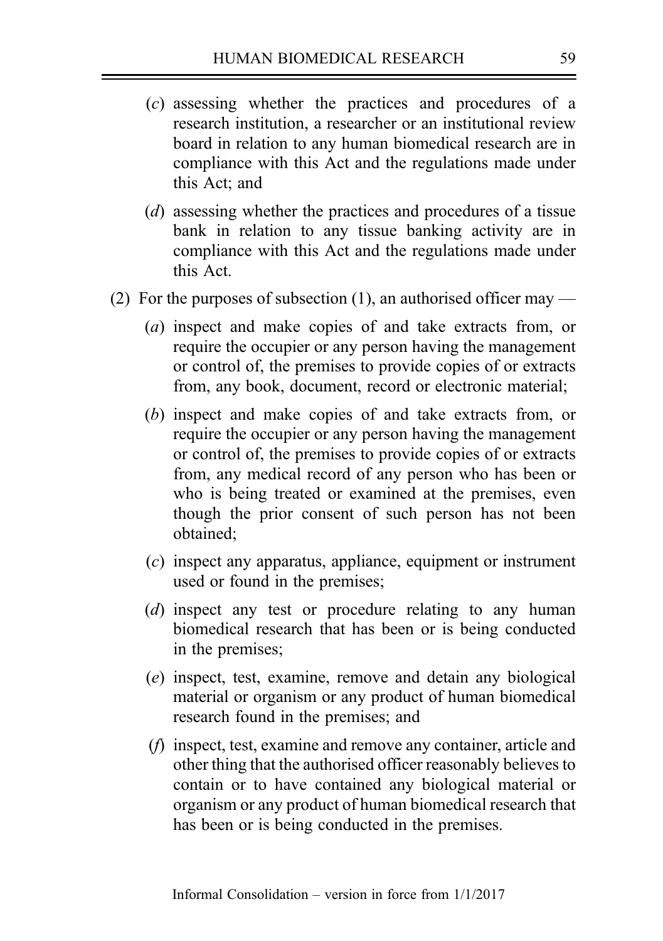- (c) assessing whether the practices and procedures of a research institution, a researcher or an institutional review board in relation to any human biomedical research are in compliance with this Act and the regulations made under this Act; and
- (d) assessing whether the practices and procedures of a tissue bank in relation to any tissue banking activity are in compliance with this Act and the regulations made under this Act.
- (2) For the purposes of subsection (1), an authorised officer may
	- (a) inspect and make copies of and take extracts from, or require the occupier or any person having the management or control of, the premises to provide copies of or extracts from, any book, document, record or electronic material;
	- (b) inspect and make copies of and take extracts from, or require the occupier or any person having the management or control of, the premises to provide copies of or extracts from, any medical record of any person who has been or who is being treated or examined at the premises, even though the prior consent of such person has not been obtained;
	- (c) inspect any apparatus, appliance, equipment or instrument used or found in the premises;
	- (d) inspect any test or procedure relating to any human biomedical research that has been or is being conducted in the premises;
	- (e) inspect, test, examine, remove and detain any biological material or organism or any product of human biomedical research found in the premises; and
	- (f) inspect, test, examine and remove any container, article and other thing that the authorised officer reasonably believes to contain or to have contained any biological material or organism or any product of human biomedical research that has been or is being conducted in the premises.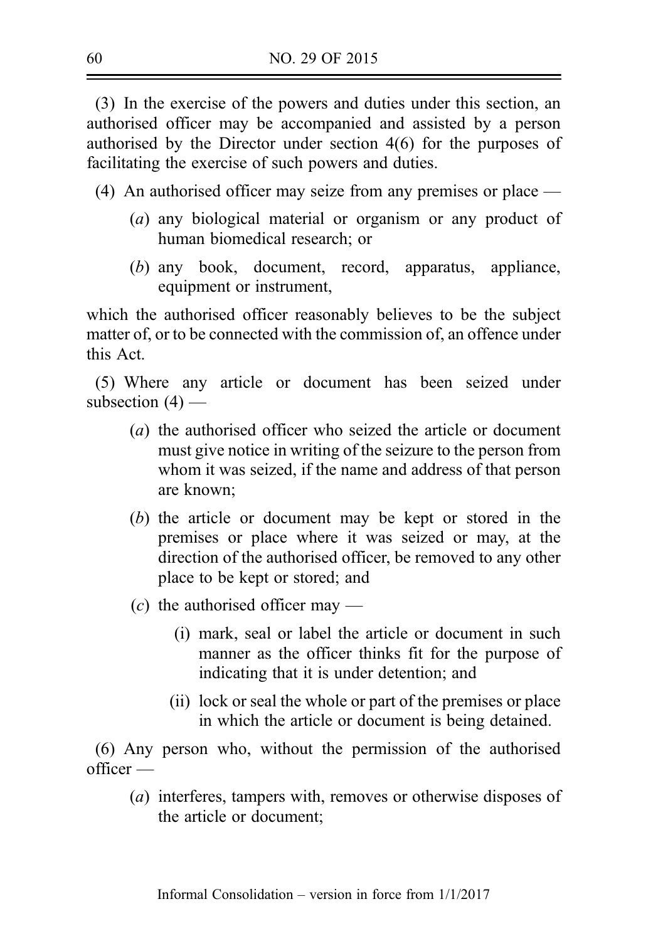(3) In the exercise of the powers and duties under this section, an authorised officer may be accompanied and assisted by a person authorised by the Director under section 4(6) for the purposes of facilitating the exercise of such powers and duties.

(4) An authorised officer may seize from any premises or place —

- (a) any biological material or organism or any product of human biomedical research; or
- (b) any book, document, record, apparatus, appliance, equipment or instrument,

which the authorised officer reasonably believes to be the subject matter of, or to be connected with the commission of, an offence under this Act.

(5) Where any article or document has been seized under subsection  $(4)$  —

- (a) the authorised officer who seized the article or document must give notice in writing of the seizure to the person from whom it was seized, if the name and address of that person are known;
- (b) the article or document may be kept or stored in the premises or place where it was seized or may, at the direction of the authorised officer, be removed to any other place to be kept or stored; and
- $(c)$  the authorised officer may
	- (i) mark, seal or label the article or document in such manner as the officer thinks fit for the purpose of indicating that it is under detention; and
	- (ii) lock or seal the whole or part of the premises or place in which the article or document is being detained.

(6) Any person who, without the permission of the authorised  $\alpha$ fficer —

(a) interferes, tampers with, removes or otherwise disposes of the article or document;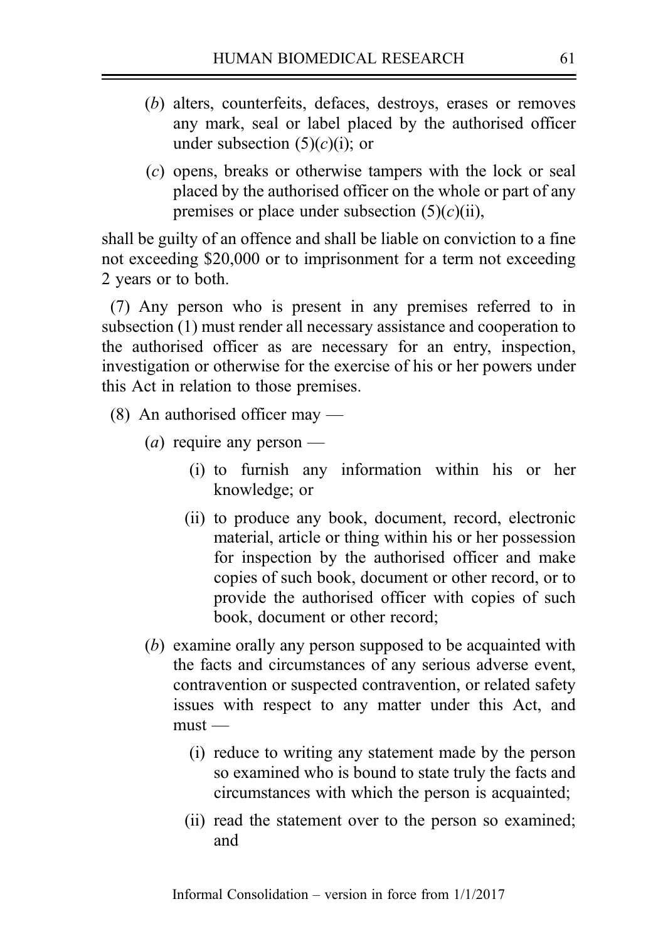- (b) alters, counterfeits, defaces, destroys, erases or removes any mark, seal or label placed by the authorised officer under subsection  $(5)(c)(i)$ ; or
- (c) opens, breaks or otherwise tampers with the lock or seal placed by the authorised officer on the whole or part of any premises or place under subsection  $(5)(c)(ii)$ ,

shall be guilty of an offence and shall be liable on conviction to a fine not exceeding \$20,000 or to imprisonment for a term not exceeding 2 years or to both.

(7) Any person who is present in any premises referred to in subsection (1) must render all necessary assistance and cooperation to the authorised officer as are necessary for an entry, inspection, investigation or otherwise for the exercise of his or her powers under this Act in relation to those premises.

- (8) An authorised officer may
	- (*a*) require any person
		- (i) to furnish any information within his or her knowledge; or
		- (ii) to produce any book, document, record, electronic material, article or thing within his or her possession for inspection by the authorised officer and make copies of such book, document or other record, or to provide the authorised officer with copies of such book, document or other record;
	- (b) examine orally any person supposed to be acquainted with the facts and circumstances of any serious adverse event, contravention or suspected contravention, or related safety issues with respect to any matter under this Act, and  $must$  —
		- (i) reduce to writing any statement made by the person so examined who is bound to state truly the facts and circumstances with which the person is acquainted;
		- (ii) read the statement over to the person so examined; and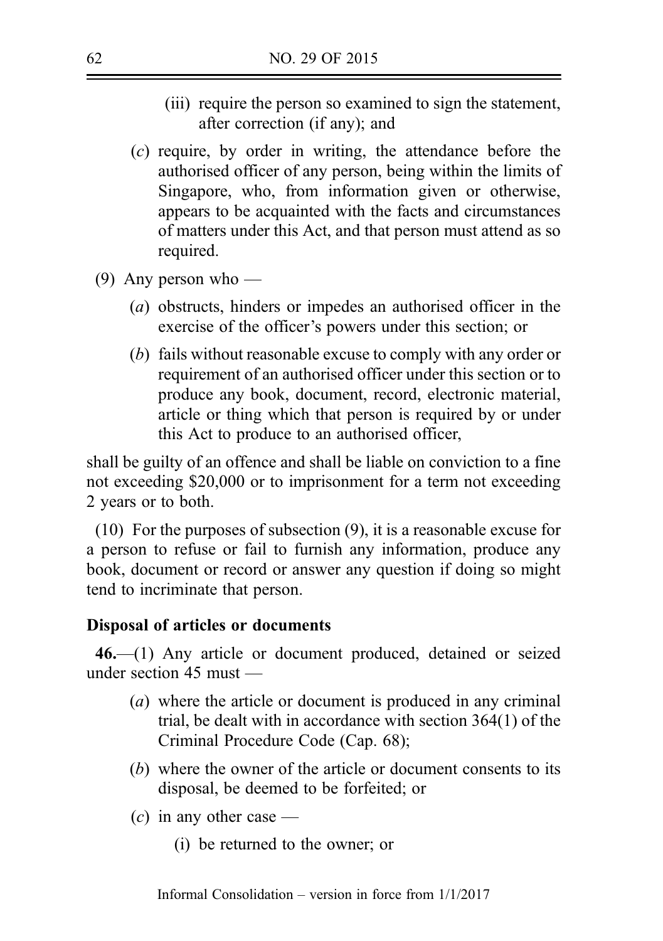- (iii) require the person so examined to sign the statement, after correction (if any); and
- (c) require, by order in writing, the attendance before the authorised officer of any person, being within the limits of Singapore, who, from information given or otherwise, appears to be acquainted with the facts and circumstances of matters under this Act, and that person must attend as so required.
- (9) Any person who
	- (a) obstructs, hinders or impedes an authorised officer in the exercise of the officer's powers under this section; or
	- (b) fails without reasonable excuse to comply with any order or requirement of an authorised officer under this section or to produce any book, document, record, electronic material, article or thing which that person is required by or under this Act to produce to an authorised officer,

shall be guilty of an offence and shall be liable on conviction to a fine not exceeding \$20,000 or to imprisonment for a term not exceeding 2 years or to both.

(10) For the purposes of subsection (9), it is a reasonable excuse for a person to refuse or fail to furnish any information, produce any book, document or record or answer any question if doing so might tend to incriminate that person.

#### Disposal of articles or documents

46.—(1) Any article or document produced, detained or seized under section 45 must —

- (a) where the article or document is produced in any criminal trial, be dealt with in accordance with section 364(1) of the Criminal Procedure Code (Cap. 68);
- (b) where the owner of the article or document consents to its disposal, be deemed to be forfeited; or
- $(c)$  in any other case
	- (i) be returned to the owner; or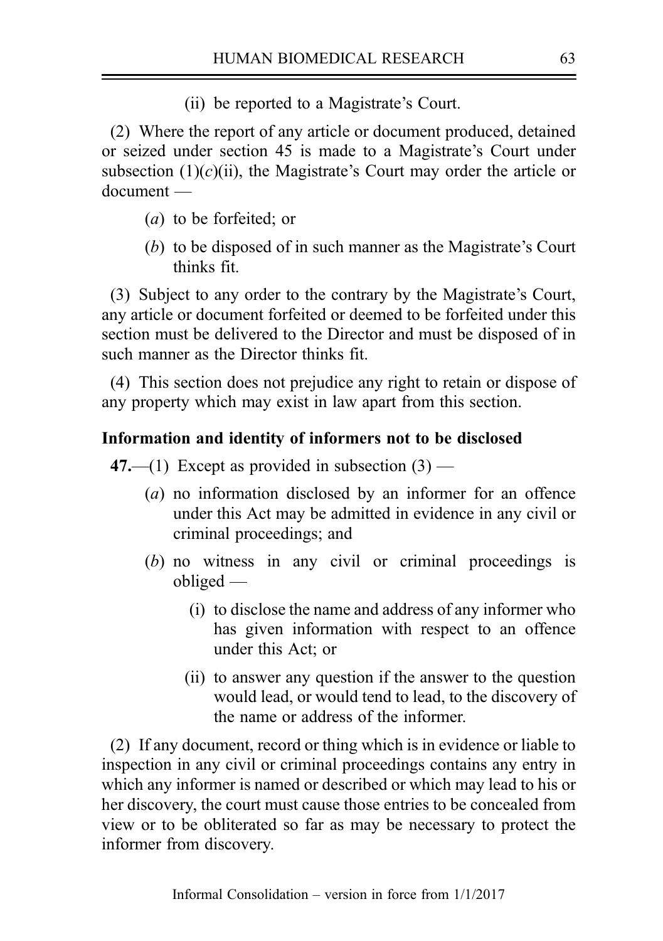(ii) be reported to a Magistrate's Court.

(2) Where the report of any article or document produced, detained or seized under section 45 is made to a Magistrate's Court under subsection  $(1)(c)(ii)$ , the Magistrate's Court may order the article or document —

- (a) to be forfeited; or
- (b) to be disposed of in such manner as the Magistrate's Court thinks fit.

(3) Subject to any order to the contrary by the Magistrate's Court, any article or document forfeited or deemed to be forfeited under this section must be delivered to the Director and must be disposed of in such manner as the Director thinks fit.

(4) This section does not prejudice any right to retain or dispose of any property which may exist in law apart from this section.

## Information and identity of informers not to be disclosed

47.—(1) Except as provided in subsection  $(3)$  —

- (a) no information disclosed by an informer for an offence under this Act may be admitted in evidence in any civil or criminal proceedings; and
- (b) no witness in any civil or criminal proceedings is obliged —
	- (i) to disclose the name and address of any informer who has given information with respect to an offence under this Act; or
	- (ii) to answer any question if the answer to the question would lead, or would tend to lead, to the discovery of the name or address of the informer.

(2) If any document, record or thing which is in evidence or liable to inspection in any civil or criminal proceedings contains any entry in which any informer is named or described or which may lead to his or her discovery, the court must cause those entries to be concealed from view or to be obliterated so far as may be necessary to protect the informer from discovery.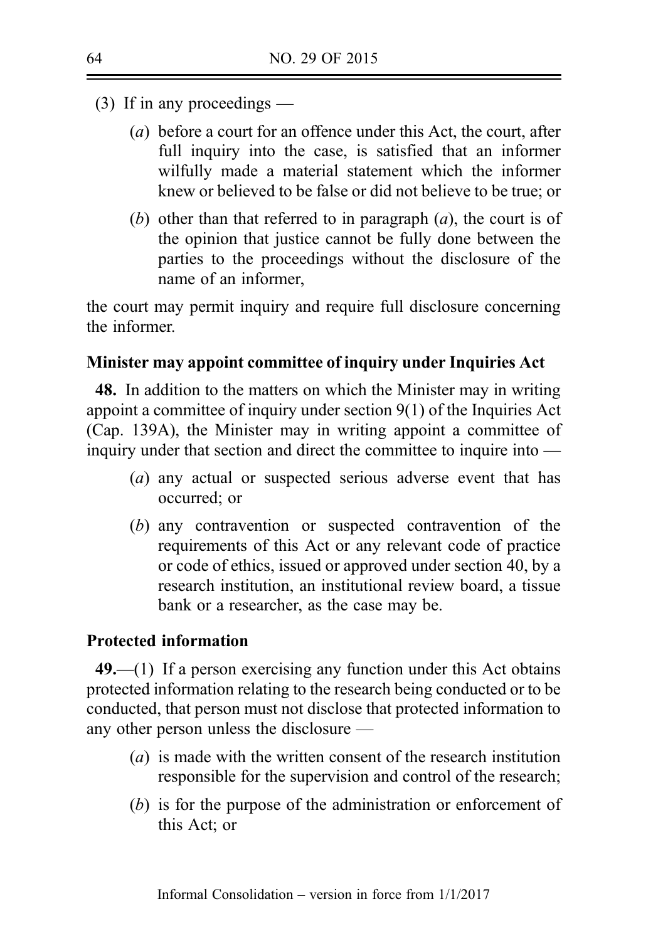- (3) If in any proceedings
	- (a) before a court for an offence under this Act, the court, after full inquiry into the case, is satisfied that an informer wilfully made a material statement which the informer knew or believed to be false or did not believe to be true; or
	- (b) other than that referred to in paragraph  $(a)$ , the court is of the opinion that justice cannot be fully done between the parties to the proceedings without the disclosure of the name of an informer,

the court may permit inquiry and require full disclosure concerning the informer.

## Minister may appoint committee of inquiry under Inquiries Act

48. In addition to the matters on which the Minister may in writing appoint a committee of inquiry under section 9(1) of the Inquiries Act (Cap. 139A), the Minister may in writing appoint a committee of inquiry under that section and direct the committee to inquire into —

- (a) any actual or suspected serious adverse event that has occurred; or
- (b) any contravention or suspected contravention of the requirements of this Act or any relevant code of practice or code of ethics, issued or approved under section 40, by a research institution, an institutional review board, a tissue bank or a researcher, as the case may be.

## Protected information

49.—(1) If a person exercising any function under this Act obtains protected information relating to the research being conducted or to be conducted, that person must not disclose that protected information to any other person unless the disclosure —

- (a) is made with the written consent of the research institution responsible for the supervision and control of the research;
- (b) is for the purpose of the administration or enforcement of this Act; or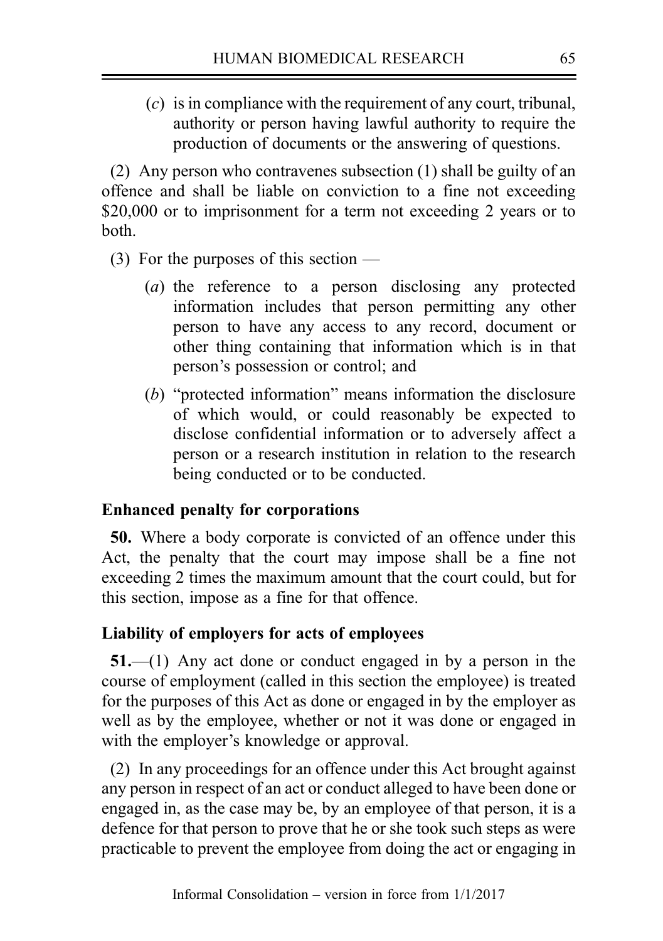(c) is in compliance with the requirement of any court, tribunal, authority or person having lawful authority to require the production of documents or the answering of questions.

(2) Any person who contravenes subsection (1) shall be guilty of an offence and shall be liable on conviction to a fine not exceeding \$20,000 or to imprisonment for a term not exceeding 2 years or to both.

- (3) For the purposes of this section
	- (a) the reference to a person disclosing any protected information includes that person permitting any other person to have any access to any record, document or other thing containing that information which is in that person's possession or control; and
	- (b) "protected information" means information the disclosure of which would, or could reasonably be expected to disclose confidential information or to adversely affect a person or a research institution in relation to the research being conducted or to be conducted.

## Enhanced penalty for corporations

50. Where a body corporate is convicted of an offence under this Act, the penalty that the court may impose shall be a fine not exceeding 2 times the maximum amount that the court could, but for this section, impose as a fine for that offence.

# Liability of employers for acts of employees

51.—(1) Any act done or conduct engaged in by a person in the course of employment (called in this section the employee) is treated for the purposes of this Act as done or engaged in by the employer as well as by the employee, whether or not it was done or engaged in with the employer's knowledge or approval.

(2) In any proceedings for an offence under this Act brought against any person in respect of an act or conduct alleged to have been done or engaged in, as the case may be, by an employee of that person, it is a defence for that person to prove that he or she took such steps as were practicable to prevent the employee from doing the act or engaging in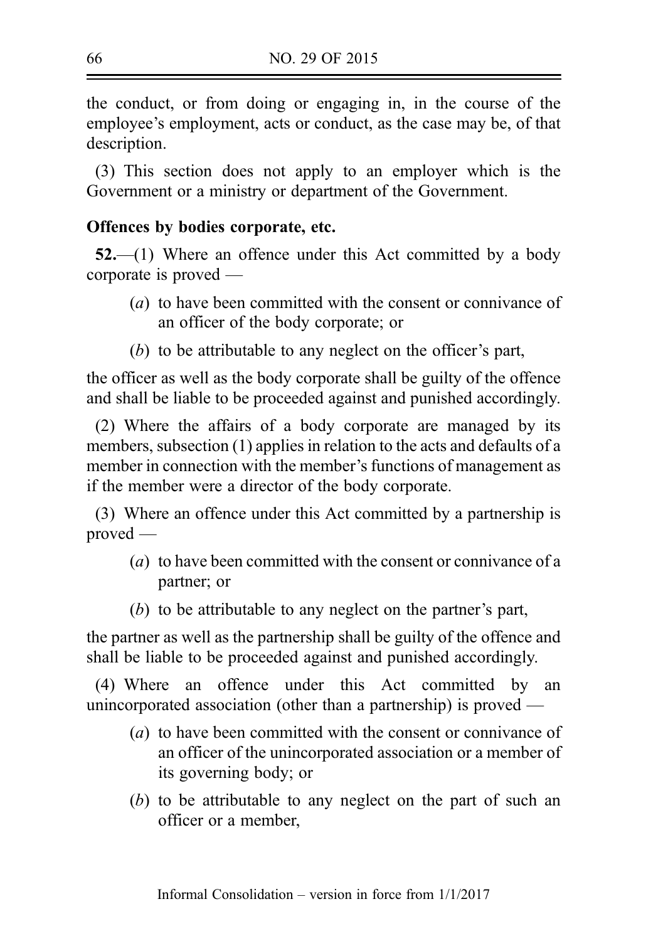the conduct, or from doing or engaging in, in the course of the employee's employment, acts or conduct, as the case may be, of that description.

(3) This section does not apply to an employer which is the Government or a ministry or department of the Government.

## Offences by bodies corporate, etc.

52.—(1) Where an offence under this Act committed by a body corporate is proved —

- (a) to have been committed with the consent or connivance of an officer of the body corporate; or
- (b) to be attributable to any neglect on the officer's part,

the officer as well as the body corporate shall be guilty of the offence and shall be liable to be proceeded against and punished accordingly.

(2) Where the affairs of a body corporate are managed by its members, subsection (1) applies in relation to the acts and defaults of a member in connection with the member's functions of management as if the member were a director of the body corporate.

(3) Where an offence under this Act committed by a partnership is proved —

- (a) to have been committed with the consent or connivance of a partner; or
- (b) to be attributable to any neglect on the partner's part,

the partner as well as the partnership shall be guilty of the offence and shall be liable to be proceeded against and punished accordingly.

(4) Where an offence under this Act committed by an unincorporated association (other than a partnership) is proved —

- (a) to have been committed with the consent or connivance of an officer of the unincorporated association or a member of its governing body; or
- (b) to be attributable to any neglect on the part of such an officer or a member,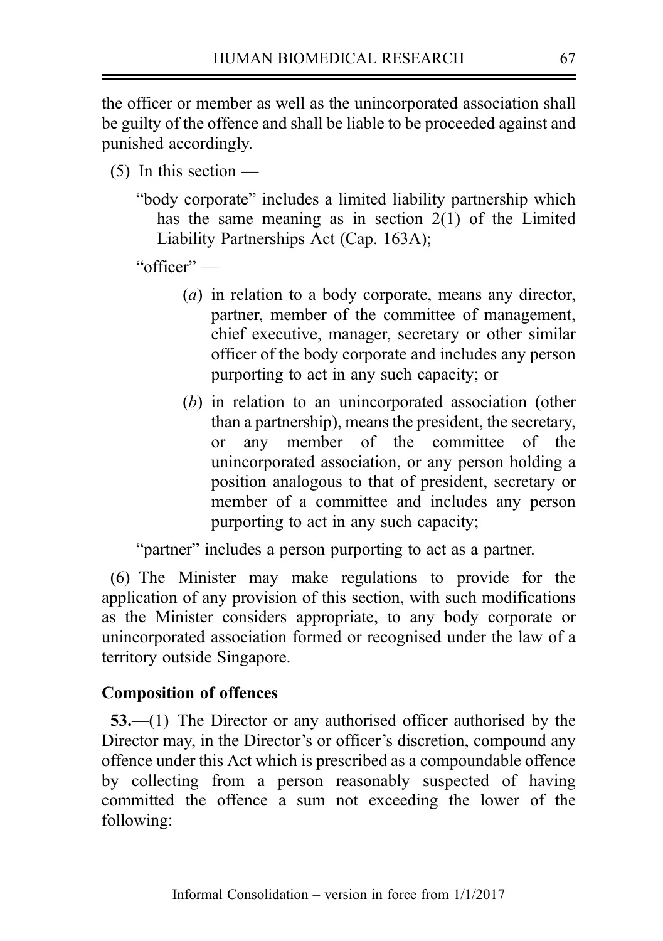the officer or member as well as the unincorporated association shall be guilty of the offence and shall be liable to be proceeded against and punished accordingly.

- $(5)$  In this section
	- "body corporate" includes a limited liability partnership which has the same meaning as in section 2(1) of the Limited Liability Partnerships Act (Cap. 163A);

"officer" —

- (a) in relation to a body corporate, means any director, partner, member of the committee of management, chief executive, manager, secretary or other similar officer of the body corporate and includes any person purporting to act in any such capacity; or
- (b) in relation to an unincorporated association (other than a partnership), means the president, the secretary, or any member of the committee of the unincorporated association, or any person holding a position analogous to that of president, secretary or member of a committee and includes any person purporting to act in any such capacity;

"partner" includes a person purporting to act as a partner.

(6) The Minister may make regulations to provide for the application of any provision of this section, with such modifications as the Minister considers appropriate, to any body corporate or unincorporated association formed or recognised under the law of a territory outside Singapore.

## Composition of offences

53.—(1) The Director or any authorised officer authorised by the Director may, in the Director's or officer's discretion, compound any offence under this Act which is prescribed as a compoundable offence by collecting from a person reasonably suspected of having committed the offence a sum not exceeding the lower of the following: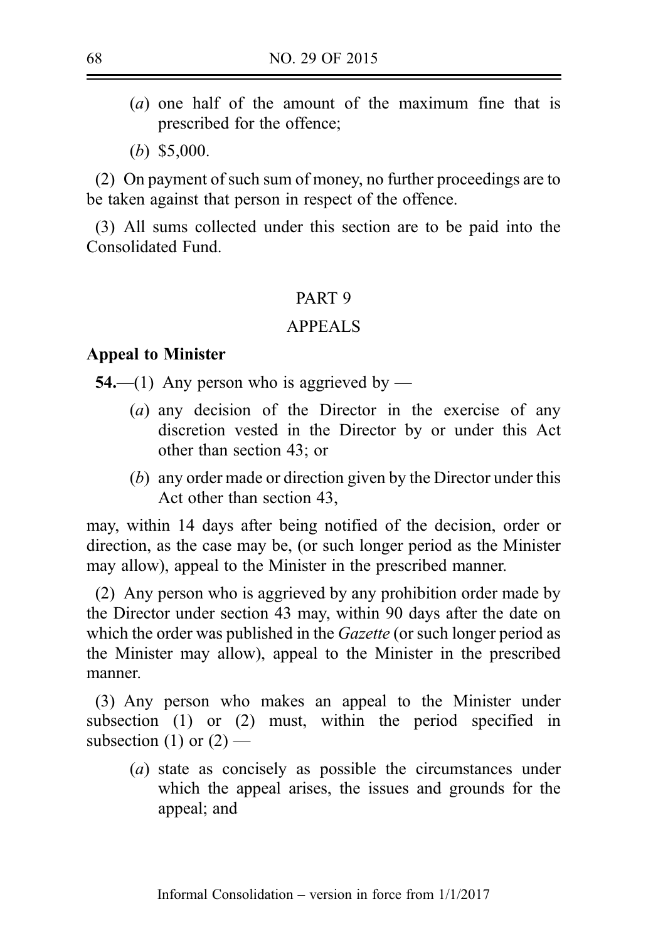- (a) one half of the amount of the maximum fine that is prescribed for the offence;
- (b) \$5,000.

(2) On payment of such sum of money, no further proceedings are to be taken against that person in respect of the offence.

(3) All sums collected under this section are to be paid into the Consolidated Fund.

## PART 9

## APPEALS

#### Appeal to Minister

**54.—(1)** Any person who is aggrieved by —

- (a) any decision of the Director in the exercise of any discretion vested in the Director by or under this Act other than section 43; or
- (b) any order made or direction given by the Director under this Act other than section 43,

may, within 14 days after being notified of the decision, order or direction, as the case may be, (or such longer period as the Minister may allow), appeal to the Minister in the prescribed manner.

(2) Any person who is aggrieved by any prohibition order made by the Director under section 43 may, within 90 days after the date on which the order was published in the *Gazette* (or such longer period as the Minister may allow), appeal to the Minister in the prescribed manner.

(3) Any person who makes an appeal to the Minister under subsection (1) or (2) must, within the period specified in subsection (1) or  $(2)$  —

(a) state as concisely as possible the circumstances under which the appeal arises, the issues and grounds for the appeal; and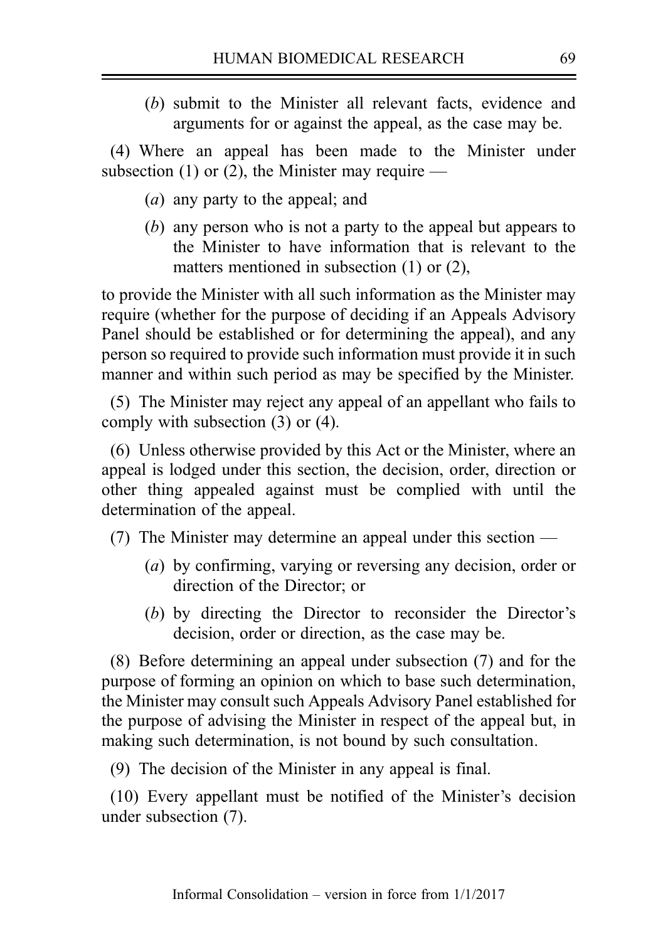(b) submit to the Minister all relevant facts, evidence and arguments for or against the appeal, as the case may be.

(4) Where an appeal has been made to the Minister under subsection (1) or (2), the Minister may require —

- (a) any party to the appeal; and
- (b) any person who is not a party to the appeal but appears to the Minister to have information that is relevant to the matters mentioned in subsection (1) or (2).

to provide the Minister with all such information as the Minister may require (whether for the purpose of deciding if an Appeals Advisory Panel should be established or for determining the appeal), and any person so required to provide such information must provide it in such manner and within such period as may be specified by the Minister.

(5) The Minister may reject any appeal of an appellant who fails to comply with subsection (3) or (4).

(6) Unless otherwise provided by this Act or the Minister, where an appeal is lodged under this section, the decision, order, direction or other thing appealed against must be complied with until the determination of the appeal.

- (7) The Minister may determine an appeal under this section
	- (a) by confirming, varying or reversing any decision, order or direction of the Director; or
	- (b) by directing the Director to reconsider the Director's decision, order or direction, as the case may be.

(8) Before determining an appeal under subsection (7) and for the purpose of forming an opinion on which to base such determination, the Minister may consult such Appeals Advisory Panel established for the purpose of advising the Minister in respect of the appeal but, in making such determination, is not bound by such consultation.

(9) The decision of the Minister in any appeal is final.

(10) Every appellant must be notified of the Minister's decision under subsection (7).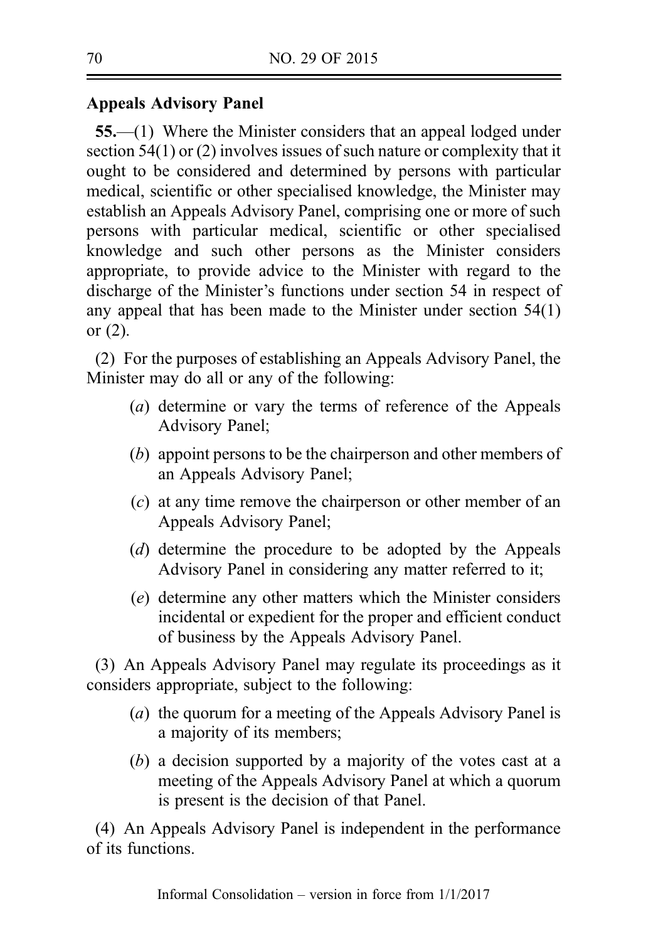# Appeals Advisory Panel

55.—(1) Where the Minister considers that an appeal lodged under section 54(1) or (2) involves issues of such nature or complexity that it ought to be considered and determined by persons with particular medical, scientific or other specialised knowledge, the Minister may establish an Appeals Advisory Panel, comprising one or more of such persons with particular medical, scientific or other specialised knowledge and such other persons as the Minister considers appropriate, to provide advice to the Minister with regard to the discharge of the Minister's functions under section 54 in respect of any appeal that has been made to the Minister under section 54(1) or (2).

(2) For the purposes of establishing an Appeals Advisory Panel, the Minister may do all or any of the following:

- (a) determine or vary the terms of reference of the Appeals Advisory Panel;
- (b) appoint persons to be the chairperson and other members of an Appeals Advisory Panel;
- (c) at any time remove the chairperson or other member of an Appeals Advisory Panel;
- (d) determine the procedure to be adopted by the Appeals Advisory Panel in considering any matter referred to it;
- (e) determine any other matters which the Minister considers incidental or expedient for the proper and efficient conduct of business by the Appeals Advisory Panel.

(3) An Appeals Advisory Panel may regulate its proceedings as it considers appropriate, subject to the following:

- (a) the quorum for a meeting of the Appeals Advisory Panel is a majority of its members;
- (b) a decision supported by a majority of the votes cast at a meeting of the Appeals Advisory Panel at which a quorum is present is the decision of that Panel.

(4) An Appeals Advisory Panel is independent in the performance of its functions.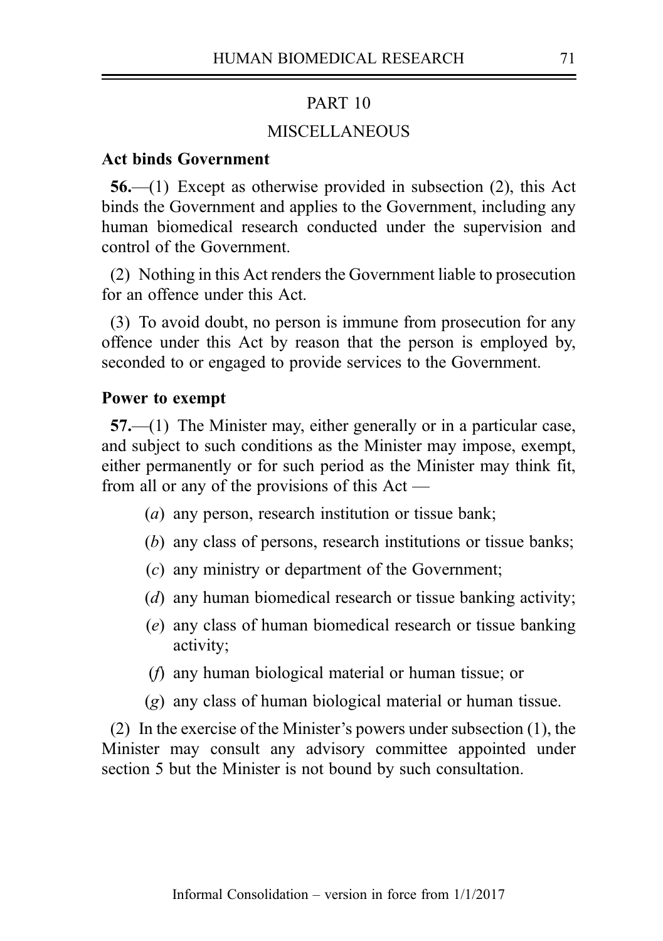#### PART 10

## **MISCELLANEOUS**

### Act binds Government

56.—(1) Except as otherwise provided in subsection (2), this Act binds the Government and applies to the Government, including any human biomedical research conducted under the supervision and control of the Government.

(2) Nothing in this Act renders the Government liable to prosecution for an offence under this Act.

(3) To avoid doubt, no person is immune from prosecution for any offence under this Act by reason that the person is employed by, seconded to or engaged to provide services to the Government.

#### Power to exempt

57.—(1) The Minister may, either generally or in a particular case, and subject to such conditions as the Minister may impose, exempt, either permanently or for such period as the Minister may think fit, from all or any of the provisions of this Act —

- (a) any person, research institution or tissue bank;
- (b) any class of persons, research institutions or tissue banks;
- (c) any ministry or department of the Government;
- (d) any human biomedical research or tissue banking activity;
- (e) any class of human biomedical research or tissue banking activity;
- (f) any human biological material or human tissue; or
- (g) any class of human biological material or human tissue.

(2) In the exercise of the Minister's powers under subsection (1), the Minister may consult any advisory committee appointed under section 5 but the Minister is not bound by such consultation.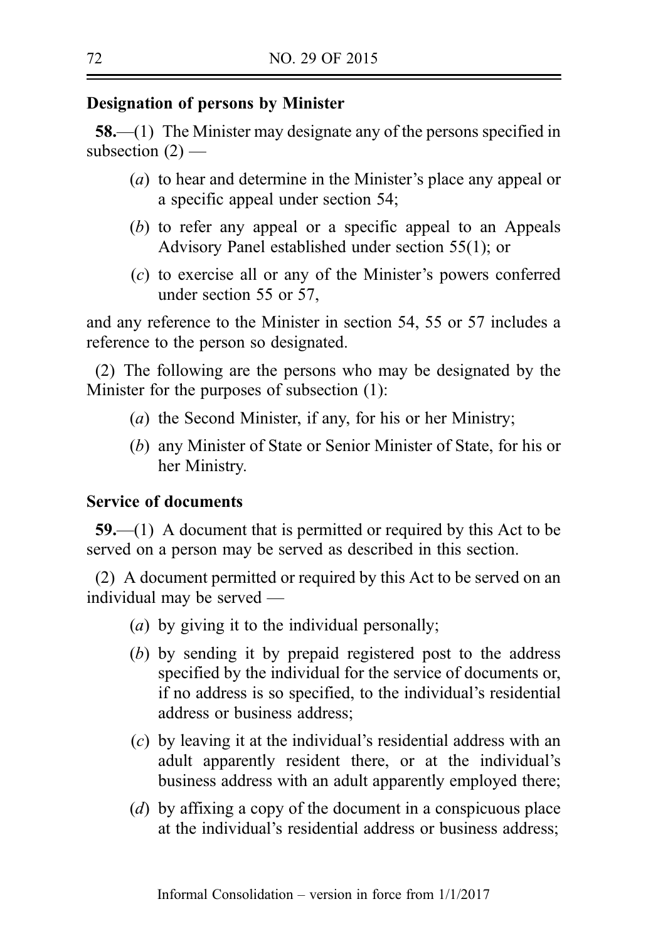## Designation of persons by Minister

58.—(1) The Minister may designate any of the persons specified in subsection  $(2)$  —

- (a) to hear and determine in the Minister's place any appeal or a specific appeal under section 54;
- (b) to refer any appeal or a specific appeal to an Appeals Advisory Panel established under section 55(1); or
- (c) to exercise all or any of the Minister's powers conferred under section 55 or 57,

and any reference to the Minister in section 54, 55 or 57 includes a reference to the person so designated.

(2) The following are the persons who may be designated by the Minister for the purposes of subsection (1):

- (a) the Second Minister, if any, for his or her Ministry;
- (b) any Minister of State or Senior Minister of State, for his or her Ministry.

## Service of documents

59.—(1) A document that is permitted or required by this Act to be served on a person may be served as described in this section.

(2) A document permitted or required by this Act to be served on an individual may be served —

- (a) by giving it to the individual personally;
- (b) by sending it by prepaid registered post to the address specified by the individual for the service of documents or, if no address is so specified, to the individual's residential address or business address;
- (c) by leaving it at the individual's residential address with an adult apparently resident there, or at the individual's business address with an adult apparently employed there;
- (d) by affixing a copy of the document in a conspicuous place at the individual's residential address or business address;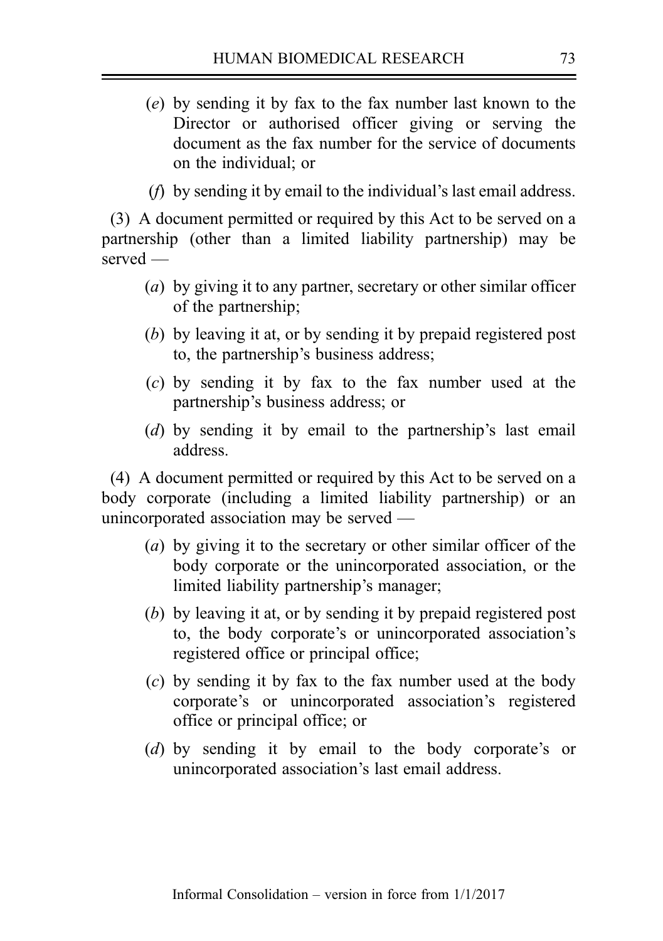- (e) by sending it by fax to the fax number last known to the Director or authorised officer giving or serving the document as the fax number for the service of documents on the individual; or
- (f) by sending it by email to the individual's last email address.

(3) A document permitted or required by this Act to be served on a partnership (other than a limited liability partnership) may be served —

- (a) by giving it to any partner, secretary or other similar officer of the partnership;
- (b) by leaving it at, or by sending it by prepaid registered post to, the partnership's business address;
- (c) by sending it by fax to the fax number used at the partnership's business address; or
- (d) by sending it by email to the partnership's last email address.

(4) A document permitted or required by this Act to be served on a body corporate (including a limited liability partnership) or an unincorporated association may be served —

- (a) by giving it to the secretary or other similar officer of the body corporate or the unincorporated association, or the limited liability partnership's manager;
- (b) by leaving it at, or by sending it by prepaid registered post to, the body corporate's or unincorporated association's registered office or principal office;
- (c) by sending it by fax to the fax number used at the body corporate's or unincorporated association's registered office or principal office; or
- (d) by sending it by email to the body corporate's or unincorporated association's last email address.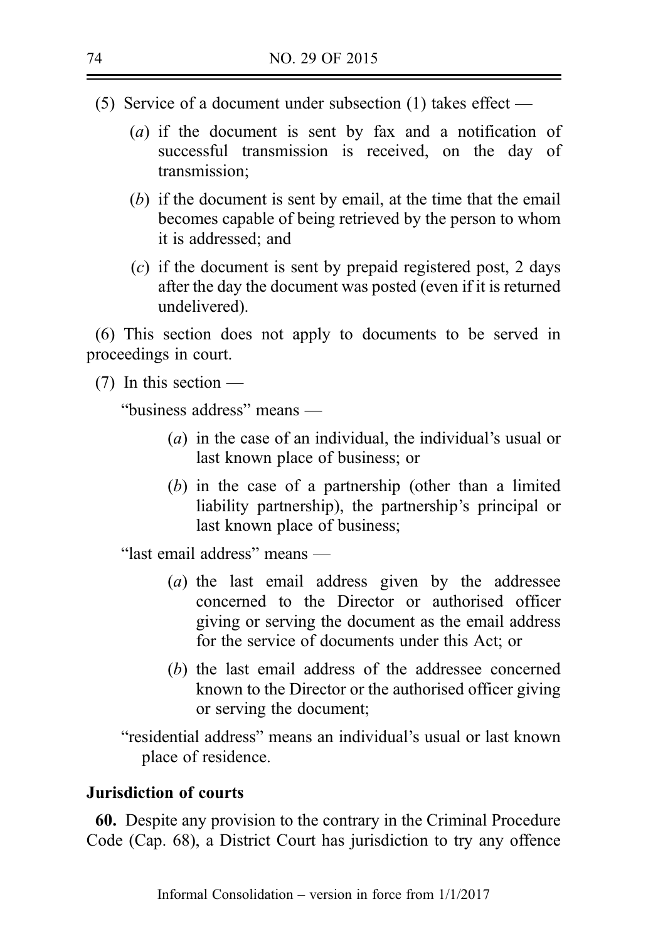- (5) Service of a document under subsection (1) takes effect
	- (a) if the document is sent by fax and a notification of successful transmission is received, on the day of transmission;
	- (b) if the document is sent by email, at the time that the email becomes capable of being retrieved by the person to whom it is addressed; and
	- (c) if the document is sent by prepaid registered post, 2 days after the day the document was posted (even if it is returned undelivered).

(6) This section does not apply to documents to be served in proceedings in court.

(7) In this section —

"business address" means —

- (a) in the case of an individual, the individual's usual or last known place of business; or
- (b) in the case of a partnership (other than a limited liability partnership), the partnership's principal or last known place of business;

"last email address" means —

- (a) the last email address given by the addressee concerned to the Director or authorised officer giving or serving the document as the email address for the service of documents under this Act; or
- (b) the last email address of the addressee concerned known to the Director or the authorised officer giving or serving the document;

"residential address" means an individual's usual or last known place of residence.

# Jurisdiction of courts

60. Despite any provision to the contrary in the Criminal Procedure Code (Cap. 68), a District Court has jurisdiction to try any offence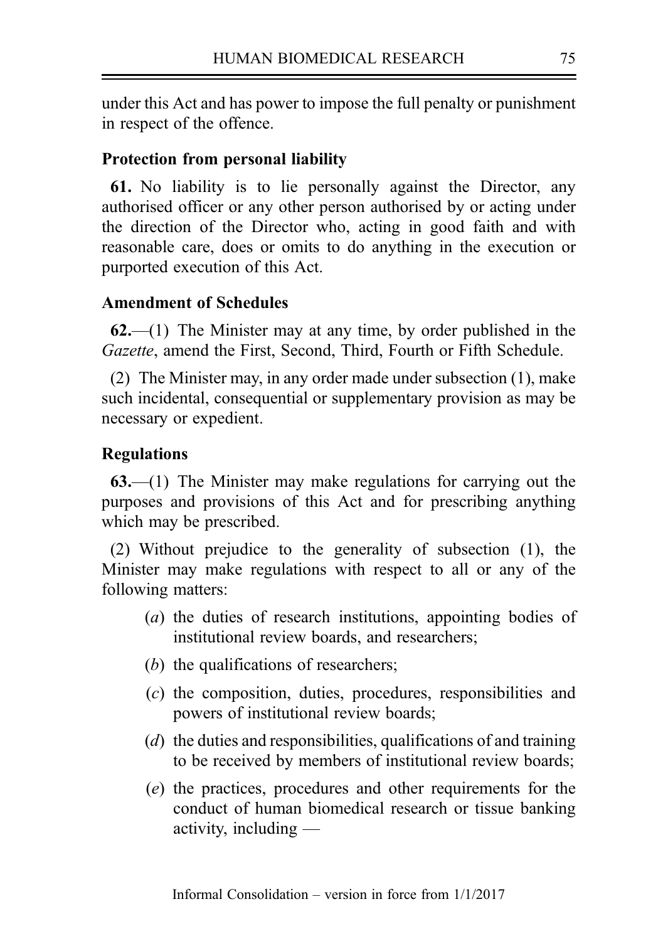under this Act and has power to impose the full penalty or punishment in respect of the offence.

# Protection from personal liability

61. No liability is to lie personally against the Director, any authorised officer or any other person authorised by or acting under the direction of the Director who, acting in good faith and with reasonable care, does or omits to do anything in the execution or purported execution of this Act.

## Amendment of Schedules

 $62$ —(1) The Minister may at any time, by order published in the Gazette, amend the First, Second, Third, Fourth or Fifth Schedule.

(2) The Minister may, in any order made under subsection (1), make such incidental, consequential or supplementary provision as may be necessary or expedient.

## Regulations

63.—(1) The Minister may make regulations for carrying out the purposes and provisions of this Act and for prescribing anything which may be prescribed.

(2) Without prejudice to the generality of subsection (1), the Minister may make regulations with respect to all or any of the following matters:

- (a) the duties of research institutions, appointing bodies of institutional review boards, and researchers;
- (b) the qualifications of researchers;
- (c) the composition, duties, procedures, responsibilities and powers of institutional review boards;
- (d) the duties and responsibilities, qualifications of and training to be received by members of institutional review boards;
- (e) the practices, procedures and other requirements for the conduct of human biomedical research or tissue banking activity, including —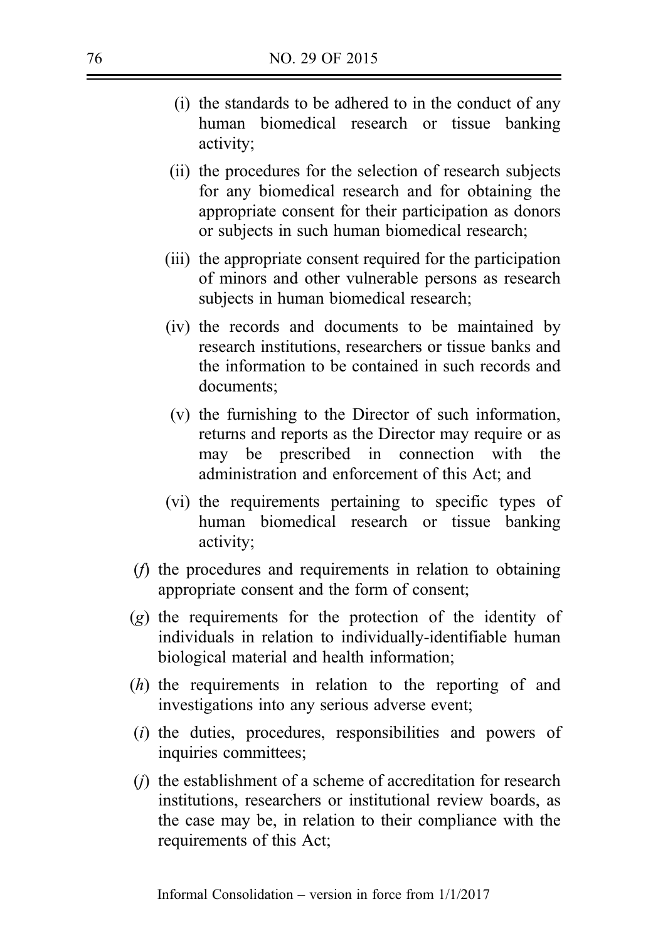- (i) the standards to be adhered to in the conduct of any human biomedical research or tissue banking activity;
- (ii) the procedures for the selection of research subjects for any biomedical research and for obtaining the appropriate consent for their participation as donors or subjects in such human biomedical research;
- (iii) the appropriate consent required for the participation of minors and other vulnerable persons as research subjects in human biomedical research;
- (iv) the records and documents to be maintained by research institutions, researchers or tissue banks and the information to be contained in such records and documents;
- (v) the furnishing to the Director of such information, returns and reports as the Director may require or as may be prescribed in connection with the administration and enforcement of this Act; and
- (vi) the requirements pertaining to specific types of human biomedical research or tissue banking activity;
- (f) the procedures and requirements in relation to obtaining appropriate consent and the form of consent;
- (g) the requirements for the protection of the identity of individuals in relation to individually-identifiable human biological material and health information;
- (h) the requirements in relation to the reporting of and investigations into any serious adverse event;
- (i) the duties, procedures, responsibilities and powers of inquiries committees;
- $(i)$  the establishment of a scheme of accreditation for research institutions, researchers or institutional review boards, as the case may be, in relation to their compliance with the requirements of this Act;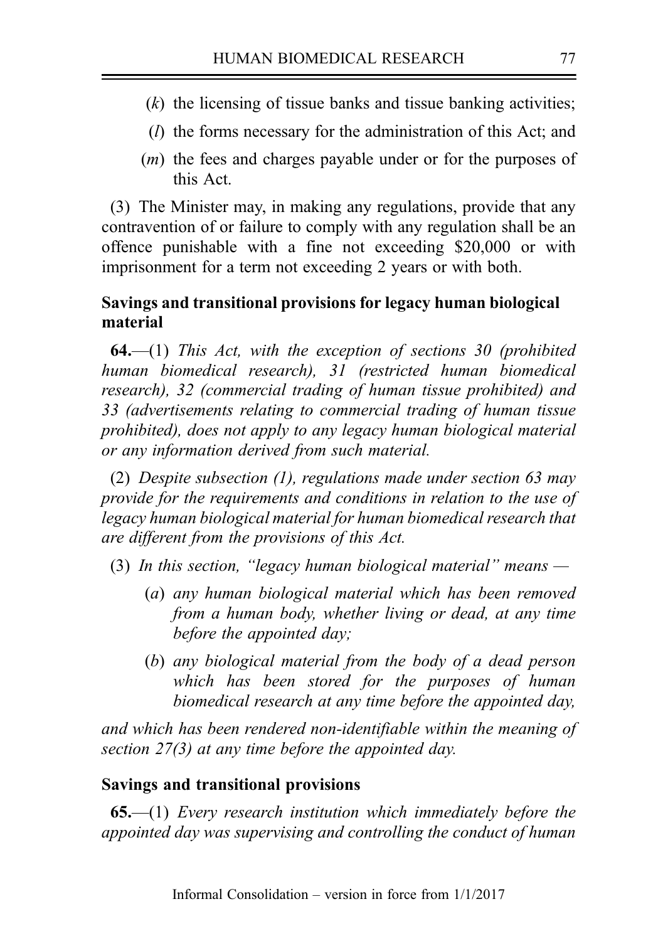- $(k)$  the licensing of tissue banks and tissue banking activities;
- (l) the forms necessary for the administration of this Act; and
- (m) the fees and charges payable under or for the purposes of this Act.

(3) The Minister may, in making any regulations, provide that any contravention of or failure to comply with any regulation shall be an offence punishable with a fine not exceeding \$20,000 or with imprisonment for a term not exceeding 2 years or with both.

# Savings and transitional provisions for legacy human biological material

**64.**—(1) This Act, with the exception of sections 30 (prohibited human biomedical research), 31 (restricted human biomedical research), 32 (commercial trading of human tissue prohibited) and 33 (advertisements relating to commercial trading of human tissue prohibited), does not apply to any legacy human biological material or any information derived from such material.

(2) Despite subsection (1), regulations made under section 63 may provide for the requirements and conditions in relation to the use of legacy human biological material for human biomedical research that are different from the provisions of this Act.

- (3) In this section, "legacy human biological material" means  $-$ 
	- (a) any human biological material which has been removed from a human body, whether living or dead, at any time before the appointed day;
	- (b) any biological material from the body of a dead person which has been stored for the purposes of human biomedical research at any time before the appointed day,

and which has been rendered non-identifiable within the meaning of section 27(3) at any time before the appointed day.

### Savings and transitional provisions

 $65$ — $(1)$  Every research institution which immediately before the appointed day was supervising and controlling the conduct of human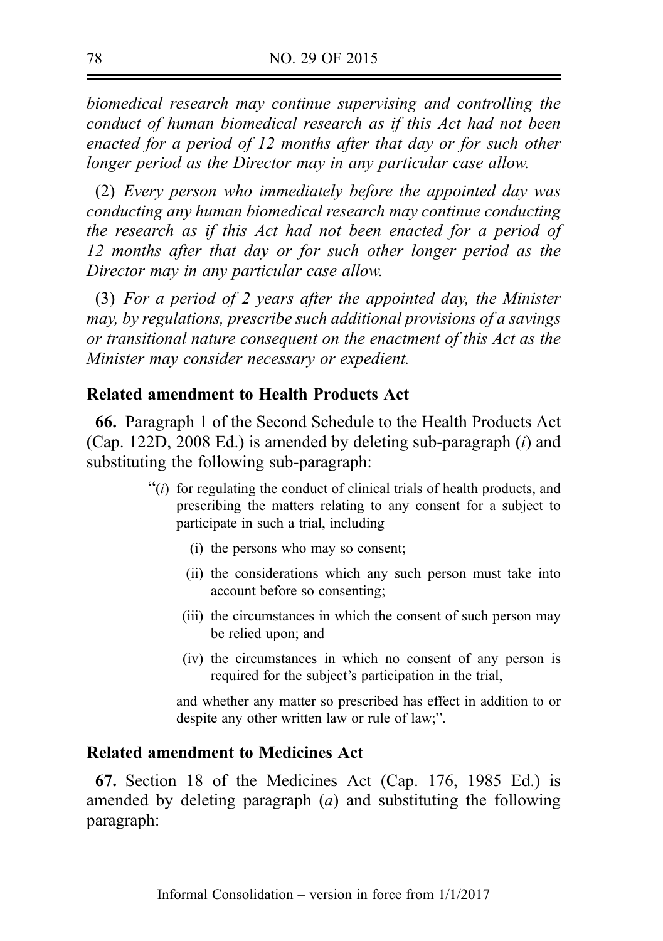biomedical research may continue supervising and controlling the conduct of human biomedical research as if this Act had not been enacted for a period of 12 months after that day or for such other longer period as the Director may in any particular case allow.

(2) Every person who immediately before the appointed day was conducting any human biomedical research may continue conducting the research as if this Act had not been enacted for a period of 12 months after that day or for such other longer period as the Director may in any particular case allow.

(3) For a period of 2 years after the appointed day, the Minister may, by regulations, prescribe such additional provisions of a savings or transitional nature consequent on the enactment of this Act as the Minister may consider necessary or expedient.

## Related amendment to Health Products Act

66. Paragraph 1 of the Second Schedule to the Health Products Act (Cap. 122D, 2008 Ed.) is amended by deleting sub-paragraph  $(i)$  and substituting the following sub-paragraph:

- $\cdot\cdot\cdot$  (i) for regulating the conduct of clinical trials of health products, and prescribing the matters relating to any consent for a subject to participate in such a trial, including —
	- (i) the persons who may so consent;
	- (ii) the considerations which any such person must take into account before so consenting;
	- (iii) the circumstances in which the consent of such person may be relied upon; and
	- (iv) the circumstances in which no consent of any person is required for the subject's participation in the trial,

and whether any matter so prescribed has effect in addition to or despite any other written law or rule of law;".

## Related amendment to Medicines Act

67. Section 18 of the Medicines Act (Cap. 176, 1985 Ed.) is amended by deleting paragraph  $(a)$  and substituting the following paragraph: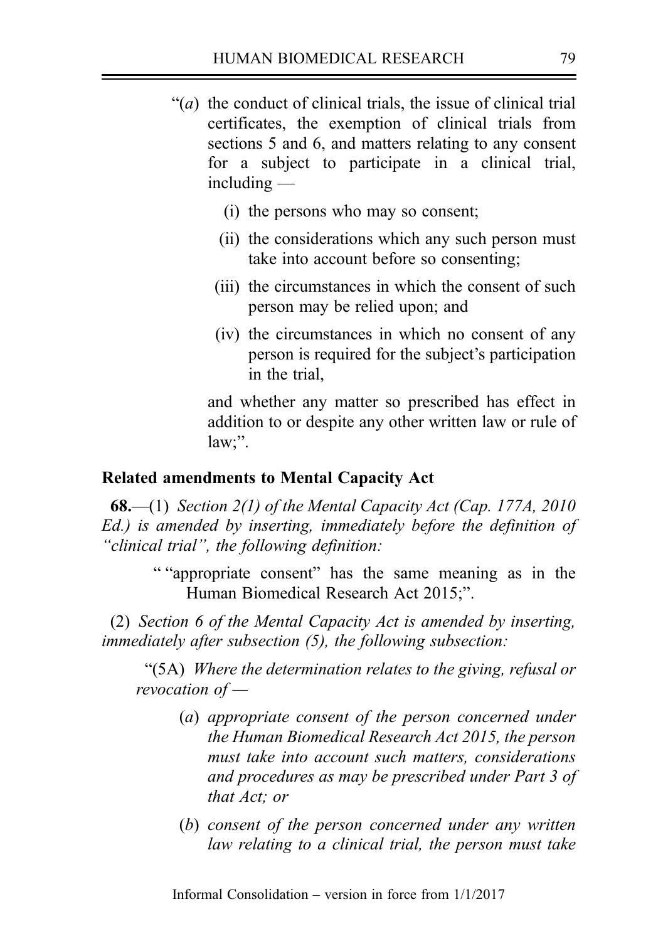- $\mathcal{L}(a)$  the conduct of clinical trials, the issue of clinical trial certificates, the exemption of clinical trials from sections 5 and 6, and matters relating to any consent for a subject to participate in a clinical trial, including —
	- (i) the persons who may so consent;
	- (ii) the considerations which any such person must take into account before so consenting;
	- (iii) the circumstances in which the consent of such person may be relied upon; and
	- (iv) the circumstances in which no consent of any person is required for the subject's participation in the trial,

and whether any matter so prescribed has effect in addition to or despite any other written law or rule of law;".

## Related amendments to Mental Capacity Act

**68.**—(1) Section 2(1) of the Mental Capacity Act (Cap. 177A, 2010 Ed.) is amended by inserting, immediately before the definition of "clinical trial", the following definition:

> " "appropriate consent" has the same meaning as in the Human Biomedical Research Act 2015;".

(2) Section 6 of the Mental Capacity Act is amended by inserting, immediately after subsection (5), the following subsection:

"(5A) Where the determination relates to the giving, refusal or revocation of —

- (a) appropriate consent of the person concerned under the Human Biomedical Research Act 2015, the person must take into account such matters, considerations and procedures as may be prescribed under Part 3 of that Act; or
- (b) consent of the person concerned under any written law relating to a clinical trial, the person must take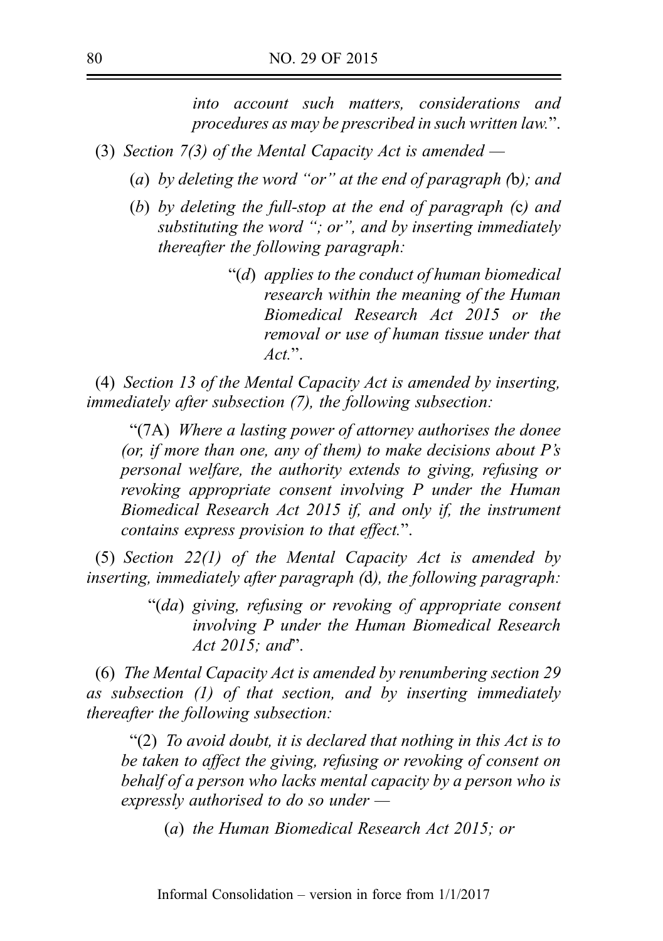into account such matters, considerations and procedures as may be prescribed in such written law.".

- (3) Section 7(3) of the Mental Capacity Act is amended  $-$ 
	- (a) by deleting the word "or" at the end of paragraph  $(b)$ ; and
	- (b) by deleting the full-stop at the end of paragraph (c) and substituting the word "; or", and by inserting immediately thereafter the following paragraph:
		- "(d) applies to the conduct of human biomedical research within the meaning of the Human Biomedical Research Act 2015 or the removal or use of human tissue under that  $Act$ ".

(4) Section 13 of the Mental Capacity Act is amended by inserting, immediately after subsection (7), the following subsection:

"(7A) Where a lasting power of attorney authorises the donee (or, if more than one, any of them) to make decisions about  $P's$ personal welfare, the authority extends to giving, refusing or revoking appropriate consent involving P under the Human Biomedical Research Act 2015 if, and only if, the instrument contains express provision to that effect.".

(5) Section 22(1) of the Mental Capacity Act is amended by inserting, immediately after paragraph (d), the following paragraph:

> "(da) giving, refusing or revoking of appropriate consent involving P under the Human Biomedical Research Act 2015; and".

(6) The Mental Capacity Act is amended by renumbering section 29 as subsection (1) of that section, and by inserting immediately thereafter the following subsection:

"(2) To avoid doubt, it is declared that nothing in this Act is to be taken to affect the giving, refusing or revoking of consent on behalf of a person who lacks mental capacity by a person who is expressly authorised to do so under —

(a) the Human Biomedical Research Act 2015; or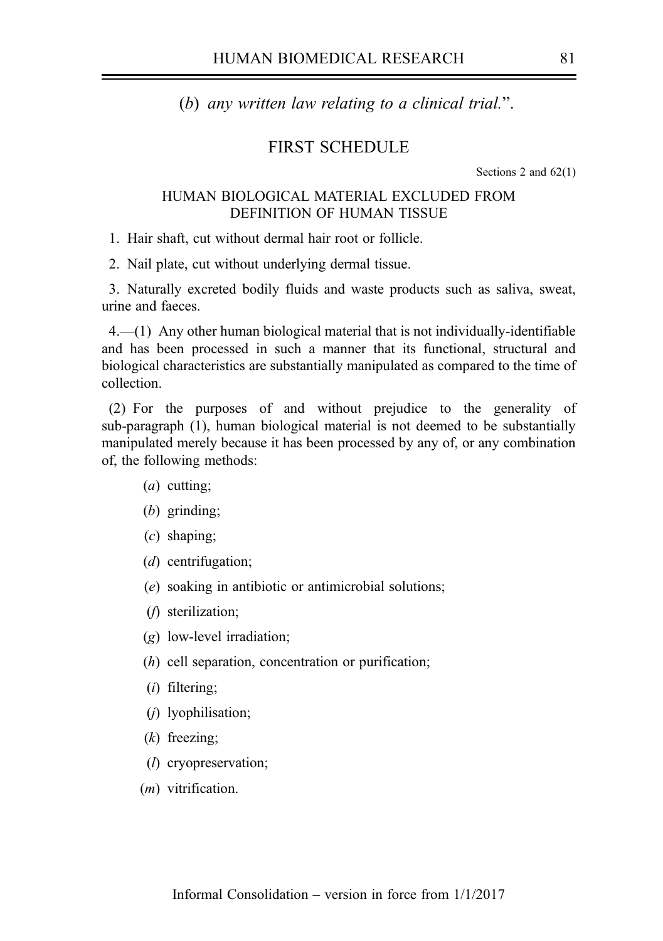(b) any written law relating to a clinical trial.".

## FIRST SCHEDULE

Sections 2 and 62(1)

### HUMAN BIOLOGICAL MATERIAL EXCLUDED FROM DEFINITION OF HUMAN TISSUE

1. Hair shaft, cut without dermal hair root or follicle.

2. Nail plate, cut without underlying dermal tissue.

3. Naturally excreted bodily fluids and waste products such as saliva, sweat, urine and faeces.

 $4.$ — $(1)$  Any other human biological material that is not individually-identifiable and has been processed in such a manner that its functional, structural and biological characteristics are substantially manipulated as compared to the time of collection.

(2) For the purposes of and without prejudice to the generality of sub‑paragraph (1), human biological material is not deemed to be substantially manipulated merely because it has been processed by any of, or any combination of, the following methods:

- $(a)$  cutting;
- (b) grinding;
- (c) shaping;
- (d) centrifugation;
- (e) soaking in antibiotic or antimicrobial solutions;
- (f) sterilization;
- (g) low-level irradiation;
- (h) cell separation, concentration or purification;
- (i) filtering;
- (j) lyophilisation;
- (k) freezing;
- (l) cryopreservation;
- (*m*) vitrification.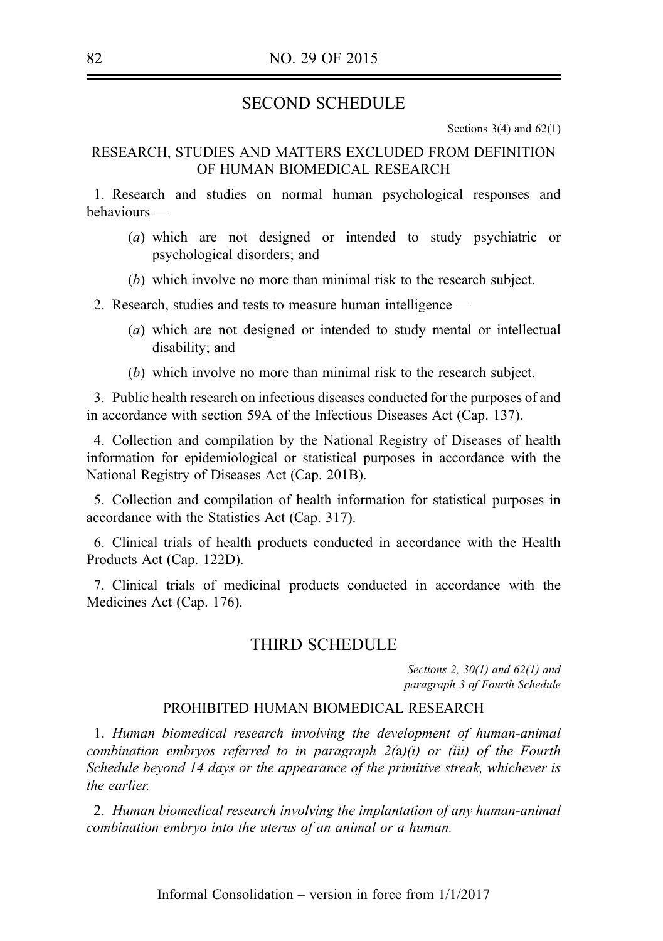## SECOND SCHEDULE

Sections  $3(4)$  and  $62(1)$ 

### RESEARCH, STUDIES AND MATTERS EXCLUDED FROM DEFINITION OF HUMAN BIOMEDICAL RESEARCH

1. Research and studies on normal human psychological responses and behaviours —

- (a) which are not designed or intended to study psychiatric or psychological disorders; and
- (b) which involve no more than minimal risk to the research subject.
- 2. Research, studies and tests to measure human intelligence
	- (a) which are not designed or intended to study mental or intellectual disability; and
	- (b) which involve no more than minimal risk to the research subject.

3. Public health research on infectious diseases conducted for the purposes of and in accordance with section 59A of the Infectious Diseases Act (Cap. 137).

4. Collection and compilation by the National Registry of Diseases of health information for epidemiological or statistical purposes in accordance with the National Registry of Diseases Act (Cap. 201B).

5. Collection and compilation of health information for statistical purposes in accordance with the Statistics Act (Cap. 317).

6. Clinical trials of health products conducted in accordance with the Health Products Act (Cap. 122D).

7. Clinical trials of medicinal products conducted in accordance with the Medicines Act (Cap. 176).

## THIRD SCHEDULE

Sections 2,  $30(1)$  and  $62(1)$  and paragraph 3 of Fourth Schedule

### PROHIBITED HUMAN BIOMEDICAL RESEARCH

1. Human biomedical research involving the development of human-animal combination embryos referred to in paragraph  $2(a)(i)$  or (iii) of the Fourth Schedule beyond 14 days or the appearance of the primitive streak, whichever is the earlier.

2. Human biomedical research involving the implantation of any human-animal combination embryo into the uterus of an animal or a human.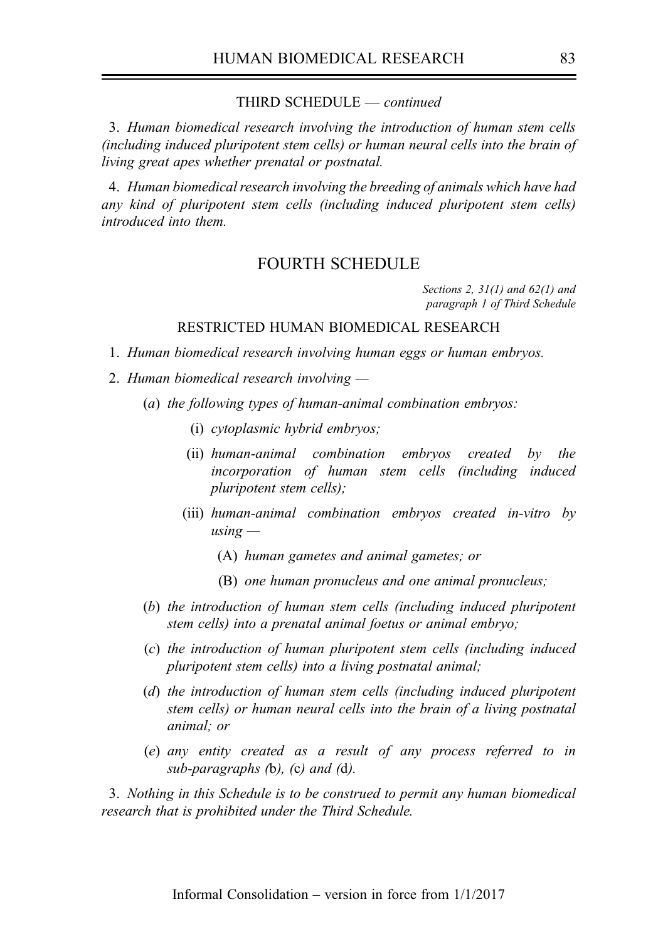#### THIRD SCHEDULE — continued

3. Human biomedical research involving the introduction of human stem cells (including induced pluripotent stem cells) or human neural cells into the brain of living great apes whether prenatal or postnatal.

4. Human biomedical research involving the breeding of animals which have had any kind of pluripotent stem cells (including induced pluripotent stem cells) introduced into them.

### FOURTH SCHEDULE

Sections 2,  $31(1)$  and  $62(1)$  and paragraph 1 of Third Schedule

#### RESTRICTED HUMAN BIOMEDICAL RESEARCH

- 1. Human biomedical research involving human eggs or human embryos.
- 2. Human biomedical research involving
	- (a) the following types of human-animal combination embryos:
		- (i) cytoplasmic hybrid embryos;
		- (ii) human-animal combination embryos created by the incorporation of human stem cells (including induced pluripotent stem cells);
		- (iii) human-animal combination embryos created in-vitro by  $using -$ 
			- (A) human gametes and animal gametes; or
			- (B) one human pronucleus and one animal pronucleus;
	- (b) the introduction of human stem cells (including induced pluripotent stem cells) into a prenatal animal foetus or animal embryo;
	- (c) the introduction of human pluripotent stem cells (including induced pluripotent stem cells) into a living postnatal animal;
	- (d) the introduction of human stem cells (including induced pluripotent stem cells) or human neural cells into the brain of a living postnatal animal; or
	- (e) any entity created as a result of any process referred to in sub-paragraphs  $(b)$ ,  $(c)$  and  $(d)$ .

3. Nothing in this Schedule is to be construed to permit any human biomedical research that is prohibited under the Third Schedule.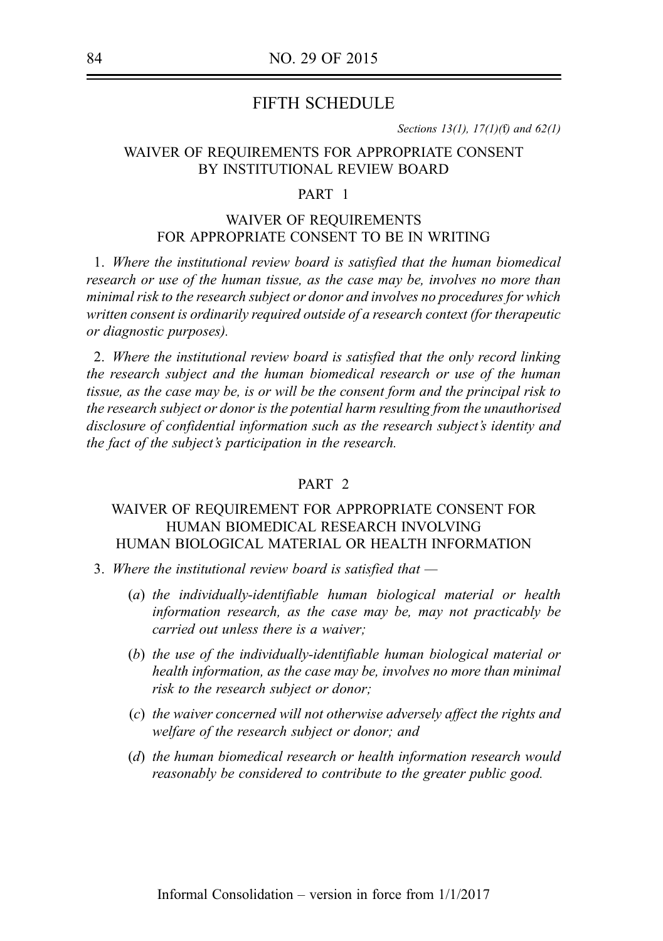## FIFTH SCHEDULE

Sections 13(1), 17(1)(f) and  $62(1)$ 

### WAIVER OF REQUIREMENTS FOR APPROPRIATE CONSENT BY INSTITUTIONAL REVIEW BOARD

#### PART 1

## WAIVER OF REQUIREMENTS FOR APPROPRIATE CONSENT TO BE IN WRITING

1. Where the institutional review board is satisfied that the human biomedical research or use of the human tissue, as the case may be, involves no more than minimal risk to the research subject or donor and involves no procedures for which written consent is ordinarily required outside of a research context (for therapeutic or diagnostic purposes).

2. Where the institutional review board is satisfied that the only record linking the research subject and the human biomedical research or use of the human tissue, as the case may be, is or will be the consent form and the principal risk to the research subject or donor is the potential harm resulting from the unauthorised disclosure of confidential information such as the research subject's identity and the fact of the subject's participation in the research.

#### PART 2

### WAIVER OF REQUIREMENT FOR APPROPRIATE CONSENT FOR HUMAN BIOMEDICAL RESEARCH INVOLVING HUMAN BIOLOGICAL MATERIAL OR HEALTH INFORMATION

- 3. Where the institutional review board is satisfied that  $-$ 
	- (a) the individually-identifiable human biological material or health information research, as the case may be, may not practicably be carried out unless there is a waiver;
	- (b) the use of the individually-identifiable human biological material or health information, as the case may be, involves no more than minimal risk to the research subject or donor;
	- (c) the waiver concerned will not otherwise adversely affect the rights and welfare of the research subject or donor; and
	- (d) the human biomedical research or health information research would reasonably be considered to contribute to the greater public good.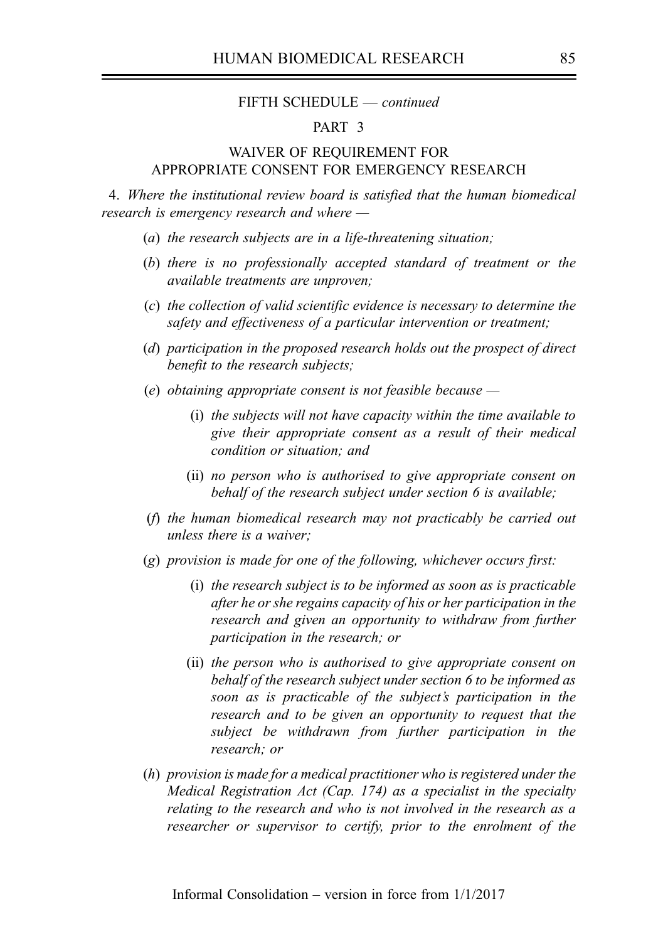#### FIFTH SCHEDULE — continued

### PART 3

### WAIVER OF REQUIREMENT FOR APPROPRIATE CONSENT FOR EMERGENCY RESEARCH

4. Where the institutional review board is satisfied that the human biomedical research is emergency research and where —

- (a) the research subjects are in a life-threatening situation;
- (b) there is no professionally accepted standard of treatment or the available treatments are unproven;
- (c) the collection of valid scientific evidence is necessary to determine the safety and effectiveness of a particular intervention or treatment;
- (d) participation in the proposed research holds out the prospect of direct benefit to the research subjects;
- (e) obtaining appropriate consent is not feasible because
	- (i) the subjects will not have capacity within the time available to give their appropriate consent as a result of their medical condition or situation; and
	- (ii) no person who is authorised to give appropriate consent on behalf of the research subject under section 6 is available;
- (f) the human biomedical research may not practicably be carried out unless there is a waiver;
- (g) provision is made for one of the following, whichever occurs first:
	- (i) the research subject is to be informed as soon as is practicable after he or she regains capacity of his or her participation in the research and given an opportunity to withdraw from further participation in the research; or
	- (ii) the person who is authorised to give appropriate consent on behalf of the research subject under section 6 to be informed as soon as is practicable of the subject's participation in the research and to be given an opportunity to request that the subject be withdrawn from further participation in the research; or
- (h) provision is made for a medical practitioner who is registered under the Medical Registration Act (Cap. 174) as a specialist in the specialty relating to the research and who is not involved in the research as a researcher or supervisor to certify, prior to the enrolment of the